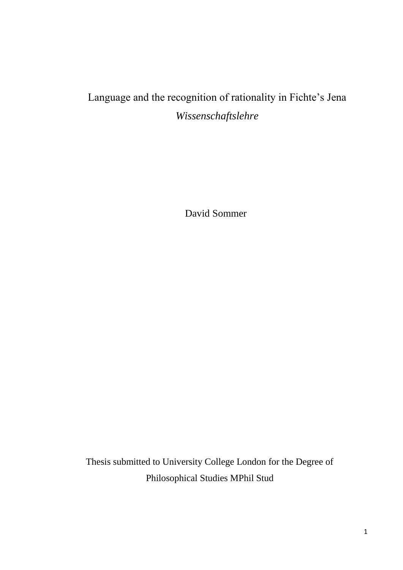# Language and the recognition of rationality in Fichte's Jena *Wissenschaftslehre*

David Sommer

Thesis submitted to University College London for the Degree of Philosophical Studies MPhil Stud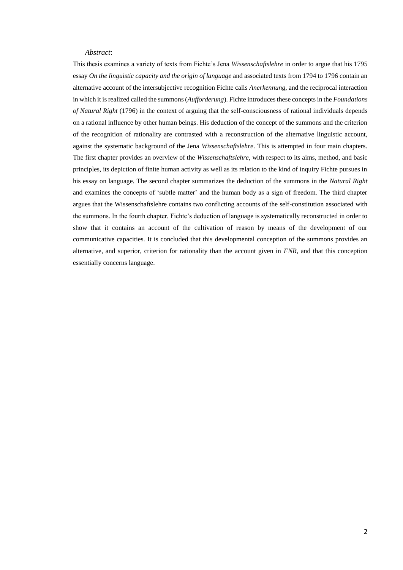#### *Abstract*:

This thesis examines a variety of texts from Fichte's Jena *Wissenschaftslehre* in order to argue that his 1795 essay *On the linguistic capacity and the origin of language* and associated texts from 1794 to 1796 contain an alternative account of the intersubjective recognition Fichte calls *Anerkennung,* and the reciprocal interaction in which it is realized called the summons (*Aufforderung*). Fichte introduces these concepts in the *Foundations of Natural Right* (1796) in the context of arguing that the self-consciousness of rational individuals depends on a rational influence by other human beings. His deduction of the concept of the summons and the criterion of the recognition of rationality are contrasted with a reconstruction of the alternative linguistic account, against the systematic background of the Jena *Wissenschaftslehre*. This is attempted in four main chapters. The first chapter provides an overview of the *Wissenschaftslehre*, with respect to its aims, method, and basic principles, its depiction of finite human activity as well as its relation to the kind of inquiry Fichte pursues in his essay on language. The second chapter summarizes the deduction of the summons in the *Natural Right*  and examines the concepts of 'subtle matter' and the human body as a sign of freedom. The third chapter argues that the Wissenschaftslehre contains two conflicting accounts of the self-constitution associated with the summons. In the fourth chapter, Fichte's deduction of language is systematically reconstructed in order to show that it contains an account of the cultivation of reason by means of the development of our communicative capacities. It is concluded that this developmental conception of the summons provides an alternative, and superior, criterion for rationality than the account given in *FNR*, and that this conception essentially concerns language.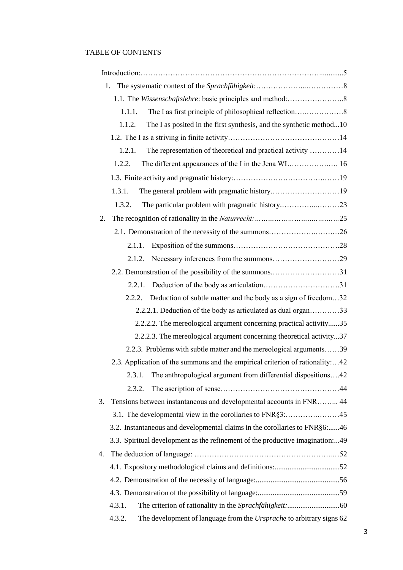# TABLE OF CONTENTS

| 1.                                                                                    |
|---------------------------------------------------------------------------------------|
|                                                                                       |
| 1.1.1.                                                                                |
| 1.1.2.<br>The I as posited in the first synthesis, and the synthetic method10         |
|                                                                                       |
| The representation of theoretical and practical activity 14<br>1.2.1.                 |
| 1.2.2.                                                                                |
|                                                                                       |
| The general problem with pragmatic history19<br>1.3.1.                                |
| 1.3.2.                                                                                |
| 2.                                                                                    |
| 2.1. Demonstration of the necessity of the summons26                                  |
| 2.1.1.                                                                                |
| Necessary inferences from the summons29<br>2.1.2.                                     |
| 2.2. Demonstration of the possibility of the summons31                                |
| 2.2.1.                                                                                |
| Deduction of subtle matter and the body as a sign of freedom32<br>2.2.2.              |
| 2.2.2.1. Deduction of the body as articulated as dual organ33                         |
| 2.2.2.2. The mereological argument concerning practical activity35                    |
| 2.2.2.3. The mereological argument concerning theoretical activity37                  |
| 2.2.3. Problems with subtle matter and the mereological arguments39                   |
| 2.3. Application of the summons and the empirical criterion of rationality:42         |
| The anthropological argument from differential dispositions42<br>2.3.1.               |
| 2.3.2.                                                                                |
| Tensions between instantaneous and developmental accounts in FNR 44<br>3.             |
|                                                                                       |
| 3.2. Instantaneous and developmental claims in the corollaries to FNR§6:46            |
| 3.3. Spiritual development as the refinement of the productive imagination:49         |
| 4.                                                                                    |
|                                                                                       |
|                                                                                       |
|                                                                                       |
| 4.3.1.                                                                                |
| 4.3.2.<br>The development of language from the <i>Ursprache</i> to arbitrary signs 62 |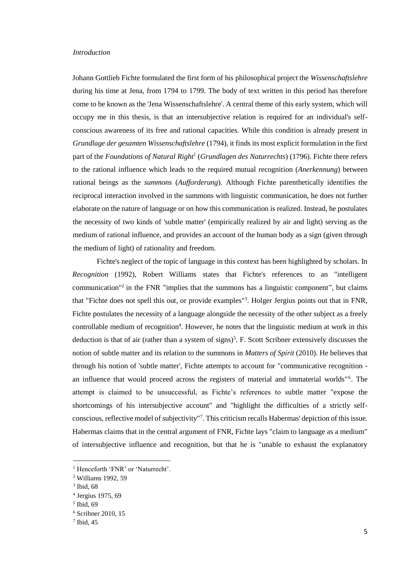# *Introduction*

Johann Gottlieb Fichte formulated the first form of his philosophical project the *Wissenschaftslehre*  during his time at Jena, from 1794 to 1799. The body of text written in this period has therefore come to be known as the 'Jena Wissenschaftslehre'. A central theme of this early system, which will occupy me in this thesis, is that an intersubjective relation is required for an individual's selfconscious awareness of its free and rational capacities. While this condition is already present in *Grundlage der gesamten Wissenschaftslehre* (1794), it finds its most explicit formulation in the first part of the *Foundations of Natural Right*<sup>1</sup> (*Grundlagen des Naturrechts*) (1796). Fichte there refers to the rational influence which leads to the required mutual recognition (*Anerkennung*) between rational beings as the *summons* (*Aufforderung*)*.* Although Fichte parenthetically identifies the reciprocal interaction involved in the summons with linguistic communication, he does not further elaborate on the nature of language or on how this communication is realized. Instead, he postulates the necessity of two kinds of 'subtle matter' (empirically realized by air and light) serving as the medium of rational influence, and provides an account of the human body as a sign (given through the medium of light) of rationality and freedom.

Fichte's neglect of the topic of language in this context has been highlighted by scholars. In *Recognition* (1992), Robert Williams states that Fichte's references to an "intelligent communication<sup>"2</sup> in the FNR "implies that the summons has a linguistic component", but claims that "Fichte does not spell this out, or provide examples"<sup>3</sup> . Holger Jergius points out that in FNR, Fichte postulates the necessity of a language alongside the necessity of the other subject as a freely controllable medium of recognition<sup>4</sup>. However, he notes that the linguistic medium at work in this deduction is that of air (rather than a system of signs)<sup>5</sup>. F. Scott Scribner extensively discusses the notion of subtle matter and its relation to the summons in *Matters of Spirit* (2010). He believes that through his notion of 'subtle matter', Fichte attempts to account for "communicative recognition an influence that would proceed across the registers of material and immaterial worlds"<sup>6</sup>. The attempt is claimed to be unsuccessful, as Fichte's references to subtle matter "expose the shortcomings of his intersubjective account" and "highlight the difficulties of a strictly selfconscious, reflective model of subjectivity"<sup>7</sup> . This criticism recalls Habermas' depiction of this issue*.*  Habermas claims that in the central argument of FNR*,* Fichte lays "claim to language as a medium" of intersubjective influence and recognition, but that he is "unable to exhaust the explanatory

<sup>&</sup>lt;sup>1</sup> Henceforth 'FNR' or 'Naturrecht'.

<sup>2</sup> Williams 1992, 59

<sup>3</sup> Ibid, 68

<sup>4</sup> Jergius 1975, 69

<sup>5</sup> Ibid, 69

<sup>6</sup> Scribner 2010, 15

<sup>7</sup> Ibid, 45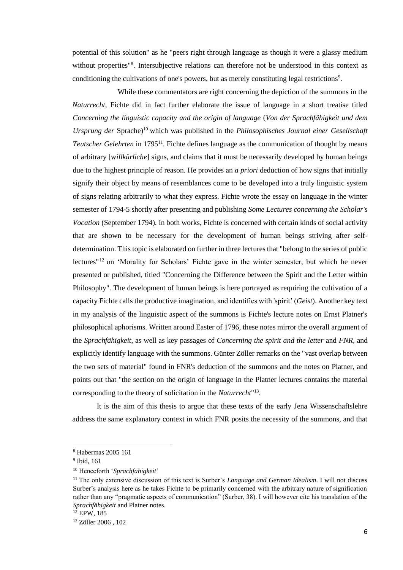potential of this solution" as he "peers right through language as though it were a glassy medium without properties"<sup>8</sup>. Intersubjective relations can therefore not be understood in this context as conditioning the cultivations of one's powers, but as merely constituting legal restrictions<sup>9</sup>.

While these commentators are right concerning the depiction of the summons in the *Naturrecht*, Fichte did in fact further elaborate the issue of language in a short treatise titled *Concerning the linguistic capacity and the origin of language* (*Von der Sprachfähigkeit und dem Ursprung der* Sprache)<sup>10</sup> which was published in the *Philosophisches Journal einer Gesellschaft Teutscher Gelehrten* in 1795<sup>11</sup>. Fichte defines language as the communication of thought by means of arbitrary [w*illkürliche*] signs, and claims that it must be necessarily developed by human beings due to the highest principle of reason. He provides an *a priori* deduction of how signs that initially signify their object by means of resemblances come to be developed into a truly linguistic system of signs relating arbitrarily to what they express. Fichte wrote the essay on language in the winter semester of 1794-5 shortly after presenting and publishing *Some Lectures concerning the Scholar's Vocation* (September 1794). In both works, Fichte is concerned with certain kinds of social activity that are shown to be necessary for the development of human beings striving after selfdetermination. This topic is elaborated on further in three lectures that "belong to the series of public lectures"<sup>12</sup> on 'Morality for Scholars' Fichte gave in the winter semester, but which he never presented or published, titled "Concerning the Difference between the Spirit and the Letter within Philosophy". The development of human beings is here portrayed as requiring the cultivation of a capacity Fichte calls the productive imagination, and identifies with 'spirit' (*Geist*). Another key text in my analysis of the linguistic aspect of the summons is Fichte's lecture notes on Ernst Platner's philosophical aphorisms. Written around Easter of 1796, these notes mirror the overall argument of the *Sprachfähigkeit*, as well as key passages of *Concerning the spirit and the letter* and *FNR,* and explicitly identify language with the summons. Günter Zöller remarks on the "vast overlap between the two sets of material" found in FNR's deduction of the summons and the notes on Platner, and points out that "the section on the origin of language in the Platner lectures contains the material corresponding to the theory of solicitation in the *Naturrecht*" 13 .

It is the aim of this thesis to argue that these texts of the early Jena Wissenschaftslehre address the same explanatory context in which FNR posits the necessity of the summons, and that

<sup>8</sup> Habermas 2005 161

<sup>9</sup> Ibid, 161

<sup>10</sup> Henceforth '*Sprachfähigkeit*'

<sup>11</sup> The only extensive discussion of this text is Surber's *Language and German Idealism*. I will not discuss Surber's analysis here as he takes Fichte to be primarily concerned with the arbitrary nature of signification rather than any "pragmatic aspects of communication" (Surber, 38). I will however cite his translation of the *Sprachfähigkeit* and Platner notes.

<sup>12</sup> EPW, 185

<sup>13</sup> Zöller 2006 , 102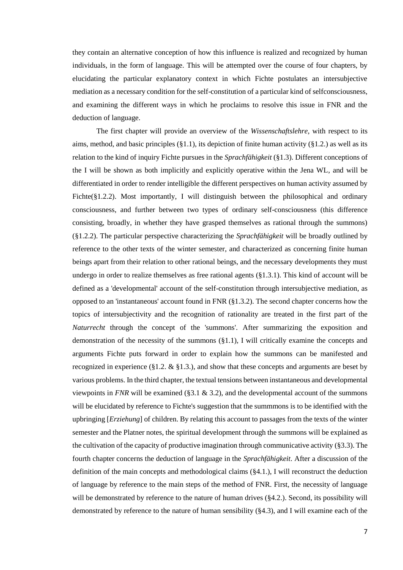they contain an alternative conception of how this influence is realized and recognized by human individuals, in the form of language. This will be attempted over the course of four chapters, by elucidating the particular explanatory context in which Fichte postulates an intersubjective mediation as a necessary condition for the self-constitution of a particular kind of selfconsciousness, and examining the different ways in which he proclaims to resolve this issue in FNR and the deduction of language.

The first chapter will provide an overview of the *Wissenschaftslehre*, with respect to its aims, method, and basic principles  $(\S1.1)$ , its depiction of finite human activity  $(\S1.2)$  as well as its relation to the kind of inquiry Fichte pursues in the *Sprachfähigkeit* (§1.3). Different conceptions of the I will be shown as both implicitly and explicitly operative within the Jena WL, and will be differentiated in order to render intelligible the different perspectives on human activity assumed by Fichte(§1.2.2). Most importantly, I will distinguish between the philosophical and ordinary consciousness, and further between two types of ordinary self-consciousness (this difference consisting, broadly, in whether they have grasped themselves as rational through the summons) (§1.2.2). The particular perspective characterizing the *Sprachfähigkeit* will be broadly outlined by reference to the other texts of the winter semester, and characterized as concerning finite human beings apart from their relation to other rational beings, and the necessary developments they must undergo in order to realize themselves as free rational agents  $(\S1.3.1)$ . This kind of account will be defined as a 'developmental' account of the self-constitution through intersubjective mediation, as opposed to an 'instantaneous' account found in FNR (§1.3.2). The second chapter concerns how the topics of intersubjectivity and the recognition of rationality are treated in the first part of the *Naturrecht* through the concept of the 'summons'. After summarizing the exposition and demonstration of the necessity of the summons  $(\S1.1)$ , I will critically examine the concepts and arguments Fichte puts forward in order to explain how the summons can be manifested and recognized in experience (§1.2.  $\&$  §1.3.), and show that these concepts and arguments are beset by various problems. In the third chapter, the textual tensions between instantaneous and developmental viewpoints in *FNR* will be examined (§3.1  $\&$  3.2), and the developmental account of the summons will be elucidated by reference to Fichte's suggestion that the summmons is to be identified with the upbringing [*Erziehung*] of children. By relating this account to passages from the texts of the winter semester and the Platner notes, the spiritual development through the summons will be explained as the cultivation of the capacity of productive imagination through communicative activity (§3.3). The fourth chapter concerns the deduction of language in the *Sprachfähigkeit*. After a discussion of the definition of the main concepts and methodological claims (§4.1.), I will reconstruct the deduction of language by reference to the main steps of the method of FNR. First, the necessity of language will be demonstrated by reference to the nature of human drives (§4.2.). Second, its possibility will demonstrated by reference to the nature of human sensibility (§4.3), and I will examine each of the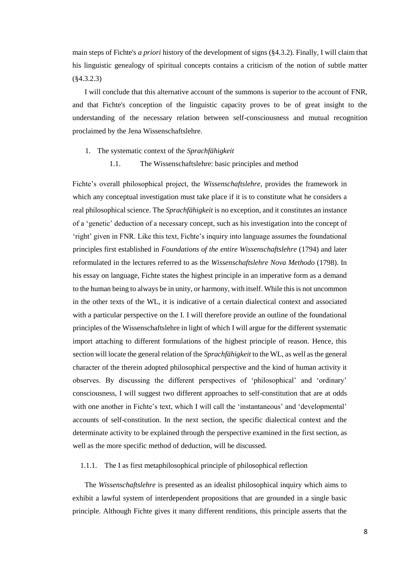main steps of Fichte's *a priori* history of the development of signs (§4.3.2). Finally, I will claim that his linguistic genealogy of spiritual concepts contains a criticism of the notion of subtle matter (§4.3.2.3)

I will conclude that this alternative account of the summons is superior to the account of FNR, and that Fichte's conception of the linguistic capacity proves to be of great insight to the understanding of the necessary relation between self-consciousness and mutual recognition proclaimed by the Jena Wissenschaftslehre.

- 1. The systematic context of the *Sprachfähigkeit*
	- 1.1. The Wissenschaftslehre: basic principles and method

Fichte's overall philosophical project, the *Wissenschaftslehre*, provides the framework in which any conceptual investigation must take place if it is to constitute what he considers a real philosophical science. The *Sprachfähigkeit* is no exception, and it constitutes an instance of a 'genetic' deduction of a necessary concept, such as his investigation into the concept of 'right' given in FNR. Like this text, Fichte's inquiry into language assumes the foundational principles first established in *Foundations of the entire Wissenschaftslehre* (1794) and later reformulated in the lectures referred to as the *Wissenschaftslehre Nova Methodo* (1798). In his essay on language, Fichte states the highest principle in an imperative form as a demand to the human being to always be in unity, or harmony, with itself. While this is not uncommon in the other texts of the WL, it is indicative of a certain dialectical context and associated with a particular perspective on the I. I will therefore provide an outline of the foundational principles of the Wissenschaftslehre in light of which I will argue for the different systematic import attaching to different formulations of the highest principle of reason. Hence, this section will locate the general relation of the *Sprachfähigkeit* to the WL, as well as the general character of the therein adopted philosophical perspective and the kind of human activity it observes. By discussing the different perspectives of 'philosophical' and 'ordinary' consciousness, I will suggest two different approaches to self-constitution that are at odds with one another in Fichte's text, which I will call the 'instantaneous' and 'developmental' accounts of self-constitution. In the next section, the specific dialectical context and the determinate activity to be explained through the perspective examined in the first section, as well as the more specific method of deduction, will be discussed.

# 1.1.1. The I as first metaphilosophical principle of philosophical reflection

The *Wissenschaftslehre* is presented as an idealist philosophical inquiry which aims to exhibit a lawful system of interdependent propositions that are grounded in a single basic principle. Although Fichte gives it many different renditions, this principle asserts that the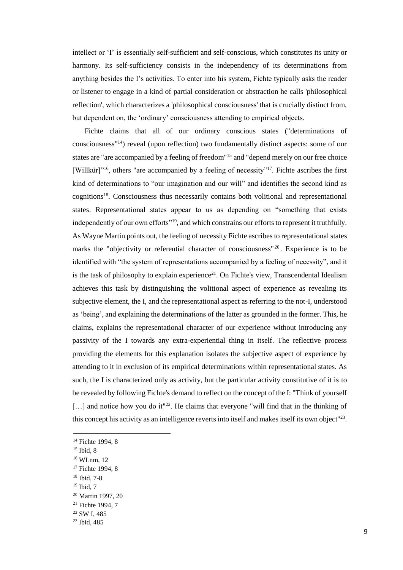intellect or 'I' is essentially self-sufficient and self-conscious, which constitutes its unity or harmony. Its self-sufficiency consists in the independency of its determinations from anything besides the I's activities. To enter into his system, Fichte typically asks the reader or listener to engage in a kind of partial consideration or abstraction he calls 'philosophical reflection', which characterizes a 'philosophical consciousness' that is crucially distinct from, but dependent on, the 'ordinary' consciousness attending to empirical objects.

Fichte claims that all of our ordinary conscious states ("determinations of consciousness"<sup>14</sup>) reveal (upon reflection) two fundamentally distinct aspects: some of our states are "are accompanied by a feeling of freedom"<sup>15</sup> and "depend merely on our free choice [Willkür] $16$ , others "are accompanied by a feeling of necessity"<sup>17</sup>. Fichte ascribes the first kind of determinations to "our imagination and our will" and identifies the second kind as cognitions<sup>18</sup>. Consciousness thus necessarily contains both volitional and representational states. Representational states appear to us as depending on "something that exists independently of our own efforts"<sup>19</sup>, and which constrains our efforts to represent it truthfully. As Wayne Martin points out, the feeling of necessity Fichte ascribes to representational states marks the "objectivity or referential character of consciousness"<sup>20</sup>. Experience is to be identified with "the system of representations accompanied by a feeling of necessity", and it is the task of philosophy to explain experience<sup>21</sup>. On Fichte's view, Transcendental Idealism achieves this task by distinguishing the volitional aspect of experience as revealing its subjective element, the I, and the representational aspect as referring to the not-I, understood as 'being', and explaining the determinations of the latter as grounded in the former. This, he claims, explains the representational character of our experience without introducing any passivity of the I towards any extra-experiential thing in itself. The reflective process providing the elements for this explanation isolates the subjective aspect of experience by attending to it in exclusion of its empirical determinations within representational states. As such, the I is characterized only as activity, but the particular activity constitutive of it is to be revealed by following Fichte's demand to reflect on the concept of the I: "Think of yourself  $[\dots]$  and notice how you do it<sup> $n22$ </sup>. He claims that everyone "will find that in the thinking of this concept his activity as an intelligence reverts into itself and makes itself its own object"<sup>23</sup>.

 $15$  Ibid, 8

<sup>&</sup>lt;sup>14</sup> Fichte 1994, 8

<sup>16</sup> WLnm, 12

<sup>&</sup>lt;sup>17</sup> Fichte 1994, 8

<sup>18</sup> Ibid, 7-8

<sup>&</sup>lt;sup>19</sup> Ibid, 7

<sup>20</sup> Martin 1997, 20

<sup>&</sup>lt;sup>21</sup> Fichte 1994, 7

<sup>22</sup> SW I, 485

<sup>23</sup> Ibid, 485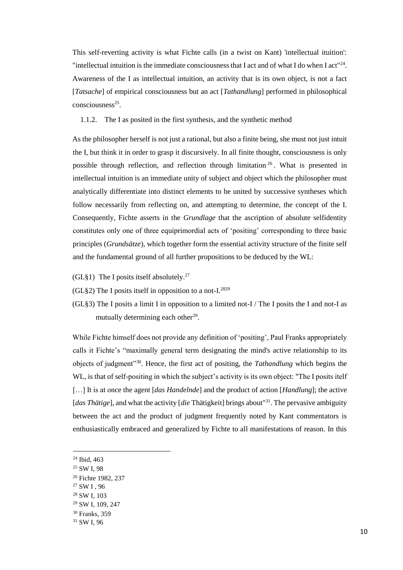This self-reverting activity is what Fichte calls (in a twist on Kant) 'intellectual ituition': "intellectual intuition is the immediate consciousness that I act and of what I do when I act"<sup>24</sup>. Awareness of the I as intellectual intuition, an activity that is its own object, is not a fact [*Tatsache*] of empirical consciousness but an act [*Tathandlung*] performed in philosophical consciousness<sup>25</sup>.

# 1.1.2. The I as posited in the first synthesis, and the synthetic method

As the philosopher herself is not just a rational, but also a finite being, she must not just intuit the I, but think it in order to grasp it discursively. In all finite thought, consciousness is only possible through reflection, and reflection through limitation <sup>26</sup> . What is presented in intellectual intuition is an immediate unity of subject and object which the philosopher must analytically differentiate into distinct elements to be united by successive syntheses which follow necessarily from reflecting on, and attempting to determine, the concept of the I. Consequently, Fichte asserts in the *Grundlage* that the ascription of absolute selfidentity constitutes only one of three equiprimordial acts of 'positing' corresponding to three basic principles (*Grundsätze*), which together form the essential activity structure of the finite self and the fundamental ground of all further propositions to be deduced by the WL:

- (GL§1) The I posits itself absolutely.<sup>27</sup>
- (GL§2) The I posits itself in opposition to a not-I.<sup>2829</sup>
- (GL§3) The I posits a limit I in opposition to a limited not-I / The I posits the I and not-I as mutually determining each other $29$ .

While Fichte himself does not provide any definition of 'positing', Paul Franks appropriately calls it Fichte's "maximally general term designating the mind's active relationship to its objects of judgment"<sup>30</sup>. Hence, the first act of positing, the *Tathandlung* which begins the WL, is that of self-positing in which the subject's activity is its own object: "The I posits itelf […] It is at once the agent [*das Handelnde*] and the product of action [*Handlung*]; the active [*das Thätige*], and what the activity [*die* Thätigkeit] brings about<sup>131</sup>. The pervasive ambiguity between the act and the product of judgment frequently noted by Kant commentators is enthusiastically embraced and generalized by Fichte to all manifestations of reason. In this

<sup>24</sup> Ibid, 463

<sup>25</sup> SW I, 98

<sup>&</sup>lt;sup>26</sup> Fichte 1982, 237

<sup>27</sup> SW I , 96

<sup>28</sup> SW I, 103

<sup>29</sup> SW I, 109, 247

<sup>30</sup> Franks, 359

<sup>31</sup> SW I, 96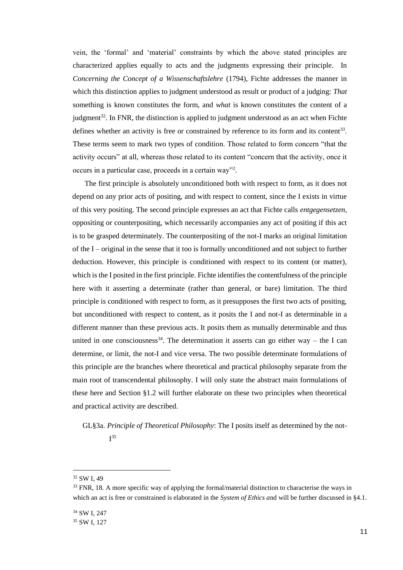vein, the 'formal' and 'material' constraints by which the above stated principles are characterized applies equally to acts and the judgments expressing their principle. In *Concerning the Concept of a Wissenschaftslehre* (1794), Fichte addresses the manner in which this distinction applies to judgment understood as result or product of a judging: *That* something is known constitutes the form, and *what* is known constitutes the content of a judgment<sup>32</sup>. In FNR, the distinction is applied to judgment understood as an act when Fichte defines whether an activity is free or constrained by reference to its form and its content<sup>33</sup>. These terms seem to mark two types of condition. Those related to form concern "that the activity occurs" at all, whereas those related to its content "concern that the activity, once it occurs in a particular case, proceeds in a certain way"<sup>2</sup> .

The first principle is absolutely unconditioned both with respect to form, as it does not depend on any prior acts of positing, and with respect to content, since the I exists in virtue of this very positing. The second principle expresses an act that Fichte calls *entgegensetzen*, oppositing or counterpositing, which necessarily accompanies any act of positing if this act is to be grasped determinately. The counterpositing of the not-I marks an original limitation of the  $I$  – original in the sense that it too is formally unconditioned and not subject to further deduction. However, this principle is conditioned with respect to its content (or matter), which is the I posited in the first principle. Fichte identifies the contentfulness of the principle here with it asserting a determinate (rather than general, or bare) limitation. The third principle is conditioned with respect to form, as it presupposes the first two acts of positing, but unconditioned with respect to content, as it posits the I and not-I as determinable in a different manner than these previous acts. It posits them as mutually determinable and thus united in one consciousness<sup>34</sup>. The determination it asserts can go either way – the I can determine, or limit, the not-I and vice versa. The two possible determinate formulations of this principle are the branches where theoretical and practical philosophy separate from the main root of transcendental philosophy. I will only state the abstract main formulations of these here and Section §1.2 will further elaborate on these two principles when theoretical and practical activity are described.

GL§3a. *Principle of Theoretical Philosophy*: The I posits itself as determined by the not- $I^{35}$ 

<sup>32</sup> SW I, 49

<sup>&</sup>lt;sup>33</sup> FNR, 18. A more specific way of applying the formal/material distinction to characterise the ways in which an act is free or constrained is elaborated in the *System of Ethics a*nd will be further discussed in §4.1.

<sup>34</sup> SW I, 247

<sup>&</sup>lt;sup>35</sup> SW I, 127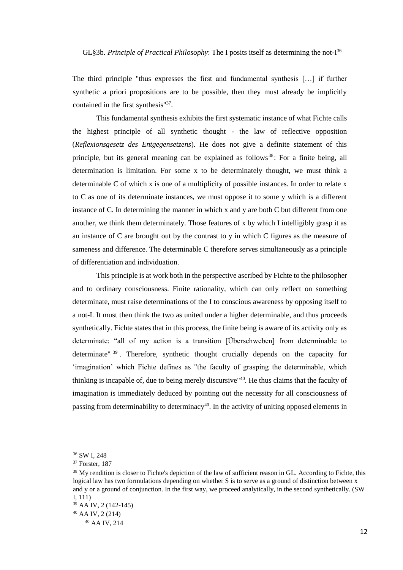GL§3b. *Principle of Practical Philosophy*: The I posits itself as determining the not-I 36

The third principle "thus expresses the first and fundamental synthesis […] if further synthetic a priori propositions are to be possible, then they must already be implicitly contained in the first synthesis"<sup>37</sup>.

This fundamental synthesis exhibits the first systematic instance of what Fichte calls the highest principle of all synthetic thought - the law of reflective opposition (*Reflexionsgesetz des Entgegensetzens*)*.* He does not give a definite statement of this principle, but its general meaning can be explained as follows<sup>38</sup>: For a finite being, all determination is limitation. For some x to be determinately thought, we must think a determinable C of which x is one of a multiplicity of possible instances. In order to relate x to C as one of its determinate instances, we must oppose it to some y which is a different instance of C. In determining the manner in which x and y are both C but different from one another, we think them determinately. Those features of x by which I intelligibly grasp it as an instance of C are brought out by the contrast to y in which C figures as the measure of sameness and difference. The determinable C therefore serves simultaneously as a principle of differentiation and individuation.

This principle is at work both in the perspective ascribed by Fichte to the philosopher and to ordinary consciousness. Finite rationality, which can only reflect on something determinate, must raise determinations of the I to conscious awareness by opposing itself to a not-I. It must then think the two as united under a higher determinable, and thus proceeds synthetically. Fichte states that in this process, the finite being is aware of its activity only as determinate: "all of my action is a transition [Überschweben] from determinable to determinate" <sup>39</sup> . Therefore, synthetic thought crucially depends on the capacity for 'imagination' which Fichte defines as "the faculty of grasping the determinable, which thinking is incapable of, due to being merely discursive"<sup>40</sup>. He thus claims that the faculty of imagination is immediately deduced by pointing out the necessity for all consciousness of passing from determinability to determinacy<sup>40</sup>. In the activity of uniting opposed elements in

<sup>36</sup> SW I, 248

<sup>37</sup> Förster, 187

<sup>&</sup>lt;sup>38</sup> My rendition is closer to Fichte's depiction of the law of sufficient reason in GL. According to Fichte, this logical law has two formulations depending on whether S is to serve as a ground of distinction between x and y or a ground of conjunction. In the first way, we proceed analytically, in the second synthetically. (SW I, 111)

<sup>39</sup> AA IV, 2 (142-145)

<sup>40</sup> AA IV, 2 (214)

<sup>40</sup> AA IV, 214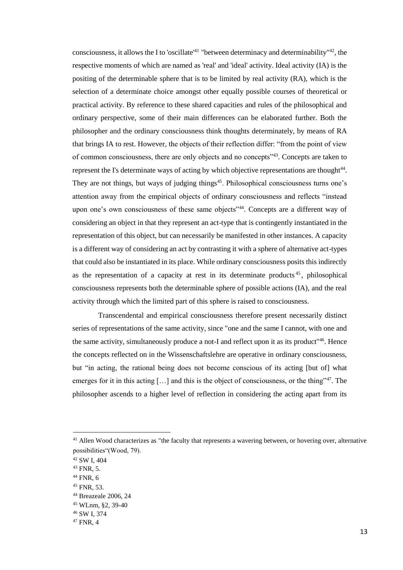consciousness, it allows the I to 'oscillate'<sup>41</sup> "between determinacy and determinability"<sup>42</sup>, the respective moments of which are named as 'real' and 'ideal' activity. Ideal activity (IA) is the positing of the determinable sphere that is to be limited by real activity (RA), which is the selection of a determinate choice amongst other equally possible courses of theoretical or practical activity. By reference to these shared capacities and rules of the philosophical and ordinary perspective, some of their main differences can be elaborated further. Both the philosopher and the ordinary consciousness think thoughts determinately, by means of RA that brings IA to rest. However, the objects of their reflection differ: "from the point of view of common consciousness, there are only objects and no concepts"<sup>43</sup>. Concepts are taken to represent the I's determinate ways of acting by which objective representations are thought<sup>44</sup>. They are not things, but ways of judging things<sup>45</sup>. Philosophical consciousness turns one's attention away from the empirical objects of ordinary consciousness and reflects "instead upon one's own consciousness of these same objects<sup>"44</sup>. Concepts are a different way of considering an object in that they represent an act-type that is contingently instantiated in the representation of this object, but can necessarily be manifested in other instances. A capacity is a different way of considering an act by contrasting it with a sphere of alternative act-types that could also be instantiated in its place. While ordinary consciousness posits this indirectly as the representation of a capacity at rest in its determinate products  $45$ , philosophical consciousness represents both the determinable sphere of possible actions (IA), and the real activity through which the limited part of this sphere is raised to consciousness.

Transcendental and empirical consciousness therefore present necessarily distinct series of representations of the same activity, since "one and the same I cannot, with one and the same activity, simultaneously produce a not-I and reflect upon it as its product<sup>"46</sup>. Hence the concepts reflected on in the Wissenschaftslehre are operative in ordinary consciousness, but "in acting, the rational being does not become conscious of its acting [but of] what emerges for it in this acting  $[\dots]$  and this is the object of consciousness, or the thing"<sup>47</sup>. The philosopher ascends to a higher level of reflection in considering the acting apart from its

<sup>&</sup>lt;sup>41</sup> Allen Wood characterizes as "the faculty that represents a wavering between, or hovering over, alternative possibilities"(Wood, 79).

<sup>42</sup> SW I, 404

<sup>43</sup> FNR, 5.

 $44$  FNR, 6

<sup>45</sup> FNR, 53.

<sup>44</sup> Breazeale 2006, 24

<sup>45</sup> WLnm, §2, 39-40

<sup>46</sup> SW I, 374

<sup>47</sup> FNR, 4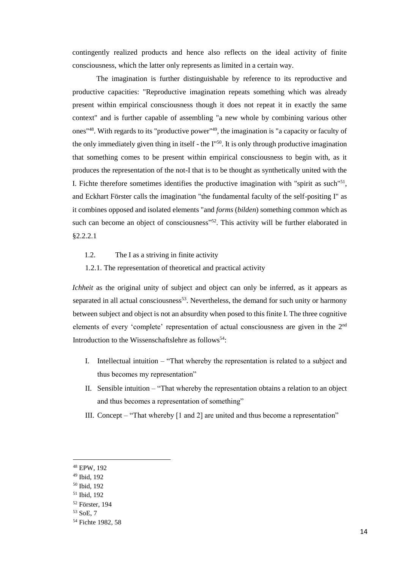contingently realized products and hence also reflects on the ideal activity of finite consciousness, which the latter only represents as limited in a certain way.

The imagination is further distinguishable by reference to its reproductive and productive capacities: "Reproductive imagination repeats something which was already present within empirical consciousness though it does not repeat it in exactly the same context" and is further capable of assembling "a new whole by combining various other ones"<sup>48</sup>. With regards to its "productive power"<sup>49</sup>, the imagination is "a capacity or faculty of the only immediately given thing in itself - the  $I^{\prime\prime50}$ . It is only through productive imagination that something comes to be present within empirical consciousness to begin with, as it produces the representation of the not-I that is to be thought as synthetically united with the I. Fichte therefore sometimes identifies the productive imagination with "spirit as such" $51$ , and Eckhart Förster calls the imagination "the fundamental faculty of the self-positing I" as it combines opposed and isolated elements "and *forms* (*bilden*) something common which as such can become an object of consciousness"<sup>52</sup>. This activity will be further elaborated in §2.2.2.1

- 1.2. The I as a striving in finite activity
- 1.2.1. The representation of theoretical and practical activity

*Ichheit* as the original unity of subject and object can only be inferred, as it appears as separated in all actual consciousness<sup>53</sup>. Nevertheless, the demand for such unity or harmony between subject and object is not an absurdity when posed to this finite I. The three cognitive elements of every 'complete' representation of actual consciousness are given in the 2nd Introduction to the Wissenschaftslehre as follows<sup>54</sup>:

- I. Intellectual intuition "That whereby the representation is related to a subject and thus becomes my representation"
- II. Sensible intuition "That whereby the representation obtains a relation to an object and thus becomes a representation of something"
- III. Concept "That whereby [1 and 2] are united and thus become a representation"

<sup>48</sup> EPW, 192

<sup>49</sup> Ibid, 192

<sup>50</sup> Ibid, 192

<sup>51</sup> Ibid, 192

<sup>52</sup> Förster, 194

<sup>53</sup> SoE, 7

<sup>54</sup> Fichte 1982, 58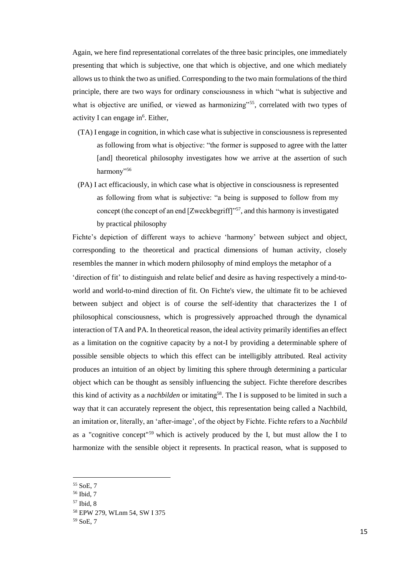Again, we here find representational correlates of the three basic principles, one immediately presenting that which is subjective, one that which is objective, and one which mediately allows us to think the two as unified. Corresponding to the two main formulations of the third principle, there are two ways for ordinary consciousness in which "what is subjective and what is objective are unified, or viewed as harmonizing"<sup>55</sup>, correlated with two types of activity I can engage in<sup>6</sup>. Either,

- (TA) I engage in cognition, in which case what is subjective in consciousness is represented as following from what is objective: "the former is supposed to agree with the latter [and] theoretical philosophy investigates how we arrive at the assertion of such harmony"<sup>56</sup>
- (PA) I act efficaciously, in which case what is objective in consciousness is represented as following from what is subjective: "a being is supposed to follow from my concept (the concept of an end [Zweckbegriff]"<sup>57</sup>, and this harmony is investigated by practical philosophy

Fichte's depiction of different ways to achieve 'harmony' between subject and object, corresponding to the theoretical and practical dimensions of human activity, closely resembles the manner in which modern philosophy of mind employs the metaphor of a 'direction of fit' to distinguish and relate belief and desire as having respectively a mind-toworld and world-to-mind direction of fit. On Fichte's view, the ultimate fit to be achieved between subject and object is of course the self-identity that characterizes the I of philosophical consciousness, which is progressively approached through the dynamical interaction of TA and PA. In theoretical reason, the ideal activity primarily identifies an effect as a limitation on the cognitive capacity by a not-I by providing a determinable sphere of possible sensible objects to which this effect can be intelligibly attributed. Real activity produces an intuition of an object by limiting this sphere through determining a particular object which can be thought as sensibly influencing the subject. Fichte therefore describes this kind of activity as a *nachbilden* or imitating<sup>58</sup>. The I is supposed to be limited in such a way that it can accurately represent the object, this representation being called a Nachbild, an imitation or, literally, an 'after-image', of the object by Fichte. Fichte refers to a *Nachbild*  as a "cognitive concept"<sup>59</sup> which is actively produced by the I, but must allow the I to harmonize with the sensible object it represents. In practical reason, what is supposed to

<sup>55</sup> SoE, 7

<sup>56</sup> Ibid, 7

<sup>57</sup> Ibid, 8

<sup>58</sup> EPW 279, WLnm 54, SW I 375

<sup>59</sup> SoE, 7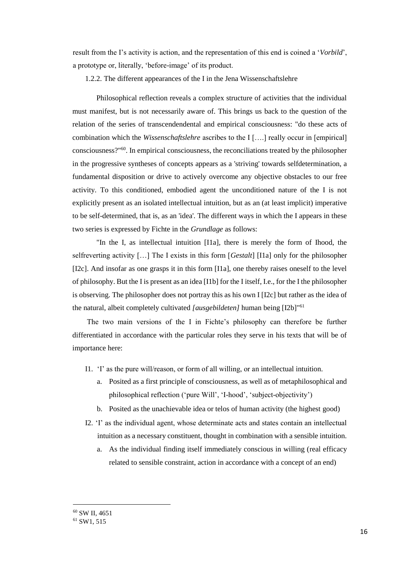result from the I's activity is action, and the representation of this end is coined a '*Vorbild*', a prototype or, literally, 'before-image' of its product.

1.2.2. The different appearances of the I in the Jena Wissenschaftslehre

Philosophical reflection reveals a complex structure of activities that the individual must manifest, but is not necessarily aware of. This brings us back to the question of the relation of the series of transcendendental and empirical consciousness: "do these acts of combination which the *Wissenschaftslehre* ascribes to the I [….] really occur in [empirical] consciousness?"<sup>60</sup>. In empirical consciousness, the reconciliations treated by the philosopher in the progressive syntheses of concepts appears as a 'striving' towards selfdetermination, a fundamental disposition or drive to actively overcome any objective obstacles to our free activity. To this conditioned, embodied agent the unconditioned nature of the I is not explicitly present as an isolated intellectual intuition, but as an (at least implicit) imperative to be self-determined, that is, as an 'idea'. The different ways in which the I appears in these two series is expressed by Fichte in the *Grundlage* as follows:

"In the I, as intellectual intuition [I1a], there is merely the form of Ihood, the selfreverting activity […] The I exists in this form [*Gestalt*] [I1a] only for the philosopher [I2c]. And insofar as one grasps it in this form [I1a], one thereby raises oneself to the level of philosophy. But the I is present as an idea [I1b] for the I itself, I.e., for the I the philosopher is observing. The philosopher does not portray this as his own I [I2c] but rather as the idea of the natural, albeit completely cultivated *[ausgebildeten]* human being [I2b]"<sup>61</sup>

The two main versions of the I in Fichte's philosophy can therefore be further differentiated in accordance with the particular roles they serve in his texts that will be of importance here:

- I1. 'I' as the pure will/reason, or form of all willing, or an intellectual intuition.
	- a. Posited as a first principle of consciousness, as well as of metaphilosophical and philosophical reflection ('pure Will', 'I-hood', 'subject-objectivity')
	- b. Posited as the unachievable idea or telos of human activity (the highest good)
- I2. 'I' as the individual agent, whose determinate acts and states contain an intellectual intuition as a necessary constituent, thought in combination with a sensible intuition.
	- a. As the individual finding itself immediately conscious in willing (real efficacy related to sensible constraint, action in accordance with a concept of an end)

<sup>60</sup> SW II, 4651

<sup>61</sup> SW1, 515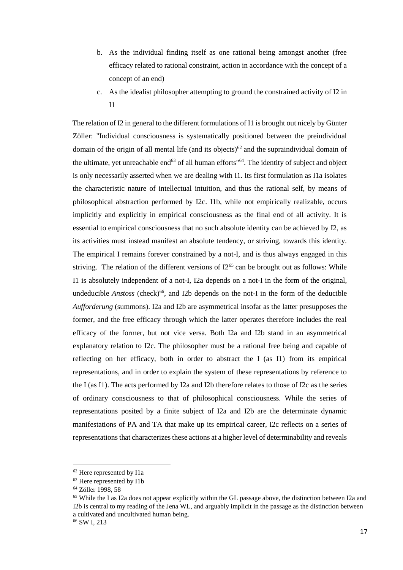- b. As the individual finding itself as one rational being amongst another (free efficacy related to rational constraint, action in accordance with the concept of a concept of an end)
- c. As the idealist philosopher attempting to ground the constrained activity of I2 in I1

The relation of I2 in general to the different formulations of I1 is brought out nicely by Günter Zöller: "Individual consciousness is systematically positioned between the preindividual domain of the origin of all mental life (and its objects)<sup>62</sup> and the supraindividual domain of the ultimate, yet unreachable end $63$  of all human efforts" $64$ . The identity of subject and object is only necessarily asserted when we are dealing with I1. Its first formulation as I1a isolates the characteristic nature of intellectual intuition, and thus the rational self, by means of philosophical abstraction performed by I2c. I1b, while not empirically realizable, occurs implicitly and explicitly in empirical consciousness as the final end of all activity. It is essential to empirical consciousness that no such absolute identity can be achieved by I2, as its activities must instead manifest an absolute tendency, or striving, towards this identity. The empirical I remains forever constrained by a not-I, and is thus always engaged in this striving. The relation of the different versions of  $12^{65}$  can be brought out as follows: While I1 is absolutely independent of a not-I, I2a depends on a not-I in the form of the original, undeducible *Anstoss* (check)<sup>66</sup>, and I2b depends on the not-I in the form of the deducible *Aufforderung* (summons). I2a and I2b are asymmetrical insofar as the latter presupposes the former, and the free efficacy through which the latter operates therefore includes the real efficacy of the former, but not vice versa. Both I2a and I2b stand in an asymmetrical explanatory relation to I2c. The philosopher must be a rational free being and capable of reflecting on her efficacy, both in order to abstract the I (as I1) from its empirical representations, and in order to explain the system of these representations by reference to the I (as I1). The acts performed by I2a and I2b therefore relates to those of I2c as the series of ordinary consciousness to that of philosophical consciousness. While the series of representations posited by a finite subject of I2a and I2b are the determinate dynamic manifestations of PA and TA that make up its empirical career, I2c reflects on a series of representations that characterizes these actions at a higher level of determinability and reveals

<sup>62</sup> Here represented by I1a

<sup>63</sup> Here represented by I1b

<sup>64</sup> Zöller 1998, 58

<sup>65</sup> While the I as I2a does not appear explicitly within the GL passage above, the distinction between I2a and I2b is central to my reading of the Jena WL, and arguably implicit in the passage as the distinction between a cultivated and uncultivated human being.

<sup>66</sup> SW I, 213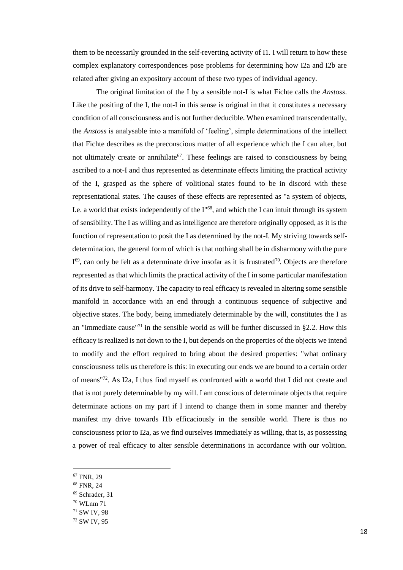them to be necessarily grounded in the self-reverting activity of I1. I will return to how these complex explanatory correspondences pose problems for determining how I2a and I2b are related after giving an expository account of these two types of individual agency.

The original limitation of the I by a sensible not-I is what Fichte calls the *Anstoss*. Like the positing of the I, the not-I in this sense is original in that it constitutes a necessary condition of all consciousness and is not further deducible. When examined transcendentally, the *Anstoss* is analysable into a manifold of 'feeling', simple determinations of the intellect that Fichte describes as the preconscious matter of all experience which the I can alter, but not ultimately create or annihilate<sup>67</sup>. These feelings are raised to consciousness by being ascribed to a not-I and thus represented as determinate effects limiting the practical activity of the I, grasped as the sphere of volitional states found to be in discord with these representational states. The causes of these effects are represented as "a system of objects, I.e. a world that exists independently of the  $I^{\prime\prime}{}^{68}$ , and which the I can intuit through its system of sensibility. The I as willing and as intelligence are therefore originally opposed, as it is the function of representation to posit the I as determined by the not-I. My striving towards selfdetermination, the general form of which is that nothing shall be in disharmony with the pure  $I<sup>69</sup>$ , can only be felt as a determinate drive insofar as it is frustrated<sup>70</sup>. Objects are therefore represented as that which limits the practical activity of the I in some particular manifestation of its drive to self-harmony. The capacity to real efficacy is revealed in altering some sensible manifold in accordance with an end through a continuous sequence of subjective and objective states. The body, being immediately determinable by the will, constitutes the I as an "immediate cause"<sup>71</sup> in the sensible world as will be further discussed in  $\S 2.2$ . How this efficacy is realized is not down to the I, but depends on the properties of the objects we intend to modify and the effort required to bring about the desired properties: "what ordinary consciousness tells us therefore is this: in executing our ends we are bound to a certain order of means"<sup>72</sup>. As I2a, I thus find myself as confronted with a world that I did not create and that is not purely determinable by my will. I am conscious of determinate objects that require determinate actions on my part if I intend to change them in some manner and thereby manifest my drive towards I1b efficaciously in the sensible world. There is thus no consciousness prior to I2a, as we find ourselves immediately as willing, that is, as possessing a power of real efficacy to alter sensible determinations in accordance with our volition.

<sup>67</sup> FNR, 29

l

- <sup>68</sup> FNR, 24
- <sup>69</sup> Schrader, 31
- <sup>70</sup> WLnm 71

<sup>72</sup> SW IV, 95

<sup>71</sup> SW IV, 98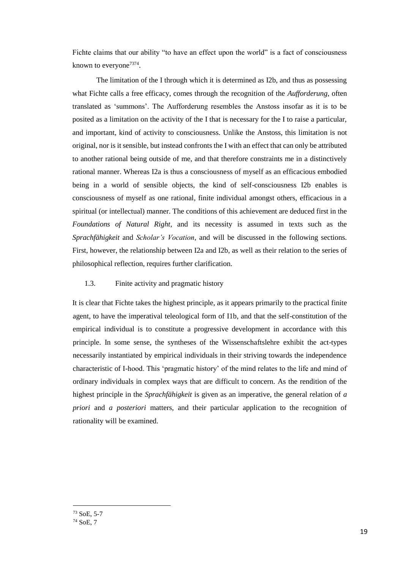Fichte claims that our ability "to have an effect upon the world" is a fact of consciousness known to everyone<sup>7374</sup>.

The limitation of the I through which it is determined as I2b, and thus as possessing what Fichte calls a free efficacy, comes through the recognition of the *Aufforderung,* often translated as 'summons'. The Aufforderung resembles the Anstoss insofar as it is to be posited as a limitation on the activity of the I that is necessary for the I to raise a particular, and important, kind of activity to consciousness. Unlike the Anstoss, this limitation is not original, nor is it sensible, but instead confronts the I with an effect that can only be attributed to another rational being outside of me, and that therefore constraints me in a distinctively rational manner. Whereas I2a is thus a consciousness of myself as an efficacious embodied being in a world of sensible objects, the kind of self-consciousness I2b enables is consciousness of myself as one rational, finite individual amongst others, efficacious in a spiritual (or intellectual) manner. The conditions of this achievement are deduced first in the *Foundations of Natural Right*, and its necessity is assumed in texts such as the *Sprachfähigkeit* and *Scholar's Vocation*, and will be discussed in the following sections. First, however, the relationship between I2a and I2b, as well as their relation to the series of philosophical reflection, requires further clarification.

# 1.3. Finite activity and pragmatic history

It is clear that Fichte takes the highest principle, as it appears primarily to the practical finite agent, to have the imperatival teleological form of I1b, and that the self-constitution of the empirical individual is to constitute a progressive development in accordance with this principle. In some sense, the syntheses of the Wissenschaftslehre exhibit the act-types necessarily instantiated by empirical individuals in their striving towards the independence characteristic of I-hood. This 'pragmatic history' of the mind relates to the life and mind of ordinary individuals in complex ways that are difficult to concern. As the rendition of the highest principle in the *Sprachfähigkeit* is given as an imperative, the general relation of *a priori* and *a posteriori* matters, and their particular application to the recognition of rationality will be examined.

<sup>73</sup> SoE, 5-7

<sup>74</sup> SoE, 7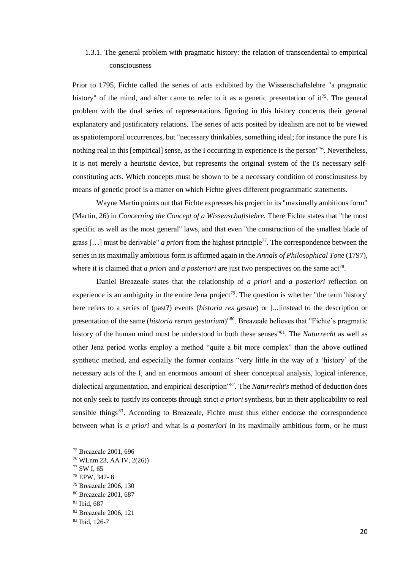# 1.3.1. The general problem with pragmatic history: the relation of transcendental to empirical consciousness

Prior to 1795, Fichte called the series of acts exhibited by the Wissenschaftslehre "a pragmatic history" of the mind, and after came to refer to it as a genetic presentation of it<sup>75</sup>. The general problem with the dual series of representations figuring in this history concerns their general explanatory and justificatory relations. The series of acts posited by idealism are not to be viewed as spatiotemporal occurrences, but "necessary thinkables, something ideal; for instance the pure I is nothing real in this [empirical] sense, as the I occurring in experience is the person  $\frac{76}{6}$ . Nevertheless, it is not merely a heuristic device, but represents the original system of the I's necessary selfconstituting acts. Which concepts must be shown to be a necessary condition of consciousness by means of genetic proof is a matter on which Fichte gives different programmatic statements.

Wayne Martin points out that Fichte expresses his project in its "maximally ambitious form" (Martin, 26) in *Concerning the Concept of a Wissenschaftslehre.* There Fichte states that "the most specific as well as the most general" laws, and that even "the construction of the smallest blade of grass […] must be derivable" *a priori* from the highest principle<sup>77</sup>. The correspondence between the series in its maximally ambitious form is affirmed again in the *Annals of Philosophical Tone* (1797), where it is claimed that *a priori* and *a posteriori* are just two perspectives on the same act<sup>78</sup>.

Daniel Breazeale states that the relationship of *a priori* and *a posteriori* reflection on experience is an ambiguity in the entire Jena project<sup>79</sup>. The question is whether "the term 'history' here refers to a series of (past?) events (*historia res gestae*) or [...]instead to the description or presentation of the same (*historia rerum gestarium*)"<sup>80</sup>. Breazeale believes that "Fichte's pragmatic history of the human mind must be understood in both these senses"<sup>81</sup>. The *Naturrecht* as well as other Jena period works employ a method "quite a bit more complex" than the above outlined synthetic method, and especially the former contains "very little in the way of a 'history' of the necessary acts of the I, and an enormous amount of sheer conceptual analysis, logical inference, dialectical argumentation, and empirical description"<sup>82</sup>. The *Naturrecht's* method of deduction does not only seek to justify its concepts through strict *a priori* synthesis, but in their applicability to real sensible things $83$ . According to Breazeale, Fichte must thus either endorse the correspondence between what is *a priori* and what is *a posteriori* in its maximally ambitious form, or he must

<sup>75</sup> Breazeale 2001, 696

<sup>76</sup> WLnm 23, AA IV, 2(26))

<sup>77</sup> SW I, 65

<sup>78</sup> EPW, 347- 8

<sup>79</sup> Breazeale 2006, 130

<sup>80</sup> Breazeale 2001, 687

<sup>81</sup> Ibid, 687

<sup>82</sup> Breazeale 2006, 121

<sup>83</sup> Ibid, 126-7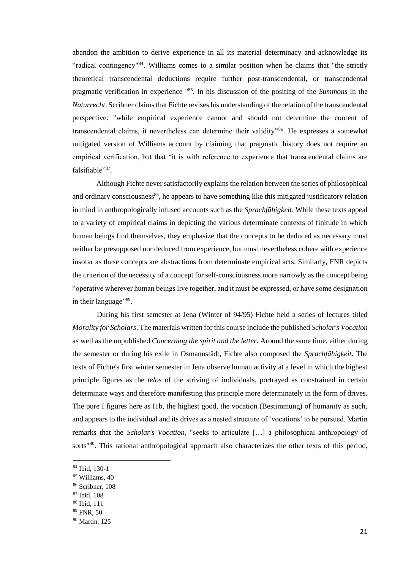abandon the ambition to derive experience in all its material determinacy and acknowledge its "radical contingency"<sup>84</sup>. Williams comes to a similar position when he claims that "the strictly theoretical transcendental deductions require further post-transcendental, or transcendental pragmatic verification in experience "<sup>85</sup>. In his discussion of the positing of the *Summons* in the *Naturrecht*, Scribner claims that Fichte revises his understanding of the relation of the transcendental perspective: "while empirical experience cannot and should not determine the content of transcendental claims, it nevertheless can determine their validity"<sup>86</sup>. He expresses a somewhat mitigated version of Williams account by claiming that pragmatic history does not require an empirical verification, but that "it is with reference to experience that transcendental claims are falsifiable"<sup>87</sup>.

Although Fichte never satisfactorily explains the relation between the series of philosophical and ordinary consciousness<sup>88</sup>, he appears to have something like this mitigated justificatory relation in mind in anthropologically infused accounts such as the *Sprachfähigkeit*. While these texts appeal to a variety of empirical claims in depicting the various determinate contexts of finitude in which human beings find themselves, they emphasize that the concepts to be deduced as necessary must neither be presupposed nor deduced from experience, but must nevertheless cohere with experience insofar as these concepts are abstractions from determinate empirical acts. Similarly, FNR depicts the criterion of the necessity of a concept for self-consciousness more narrowly as the concept being "operative wherever human beings live together, and it must be expressed, or have some designation in their language"<sup>89</sup>.

During his first semester at Jena (Winter of 94/95) Fichte held a series of lectures titled *Morality for Scholars*. The materials written for this course include the published *Scholar's Vocation* as well as the unpublished *Concerning the spirit and the letter*. Around the same time, either during the semester or during his exile in Osmannstädt, Fichte also composed the *Sprachfähigkeit*. The texts of Fichte's first winter semester in Jena observe human activity at a level in which the highest principle figures as the *telos* of the striving of individuals, portrayed as constrained in certain determinate ways and therefore manifesting this principle more determinately in the form of drives. The pure I figures here as I1b, the highest good, the vocation (Bestimmung) of humanity as such, and appears to the individual and its drives as a nested structure of 'vocations' to be pursued. Martin remarks that the *Scholar's Vocation,* "seeks to articulate […] a philosophical anthropology of sorts"<sup>90</sup>. This rational anthropological approach also characterizes the other texts of this period,

<sup>84</sup> Ibid, 130-1

<sup>85</sup> Williams, 40

<sup>86</sup> Scribner, 108

<sup>87</sup> Ibid, 108

<sup>88</sup> Ibid, 111

<sup>89</sup> FNR, 50

<sup>90</sup> Martin, 125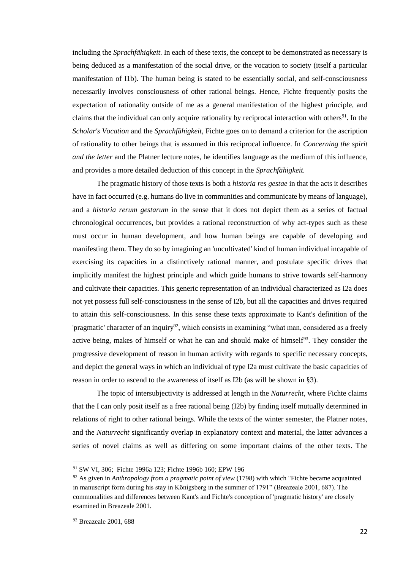including the *Sprachfähigkeit.* In each of these texts, the concept to be demonstrated as necessary is being deduced as a manifestation of the social drive, or the vocation to society (itself a particular manifestation of I1b). The human being is stated to be essentially social, and self-consciousness necessarily involves consciousness of other rational beings. Hence, Fichte frequently posits the expectation of rationality outside of me as a general manifestation of the highest principle, and claims that the individual can only acquire rationality by reciprocal interaction with others<sup>91</sup>. In the *Scholar's Vocation* and the *Sprachfähigkeit*, Fichte goes on to demand a criterion for the ascription of rationality to other beings that is assumed in this reciprocal influence. In *Concerning the spirit and the letter* and the Platner lecture notes, he identifies language as the medium of this influence, and provides a more detailed deduction of this concept in the *Sprachfähigkeit.* 

The pragmatic history of those texts is both a *historia res gestae* in that the acts it describes have in fact occurred (e.g. humans do live in communities and communicate by means of language), and a *historia rerum gestarum* in the sense that it does not depict them as a series of factual chronological occurrences, but provides a rational reconstruction of why act-types such as these must occur in human development, and how human beings are capable of developing and manifesting them. They do so by imagining an 'uncultivated' kind of human individual incapable of exercising its capacities in a distinctively rational manner, and postulate specific drives that implicitly manifest the highest principle and which guide humans to strive towards self-harmony and cultivate their capacities. This generic representation of an individual characterized as I2a does not yet possess full self-consciousness in the sense of I2b, but all the capacities and drives required to attain this self-consciousness. In this sense these texts approximate to Kant's definition of the 'pragmatic' character of an inquiry<sup>92</sup>, which consists in examining "what man, considered as a freely active being, makes of himself or what he can and should make of himself $93$ . They consider the progressive development of reason in human activity with regards to specific necessary concepts, and depict the general ways in which an individual of type I2a must cultivate the basic capacities of reason in order to ascend to the awareness of itself as I2b (as will be shown in §3).

The topic of intersubjectivity is addressed at length in the *Naturrecht*, where Fichte claims that the I can only posit itself as a free rational being (I2b) by finding itself mutually determined in relations of right to other rational beings. While the texts of the winter semester, the Platner notes, and the *Naturrecht* significantly overlap in explanatory context and material, the latter advances a series of novel claims as well as differing on some important claims of the other texts. The

<sup>91</sup> SW VI, 306; Fichte 1996a 123; Fichte 1996b 160; EPW 196

<sup>92</sup> As given in *Anthropology from a pragmatic point of view* (1798) with which "Fichte became acquainted in manuscript form during his stay in Königsberg in the summer of 1791" (Breazeale 2001, 687). The commonalities and differences between Kant's and Fichte's conception of 'pragmatic history' are closely examined in Breazeale 2001.

<sup>93</sup> Breazeale 2001, 688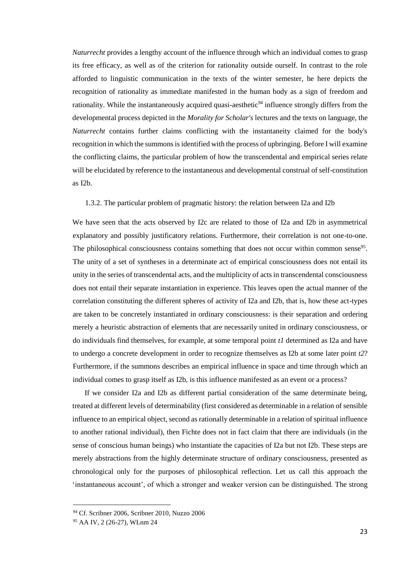*Naturrecht* provides a lengthy account of the influence through which an individual comes to grasp its free efficacy, as well as of the criterion for rationality outside ourself. In contrast to the role afforded to linguistic communication in the texts of the winter semester, he here depicts the recognition of rationality as immediate manifested in the human body as a sign of freedom and rationality. While the instantaneously acquired quasi-aesthetic<sup>94</sup> influence strongly differs from the developmental process depicted in the *Morality for Scholar's* lectures and the texts on language, the *Naturrecht* contains further claims conflicting with the instantaneity claimed for the body's recognition in which the summons is identified with the process of upbringing. Before I will examine the conflicting claims, the particular problem of how the transcendental and empirical series relate will be elucidated by reference to the instantaneous and developmental construal of self-constitution as I2b.

# 1.3.2. The particular problem of pragmatic history: the relation between I2a and I2b

We have seen that the acts observed by I2c are related to those of I2a and I2b in asymmetrical explanatory and possibly justificatory relations. Furthermore, their correlation is not one-to-one. The philosophical consciousness contains something that does not occur within common sense<sup>95</sup>. The unity of a set of syntheses in a determinate act of empirical consciousness does not entail its unity in the series of transcendental acts, and the multiplicity of acts in transcendental consciousness does not entail their separate instantiation in experience. This leaves open the actual manner of the correlation constituting the different spheres of activity of I2a and I2b, that is, how these act-types are taken to be concretely instantiated in ordinary consciousness: is their separation and ordering merely a heuristic abstraction of elements that are necessarily united in ordinary consciousness, or do individuals find themselves, for example, at some temporal point *t1* determined as I2a and have to undergo a concrete development in order to recognize themselves as I2b at some later point *t2*? Furthermore, if the summons describes an empirical influence in space and time through which an individual comes to grasp itself as I2b, is this influence manifested as an event or a process?

If we consider I2a and I2b as different partial consideration of the same determinate being, treated at different levels of determinability (first considered as determinable in a relation of sensible influence to an empirical object, second as rationally determinable in a relation of spiritual influence to another rational individual), then Fichte does not in fact claim that there are individuals (in the sense of conscious human beings) who instantiate the capacities of I2a but not I2b. These steps are merely abstractions from the highly determinate structure of ordinary consciousness, presented as chronological only for the purposes of philosophical reflection. Let us call this approach the 'instantaneous account', of which a stronger and weaker version can be distinguished. The strong

<sup>94</sup> Cf. Scribner 2006, Scribner 2010, Nuzzo 2006

<sup>95</sup> AA IV, 2 (26-27), WLnm 24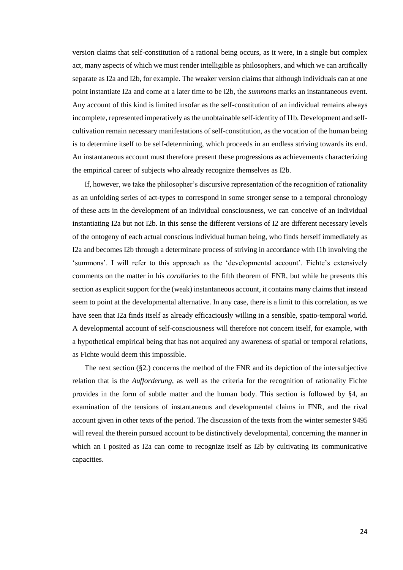version claims that self-constitution of a rational being occurs, as it were, in a single but complex act, many aspects of which we must render intelligible as philosophers, and which we can artifically separate as I2a and I2b, for example. The weaker version claims that although individuals can at one point instantiate I2a and come at a later time to be I2b, the *summons* marks an instantaneous event. Any account of this kind is limited insofar as the self-constitution of an individual remains always incomplete, represented imperatively as the unobtainable self-identity of I1b. Development and selfcultivation remain necessary manifestations of self-constitution, as the vocation of the human being is to determine itself to be self-determining, which proceeds in an endless striving towards its end. An instantaneous account must therefore present these progressions as achievements characterizing the empirical career of subjects who already recognize themselves as I2b.

If, however, we take the philosopher's discursive representation of the recognition of rationality as an unfolding series of act-types to correspond in some stronger sense to a temporal chronology of these acts in the development of an individual consciousness, we can conceive of an individual instantiating I2a but not I2b. In this sense the different versions of I2 are different necessary levels of the ontogeny of each actual conscious individual human being, who finds herself immediately as I2a and becomes I2b through a determinate process of striving in accordance with I1b involving the 'summons'. I will refer to this approach as the 'developmental account'. Fichte's extensively comments on the matter in his *corollaries* to the fifth theorem of FNR, but while he presents this section as explicit support for the (weak) instantaneous account, it contains many claims that instead seem to point at the developmental alternative. In any case, there is a limit to this correlation, as we have seen that I2a finds itself as already efficaciously willing in a sensible, spatio-temporal world. A developmental account of self-consciousness will therefore not concern itself, for example, with a hypothetical empirical being that has not acquired any awareness of spatial or temporal relations, as Fichte would deem this impossible.

The next section (§2.) concerns the method of the FNR and its depiction of the intersubjective relation that is the *Aufforderung*, as well as the criteria for the recognition of rationality Fichte provides in the form of subtle matter and the human body. This section is followed by §4, an examination of the tensions of instantaneous and developmental claims in FNR, and the rival account given in other texts of the period. The discussion of the texts from the winter semester 9495 will reveal the therein pursued account to be distinctively developmental, concerning the manner in which an I posited as I2a can come to recognize itself as I2b by cultivating its communicative capacities.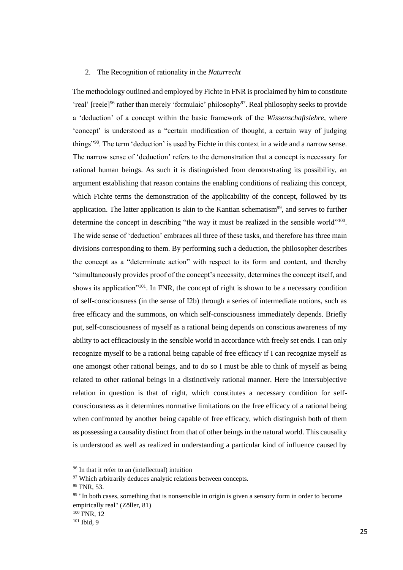#### 2. The Recognition of rationality in the *Naturrecht*

The methodology outlined and employed by Fichte in FNR is proclaimed by him to constitute 'real' [reele]<sup>96</sup> rather than merely 'formulaic' philosophy<sup>97</sup>. Real philosophy seeks to provide a 'deduction' of a concept within the basic framework of the *Wissenschaftslehre*, where 'concept' is understood as a "certain modification of thought, a certain way of judging things"<sup>98</sup>. The term 'deduction' is used by Fichte in this context in a wide and a narrow sense. The narrow sense of 'deduction' refers to the demonstration that a concept is necessary for rational human beings. As such it is distinguished from demonstrating its possibility, an argument establishing that reason contains the enabling conditions of realizing this concept, which Fichte terms the demonstration of the applicability of the concept, followed by its application. The latter application is akin to the Kantian schematism<sup>99</sup>, and serves to further determine the concept in describing "the way it must be realized in the sensible world"<sup>100</sup>. The wide sense of 'deduction' embraces all three of these tasks, and therefore has three main divisions corresponding to them. By performing such a deduction, the philosopher describes the concept as a "determinate action" with respect to its form and content, and thereby "simultaneously provides proof of the concept's necessity, determines the concept itself, and shows its application"<sup>101</sup>. In FNR, the concept of right is shown to be a necessary condition of self-consciousness (in the sense of I2b) through a series of intermediate notions, such as free efficacy and the summons, on which self-consciousness immediately depends. Briefly put, self-consciousness of myself as a rational being depends on conscious awareness of my ability to act efficaciously in the sensible world in accordance with freely set ends. I can only recognize myself to be a rational being capable of free efficacy if I can recognize myself as one amongst other rational beings, and to do so I must be able to think of myself as being related to other rational beings in a distinctively rational manner. Here the intersubjective relation in question is that of right, which constitutes a necessary condition for selfconsciousness as it determines normative limitations on the free efficacy of a rational being when confronted by another being capable of free efficacy, which distinguish both of them as possessing a causality distinct from that of other beings in the natural world. This causality is understood as well as realized in understanding a particular kind of influence caused by

<sup>&</sup>lt;sup>96</sup> In that it refer to an (intellectual) intuition

<sup>&</sup>lt;sup>97</sup> Which arbitrarily deduces analytic relations between concepts.

<sup>98</sup> FNR, 53.

<sup>&</sup>lt;sup>99</sup> "In both cases, something that is nonsensible in origin is given a sensory form in order to become empirically real" (Zöller, 81)

 $100$  FNR, 12

<sup>&</sup>lt;sup>101</sup> Ibid, 9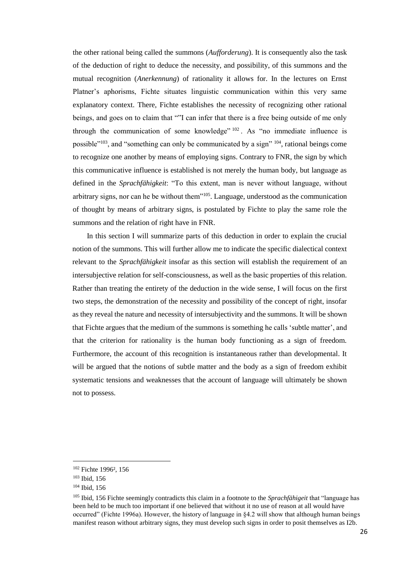the other rational being called the summons (*Aufforderung*). It is consequently also the task of the deduction of right to deduce the necessity, and possibility, of this summons and the mutual recognition (*Anerkennung*) of rationality it allows for. In the lectures on Ernst Platner's aphorisms, Fichte situates linguistic communication within this very same explanatory context. There, Fichte establishes the necessity of recognizing other rational beings, and goes on to claim that ""I can infer that there is a free being outside of me only through the communication of some knowledge"  $102$ . As "no immediate influence is possible"<sup>103</sup>, and "something can only be communicated by a sign" <sup>104</sup>, rational beings come to recognize one another by means of employing signs. Contrary to FNR, the sign by which this communicative influence is established is not merely the human body, but language as defined in the *Sprachfähigkeit*: "To this extent, man is never without language, without arbitrary signs, nor can he be without them"<sup>105</sup>. Language, understood as the communication of thought by means of arbitrary signs, is postulated by Fichte to play the same role the summons and the relation of right have in FNR.

In this section I will summarize parts of this deduction in order to explain the crucial notion of the summons. This will further allow me to indicate the specific dialectical context relevant to the *Sprachfähigkeit* insofar as this section will establish the requirement of an intersubjective relation for self-consciousness, as well as the basic properties of this relation. Rather than treating the entirety of the deduction in the wide sense, I will focus on the first two steps, the demonstration of the necessity and possibility of the concept of right, insofar as they reveal the nature and necessity of intersubjectivity and the summons. It will be shown that Fichte argues that the medium of the summons is something he calls 'subtle matter', and that the criterion for rationality is the human body functioning as a sign of freedom. Furthermore, the account of this recognition is instantaneous rather than developmental. It will be argued that the notions of subtle matter and the body as a sign of freedom exhibit systematic tensions and weaknesses that the account of language will ultimately be shown not to possess.

<sup>102</sup> Fichte 1996², 156

<sup>103</sup> Ibid, 156

<sup>104</sup> Ibid, 156

<sup>105</sup> Ibid, 156 Fichte seemingly contradicts this claim in a footnote to the *Sprachfähigeit* that "language has been held to be much too important if one believed that without it no use of reason at all would have occurred" (Fichte 1996a). However, the history of language in §4.2 will show that although human beings manifest reason without arbitrary signs, they must develop such signs in order to posit themselves as I2b.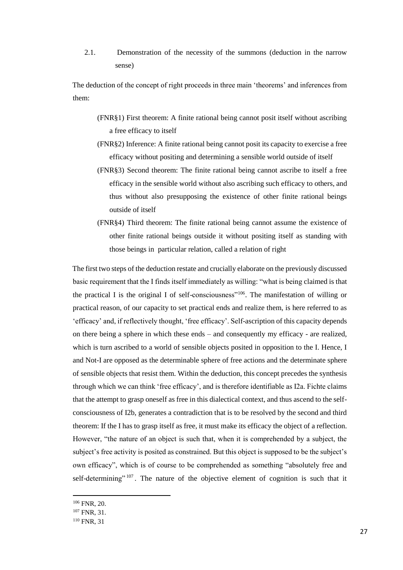2.1. Demonstration of the necessity of the summons (deduction in the narrow sense)

The deduction of the concept of right proceeds in three main 'theorems' and inferences from them:

- (FNR§1) First theorem: A finite rational being cannot posit itself without ascribing a free efficacy to itself
- (FNR§2) Inference: A finite rational being cannot posit its capacity to exercise a free efficacy without positing and determining a sensible world outside of itself
- (FNR§3) Second theorem: The finite rational being cannot ascribe to itself a free efficacy in the sensible world without also ascribing such efficacy to others, and thus without also presupposing the existence of other finite rational beings outside of itself
- (FNR§4) Third theorem: The finite rational being cannot assume the existence of other finite rational beings outside it without positing itself as standing with those beings in particular relation, called a relation of right

The first two steps of the deduction restate and crucially elaborate on the previously discussed basic requirement that the I finds itself immediately as willing: "what is being claimed is that the practical I is the original I of self-consciousness"<sup>106</sup>. The manifestation of willing or practical reason, of our capacity to set practical ends and realize them, is here referred to as 'efficacy' and, if reflectively thought, 'free efficacy'. Self-ascription of this capacity depends on there being a sphere in which these ends – and consequently my efficacy - are realized, which is turn ascribed to a world of sensible objects posited in opposition to the I. Hence, I and Not-I are opposed as the determinable sphere of free actions and the determinate sphere of sensible objects that resist them. Within the deduction, this concept precedes the synthesis through which we can think 'free efficacy', and is therefore identifiable as I2a. Fichte claims that the attempt to grasp oneself as free in this dialectical context, and thus ascend to the selfconsciousness of I2b, generates a contradiction that is to be resolved by the second and third theorem: If the I has to grasp itself as free, it must make its efficacy the object of a reflection. However, "the nature of an object is such that, when it is comprehended by a subject, the subject's free activity is posited as constrained. But this object is supposed to be the subject's own efficacy", which is of course to be comprehended as something "absolutely free and self-determining"  $107$ . The nature of the objective element of cognition is such that it

<sup>106</sup> FNR, 20.

<sup>107</sup> FNR, 31.

<sup>110</sup> FNR, 31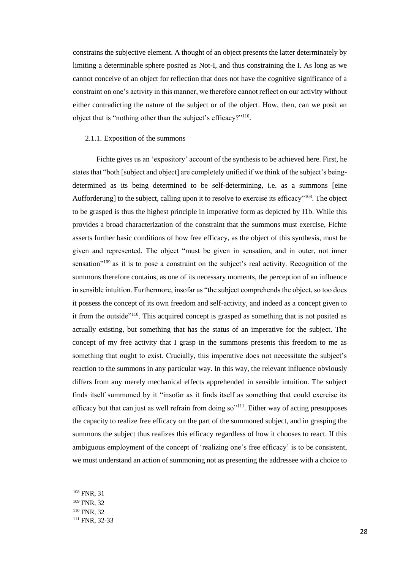constrains the subjective element. A thought of an object presents the latter determinately by limiting a determinable sphere posited as Not-I, and thus constraining the I. As long as we cannot conceive of an object for reflection that does not have the cognitive significance of a constraint on one's activity in this manner, we therefore cannot reflect on our activity without either contradicting the nature of the subject or of the object. How, then, can we posit an object that is "nothing other than the subject's efficacy?"<sup>110</sup> .

#### 2.1.1. Exposition of the summons

Fichte gives us an 'expository' account of the synthesis to be achieved here. First, he states that "both [subject and object] are completely unified if we think of the subject's beingdetermined as its being determined to be self-determining, i.e. as a summons [eine Aufforderung] to the subject, calling upon it to resolve to exercise its efficacy"<sup>108</sup>. The object to be grasped is thus the highest principle in imperative form as depicted by I1b. While this provides a broad characterization of the constraint that the summons must exercise, Fichte asserts further basic conditions of how free efficacy, as the object of this synthesis, must be given and represented. The object "must be given in sensation, and in outer, not inner sensation<sup>"109</sup> as it is to pose a constraint on the subject's real activity. Recognition of the summons therefore contains, as one of its necessary moments, the perception of an influence in sensible intuition. Furthermore, insofar as "the subject comprehends the object, so too does it possess the concept of its own freedom and self-activity, and indeed as a concept given to it from the outside<sup>"110</sup>. This acquired concept is grasped as something that is not posited as actually existing, but something that has the status of an imperative for the subject. The concept of my free activity that I grasp in the summons presents this freedom to me as something that ought to exist. Crucially, this imperative does not necessitate the subject's reaction to the summons in any particular way. In this way, the relevant influence obviously differs from any merely mechanical effects apprehended in sensible intuition. The subject finds itself summoned by it "insofar as it finds itself as something that could exercise its efficacy but that can just as well refrain from doing so<sup>"111</sup>. Either way of acting presupposes the capacity to realize free efficacy on the part of the summoned subject, and in grasping the summons the subject thus realizes this efficacy regardless of how it chooses to react. If this ambiguous employment of the concept of 'realizing one's free efficacy' is to be consistent, we must understand an action of summoning not as presenting the addressee with a choice to

<sup>108</sup> FNR, 31

- <sup>109</sup> FNR, 32
- <sup>110</sup> FNR, 32

<sup>111</sup> FNR, 32-33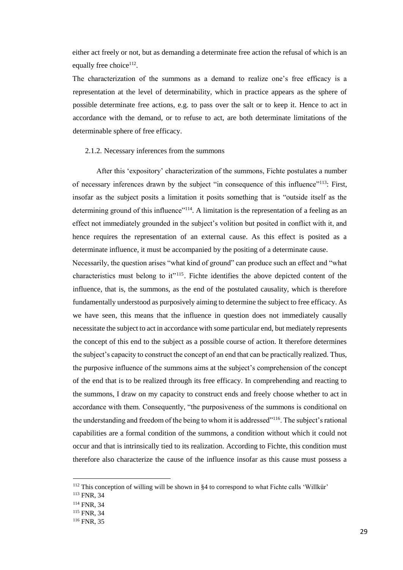either act freely or not, but as demanding a determinate free action the refusal of which is an equally free choice<sup>112</sup>.

The characterization of the summons as a demand to realize one's free efficacy is a representation at the level of determinability, which in practice appears as the sphere of possible determinate free actions, e.g. to pass over the salt or to keep it. Hence to act in accordance with the demand, or to refuse to act, are both determinate limitations of the determinable sphere of free efficacy.

### 2.1.2. Necessary inferences from the summons

After this 'expository' characterization of the summons, Fichte postulates a number of necessary inferences drawn by the subject "in consequence of this influence"<sup>113</sup>: First, insofar as the subject posits a limitation it posits something that is "outside itself as the determining ground of this influence"<sup>114</sup>. A limitation is the representation of a feeling as an effect not immediately grounded in the subject's volition but posited in conflict with it, and hence requires the representation of an external cause. As this effect is posited as a determinate influence, it must be accompanied by the positing of a determinate cause.

Necessarily, the question arises "what kind of ground" can produce such an effect and "what characteristics must belong to it"<sup>115</sup>. Fichte identifies the above depicted content of the influence, that is, the summons, as the end of the postulated causality, which is therefore fundamentally understood as purposively aiming to determine the subject to free efficacy. As we have seen, this means that the influence in question does not immediately causally necessitate the subject to act in accordance with some particular end, but mediately represents the concept of this end to the subject as a possible course of action. It therefore determines the subject's capacity to construct the concept of an end that can be practically realized. Thus, the purposive influence of the summons aims at the subject's comprehension of the concept of the end that is to be realized through its free efficacy. In comprehending and reacting to the summons, I draw on my capacity to construct ends and freely choose whether to act in accordance with them. Consequently, "the purposiveness of the summons is conditional on the understanding and freedom of the being to whom it is addressed"<sup>116</sup>. The subject's rational capabilities are a formal condition of the summons, a condition without which it could not occur and that is intrinsically tied to its realization. According to Fichte, this condition must therefore also characterize the cause of the influence insofar as this cause must possess a

<sup>&</sup>lt;sup>112</sup> This conception of willing will be shown in §4 to correspond to what Fichte calls 'Willkür'

<sup>113</sup> FNR, 34

<sup>114</sup> FNR, 34

<sup>115</sup> FNR, 34

<sup>116</sup> FNR, 35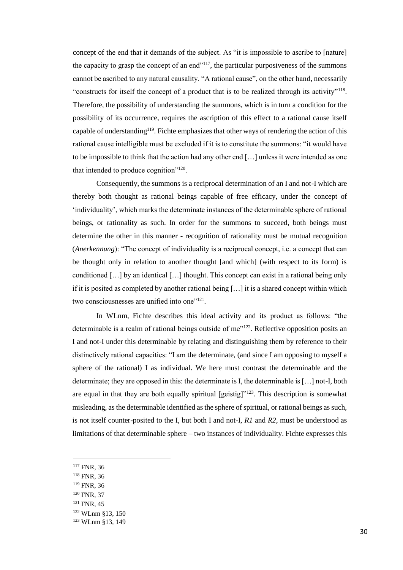concept of the end that it demands of the subject. As "it is impossible to ascribe to [nature] the capacity to grasp the concept of an end $117$ , the particular purposiveness of the summons cannot be ascribed to any natural causality. "A rational cause", on the other hand, necessarily "constructs for itself the concept of a product that is to be realized through its activity"<sup>118</sup>. Therefore, the possibility of understanding the summons, which is in turn a condition for the possibility of its occurrence, requires the ascription of this effect to a rational cause itself capable of understanding<sup>119</sup>. Fichte emphasizes that other ways of rendering the action of this rational cause intelligible must be excluded if it is to constitute the summons: "it would have to be impossible to think that the action had any other end […] unless it were intended as one that intended to produce cognition"<sup>120</sup>.

Consequently, the summons is a reciprocal determination of an I and not-I which are thereby both thought as rational beings capable of free efficacy, under the concept of 'individuality', which marks the determinate instances of the determinable sphere of rational beings, or rationality as such. In order for the summons to succeed, both beings must determine the other in this manner - recognition of rationality must be mutual recognition (*Anerkennung*): "The concept of individuality is a reciprocal concept, i.e. a concept that can be thought only in relation to another thought [and which] (with respect to its form) is conditioned […] by an identical […] thought. This concept can exist in a rational being only if it is posited as completed by another rational being […] it is a shared concept within which two consciousnesses are unified into one"<sup>121</sup>.

In WLnm, Fichte describes this ideal activity and its product as follows: "the determinable is a realm of rational beings outside of me"<sup>122</sup>. Reflective opposition posits an I and not-I under this determinable by relating and distinguishing them by reference to their distinctively rational capacities: "I am the determinate, (and since I am opposing to myself a sphere of the rational) I as individual. We here must contrast the determinable and the determinate; they are opposed in this: the determinate is I, the determinable is […] not-I, both are equal in that they are both equally spiritual  $[geisting]$ <sup>123</sup>. This description is somewhat misleading, as the determinable identified as the sphere of spiritual, or rational beings as such, is not itself counter-posited to the I, but both I and not-I, *R1* and *R2*, must be understood as limitations of that determinable sphere – two instances of individuality. Fichte expresses this

l

<sup>118</sup> FNR, 36

<sup>&</sup>lt;sup>117</sup> FNR, 36

<sup>119</sup> FNR, 36

<sup>120</sup> FNR, 37

<sup>121</sup> FNR, 45

<sup>122</sup> WLnm §13, 150

<sup>123</sup> WLnm §13, 149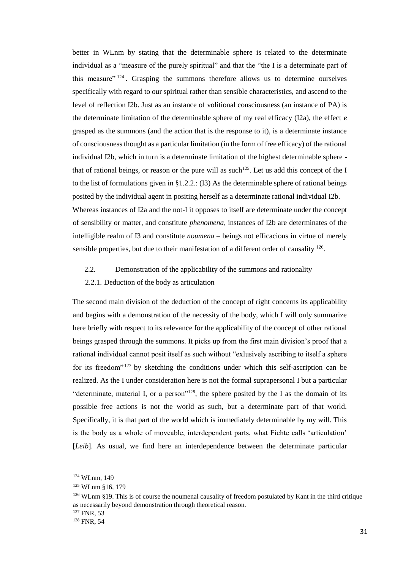better in WLnm by stating that the determinable sphere is related to the determinate individual as a "measure of the purely spiritual" and that the "the I is a determinate part of this measure" <sup>124</sup>. Grasping the summons therefore allows us to determine ourselves specifically with regard to our spiritual rather than sensible characteristics, and ascend to the level of reflection I2b. Just as an instance of volitional consciousness (an instance of PA) is the determinate limitation of the determinable sphere of my real efficacy  $(I2a)$ , the effect  $e$ grasped as the summons (and the action that is the response to it), is a determinate instance of consciousness thought as a particular limitation (in the form of free efficacy) of the rational individual I2b, which in turn is a determinate limitation of the highest determinable sphere that of rational beings, or reason or the pure will as such<sup>125</sup>. Let us add this concept of the I to the list of formulations given in §1.2.2.: (I3) As the determinable sphere of rational beings posited by the individual agent in positing herself as a determinate rational individual I2b. Whereas instances of I2a and the not-I it opposes to itself are determinate under the concept of sensibility or matter, and constitute *phenomena*, instances of I2b are determinates of the intelligible realm of I3 and constitute *noumena* – beings not efficacious in virtue of merely sensible properties, but due to their manifestation of a different order of causality <sup>126</sup>.

- 2.2. Demonstration of the applicability of the summons and rationality
- 2.2.1. Deduction of the body as articulation

The second main division of the deduction of the concept of right concerns its applicability and begins with a demonstration of the necessity of the body, which I will only summarize here briefly with respect to its relevance for the applicability of the concept of other rational beings grasped through the summons. It picks up from the first main division's proof that a rational individual cannot posit itself as such without "exlusively ascribing to itself a sphere for its freedom"<sup>127</sup> by sketching the conditions under which this self-ascription can be realized. As the I under consideration here is not the formal suprapersonal I but a particular "determinate, material I, or a person"<sup>128</sup>, the sphere posited by the I as the domain of its possible free actions is not the world as such, but a determinate part of that world. Specifically, it is that part of the world which is immediately determinable by my will. This is the body as a whole of moveable, interdependent parts, what Fichte calls 'articulation' [*Leib*]. As usual, we find here an interdependence between the determinate particular

<sup>124</sup> WLnm, 149

<sup>125</sup> WLnm §16, 179

 $126$  WLnm §19. This is of course the noumenal causality of freedom postulated by Kant in the third critique as necessarily beyond demonstration through theoretical reason.

<sup>127</sup> FNR, 53

<sup>128</sup> FNR, 54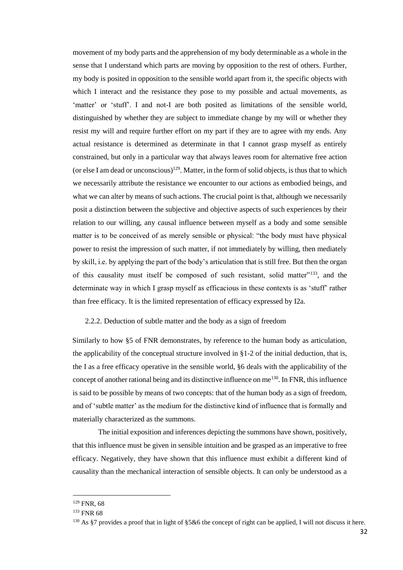movement of my body parts and the apprehension of my body determinable as a whole in the sense that I understand which parts are moving by opposition to the rest of others. Further, my body is posited in opposition to the sensible world apart from it, the specific objects with which I interact and the resistance they pose to my possible and actual movements, as 'matter' or 'stuff'. I and not-I are both posited as limitations of the sensible world, distinguished by whether they are subject to immediate change by my will or whether they resist my will and require further effort on my part if they are to agree with my ends. Any actual resistance is determined as determinate in that I cannot grasp myself as entirely constrained, but only in a particular way that always leaves room for alternative free action (or else I am dead or unconscious)<sup>129</sup>. Matter, in the form of solid objects, is thus that to which we necessarily attribute the resistance we encounter to our actions as embodied beings, and what we can alter by means of such actions. The crucial point is that, although we necessarily posit a distinction between the subjective and objective aspects of such experiences by their relation to our willing, any causal influence between myself as a body and some sensible matter is to be conceived of as merely sensible or physical: "the body must have physical power to resist the impression of such matter, if not immediately by willing, then mediately by skill, i.e. by applying the part of the body's articulation that is still free. But then the organ of this causality must itself be composed of such resistant, solid matter"<sup>133</sup>, and the determinate way in which I grasp myself as efficacious in these contexts is as 'stuff' rather than free efficacy. It is the limited representation of efficacy expressed by I2a.

# 2.2.2. Deduction of subtle matter and the body as a sign of freedom

Similarly to how §5 of FNR demonstrates, by reference to the human body as articulation, the applicability of the conceptual structure involved in  $\S1-2$  of the initial deduction, that is, the I as a free efficacy operative in the sensible world, §6 deals with the applicability of the concept of another rational being and its distinctive influence on me $130$ . In FNR, this influence is said to be possible by means of two concepts: that of the human body as a sign of freedom, and of 'subtle matter' as the medium for the distinctive kind of influence that is formally and materially characterized as the summons.

The initial exposition and inferences depicting the summons have shown, positively, that this influence must be given in sensible intuition and be grasped as an imperative to free efficacy. Negatively, they have shown that this influence must exhibit a different kind of causality than the mechanical interaction of sensible objects. It can only be understood as a

<sup>129</sup> FNR, 68

<sup>133</sup> FNR 68

<sup>130</sup> As §7 provides a proof that in light of §5&6 the concept of right can be applied, I will not discuss it here.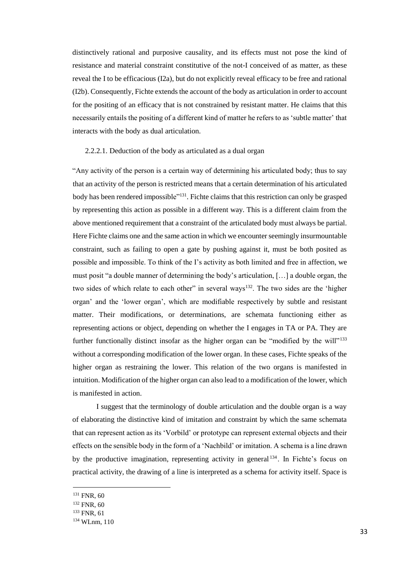distinctively rational and purposive causality, and its effects must not pose the kind of resistance and material constraint constitutive of the not-I conceived of as matter, as these reveal the I to be efficacious (I2a), but do not explicitly reveal efficacy to be free and rational (I2b). Consequently, Fichte extends the account of the body as articulation in order to account for the positing of an efficacy that is not constrained by resistant matter. He claims that this necessarily entails the positing of a different kind of matter he refers to as 'subtle matter' that interacts with the body as dual articulation.

# 2.2.2.1. Deduction of the body as articulated as a dual organ

"Any activity of the person is a certain way of determining his articulated body; thus to say that an activity of the person is restricted means that a certain determination of his articulated body has been rendered impossible"<sup>131</sup>. Fichte claims that this restriction can only be grasped by representing this action as possible in a different way. This is a different claim from the above mentioned requirement that a constraint of the articulated body must always be partial. Here Fichte claims one and the same action in which we encounter seemingly insurmountable constraint, such as failing to open a gate by pushing against it, must be both posited as possible and impossible. To think of the I's activity as both limited and free in affection, we must posit "a double manner of determining the body's articulation, […] a double organ, the two sides of which relate to each other" in several ways<sup>132</sup>. The two sides are the 'higher organ' and the 'lower organ', which are modifiable respectively by subtle and resistant matter. Their modifications, or determinations, are schemata functioning either as representing actions or object, depending on whether the I engages in TA or PA. They are further functionally distinct insofar as the higher organ can be "modified by the will"<sup>133</sup> without a corresponding modification of the lower organ. In these cases, Fichte speaks of the higher organ as restraining the lower. This relation of the two organs is manifested in intuition. Modification of the higher organ can also lead to a modification of the lower, which is manifested in action.

I suggest that the terminology of double articulation and the double organ is a way of elaborating the distinctive kind of imitation and constraint by which the same schemata that can represent action as its 'Vorbild' or prototype can represent external objects and their effects on the sensible body in the form of a 'Nachbild' or imitation. A schema is a line drawn by the productive imagination, representing activity in general <sup>134</sup>. In Fichte's focus on practical activity, the drawing of a line is interpreted as a schema for activity itself. Space is

<sup>&</sup>lt;sup>131</sup> FNR, 60

<sup>132</sup> FNR, 60

<sup>&</sup>lt;sup>133</sup> FNR, 61

<sup>134</sup> WLnm, 110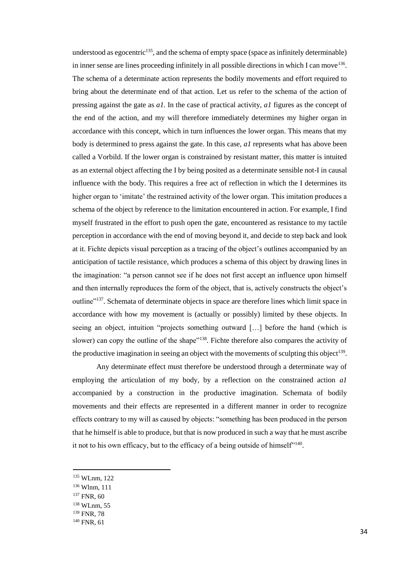understood as egocentric<sup>135</sup>, and the schema of empty space (space as infinitely determinable) in inner sense are lines proceeding infinitely in all possible directions in which I can move<sup>136</sup>. The schema of a determinate action represents the bodily movements and effort required to bring about the determinate end of that action. Let us refer to the schema of the action of pressing against the gate as *a1.* In the case of practical activity, *a1* figures as the concept of the end of the action, and my will therefore immediately determines my higher organ in accordance with this concept, which in turn influences the lower organ. This means that my body is determined to press against the gate. In this case, *a1* represents what has above been called a Vorbild. If the lower organ is constrained by resistant matter, this matter is intuited as an external object affecting the I by being posited as a determinate sensible not-I in causal influence with the body. This requires a free act of reflection in which the I determines its higher organ to 'imitate' the restrained activity of the lower organ. This imitation produces a schema of the object by reference to the limitation encountered in action. For example, I find myself frustrated in the effort to push open the gate, encountered as resistance to my tactile perception in accordance with the end of moving beyond it, and decide to step back and look at it. Fichte depicts visual perception as a tracing of the object's outlines accompanied by an anticipation of tactile resistance, which produces a schema of this object by drawing lines in the imagination: "a person cannot see if he does not first accept an influence upon himself and then internally reproduces the form of the object, that is, actively constructs the object's outline"<sup>137</sup>. Schemata of determinate objects in space are therefore lines which limit space in accordance with how my movement is (actually or possibly) limited by these objects. In seeing an object, intuition "projects something outward […] before the hand (which is slower) can copy the outline of the shape<sup>"138</sup>. Fichte therefore also compares the activity of the productive imagination in seeing an object with the movements of sculpting this object<sup>139</sup>.

Any determinate effect must therefore be understood through a determinate way of employing the articulation of my body, by a reflection on the constrained action *a1*  accompanied by a construction in the productive imagination. Schemata of bodily movements and their effects are represented in a different manner in order to recognize effects contrary to my will as caused by objects: "something has been produced in the person that he himself is able to produce, but that is now produced in such a way that he must ascribe it not to his own efficacy, but to the efficacy of a being outside of himself $140$ .

<sup>135</sup> WLnm, 122

<sup>136</sup> Wlnm, 111

<sup>137</sup> FNR, 60

<sup>138</sup> WLnm, 55

<sup>139</sup> FNR, 78

<sup>140</sup> FNR, 61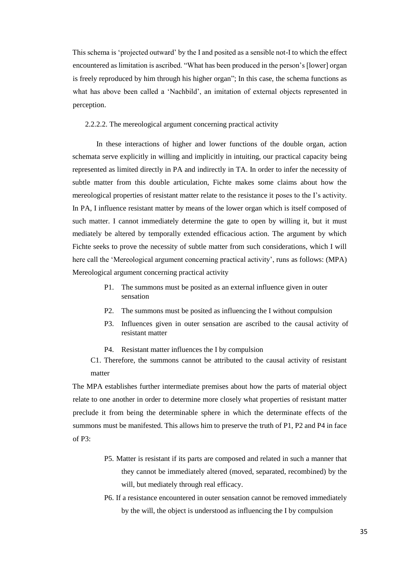This schema is 'projected outward' by the I and posited as a sensible not-I to which the effect encountered as limitation is ascribed. "What has been produced in the person's [lower] organ is freely reproduced by him through his higher organ"; In this case, the schema functions as what has above been called a 'Nachbild', an imitation of external objects represented in perception.

# 2.2.2.2. The mereological argument concerning practical activity

In these interactions of higher and lower functions of the double organ, action schemata serve explicitly in willing and implicitly in intuiting, our practical capacity being represented as limited directly in PA and indirectly in TA. In order to infer the necessity of subtle matter from this double articulation, Fichte makes some claims about how the mereological properties of resistant matter relate to the resistance it poses to the I's activity. In PA, I influence resistant matter by means of the lower organ which is itself composed of such matter. I cannot immediately determine the gate to open by willing it, but it must mediately be altered by temporally extended efficacious action. The argument by which Fichte seeks to prove the necessity of subtle matter from such considerations, which I will here call the 'Mereological argument concerning practical activity', runs as follows: (MPA) Mereological argument concerning practical activity

- P1. The summons must be posited as an external influence given in outer sensation
- P2. The summons must be posited as influencing the I without compulsion
- P3. Influences given in outer sensation are ascribed to the causal activity of resistant matter
- P4. Resistant matter influences the I by compulsion
- C1. Therefore, the summons cannot be attributed to the causal activity of resistant matter

The MPA establishes further intermediate premises about how the parts of material object relate to one another in order to determine more closely what properties of resistant matter preclude it from being the determinable sphere in which the determinate effects of the summons must be manifested. This allows him to preserve the truth of P1, P2 and P4 in face of P3:

- P5. Matter is resistant if its parts are composed and related in such a manner that they cannot be immediately altered (moved, separated, recombined) by the will, but mediately through real efficacy.
- P6. If a resistance encountered in outer sensation cannot be removed immediately by the will, the object is understood as influencing the I by compulsion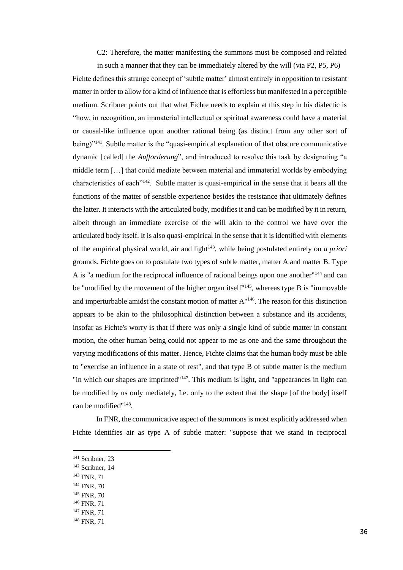C2: Therefore, the matter manifesting the summons must be composed and related

in such a manner that they can be immediately altered by the will (via P2, P5, P6) Fichte defines this strange concept of 'subtle matter' almost entirely in opposition to resistant matter in order to allow for a kind of influence that is effortless but manifested in a perceptible medium. Scribner points out that what Fichte needs to explain at this step in his dialectic is "how, in recognition, an immaterial intellectual or spiritual awareness could have a material or causal-like influence upon another rational being (as distinct from any other sort of being)"<sup>141</sup>. Subtle matter is the "quasi-empirical explanation of that obscure communicative dynamic [called] the *Aufforderung*", and introduced to resolve this task by designating "a middle term […] that could mediate between material and immaterial worlds by embodying characteristics of each"<sup>142</sup>. Subtle matter is quasi-empirical in the sense that it bears all the functions of the matter of sensible experience besides the resistance that ultimately defines the latter. It interacts with the articulated body, modifies it and can be modified by it in return, albeit through an immediate exercise of the will akin to the control we have over the articulated body itself. It is also quasi-empirical in the sense that it is identified with elements of the empirical physical world, air and light<sup>143</sup>, while being postulated entirely on *a priori* grounds. Fichte goes on to postulate two types of subtle matter, matter A and matter B. Type A is "a medium for the reciprocal influence of rational beings upon one another"<sup>144</sup> and can be "modified by the movement of the higher organ itself"<sup>145</sup>, whereas type B is "immovable and imperturbable amidst the constant motion of matter A"<sup>146</sup>. The reason for this distinction appears to be akin to the philosophical distinction between a substance and its accidents, insofar as Fichte's worry is that if there was only a single kind of subtle matter in constant motion, the other human being could not appear to me as one and the same throughout the varying modifications of this matter. Hence, Fichte claims that the human body must be able to "exercise an influence in a state of rest", and that type B of subtle matter is the medium "in which our shapes are imprinted"<sup>147</sup>. This medium is light, and "appearances in light can be modified by us only mediately, I.e. only to the extent that the shape [of the body] itself can be modified"<sup>148</sup> .

In FNR, the communicative aspect of the summons is most explicitly addressed when Fichte identifies air as type A of subtle matter: "suppose that we stand in reciprocal

- <sup>142</sup> Scribner, 14
- <sup>143</sup> FNR, 71
- <sup>144</sup> FNR, 70
- <sup>145</sup> FNR, 70
- <sup>146</sup> FNR, 71
- <sup>147</sup> FNR, 71
- <sup>148</sup> FNR, 71

<sup>&</sup>lt;sup>141</sup> Scribner, 23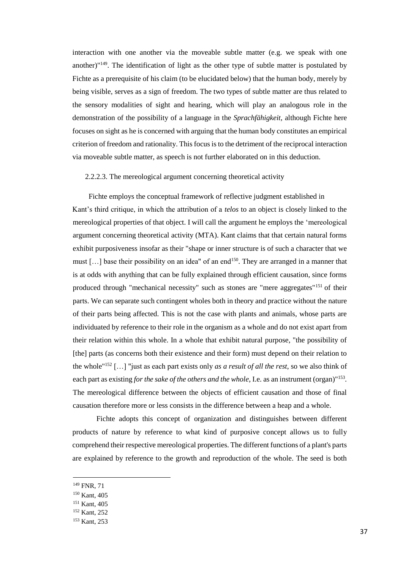interaction with one another via the moveable subtle matter (e.g. we speak with one another)" $149$ . The identification of light as the other type of subtle matter is postulated by Fichte as a prerequisite of his claim (to be elucidated below) that the human body, merely by being visible, serves as a sign of freedom. The two types of subtle matter are thus related to the sensory modalities of sight and hearing, which will play an analogous role in the demonstration of the possibility of a language in the *Sprachfähigkeit,* although Fichte here focuses on sight as he is concerned with arguing that the human body constitutes an empirical criterion of freedom and rationality. This focus is to the detriment of the reciprocal interaction via moveable subtle matter, as speech is not further elaborated on in this deduction.

# 2.2.2.3. The mereological argument concerning theoretical activity

Fichte employs the conceptual framework of reflective judgment established in Kant's third critique, in which the attribution of a *telos* to an object is closely linked to the mereological properties of that object. I will call the argument he employs the 'mereological argument concerning theoretical activity (MTA). Kant claims that that certain natural forms exhibit purposiveness insofar as their "shape or inner structure is of such a character that we must [...] base their possibility on an idea" of an end<sup>150</sup>. They are arranged in a manner that is at odds with anything that can be fully explained through efficient causation, since forms produced through "mechanical necessity" such as stones are "mere aggregates"<sup>151</sup> of their parts. We can separate such contingent wholes both in theory and practice without the nature of their parts being affected. This is not the case with plants and animals, whose parts are individuated by reference to their role in the organism as a whole and do not exist apart from their relation within this whole. In a whole that exhibit natural purpose, "the possibility of [the] parts (as concerns both their existence and their form) must depend on their relation to the whole"<sup>152</sup> […] "just as each part exists only *as a result of all the rest*, so we also think of each part as existing *for the sake of the others and the whole*, I.e. as an instrument (organ)<sup>"153</sup>. The mereological difference between the objects of efficient causation and those of final causation therefore more or less consists in the difference between a heap and a whole.

Fichte adopts this concept of organization and distinguishes between different products of nature by reference to what kind of purposive concept allows us to fully comprehend their respective mereological properties. The different functions of a plant's parts are explained by reference to the growth and reproduction of the whole. The seed is both

<sup>149</sup> FNR, 71

<sup>150</sup> Kant, 405

<sup>151</sup> Kant, 405

<sup>152</sup> Kant, 252

<sup>153</sup> Kant, 253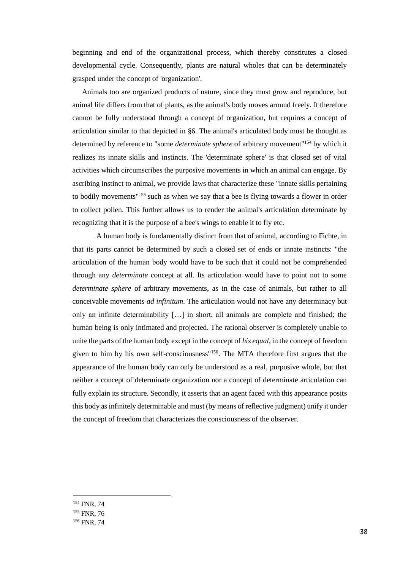beginning and end of the organizational process, which thereby constitutes a closed developmental cycle. Consequently, plants are natural wholes that can be determinately grasped under the concept of 'organization'.

Animals too are organized products of nature, since they must grow and reproduce, but animal life differs from that of plants, as the animal's body moves around freely. It therefore cannot be fully understood through a concept of organization, but requires a concept of articulation similar to that depicted in §6. The animal's articulated body must be thought as determined by reference to "some *determinate sphere* of arbitrary movement"<sup>154</sup> by which it realizes its innate skills and instincts. The 'determinate sphere' is that closed set of vital activities which circumscribes the purposive movements in which an animal can engage. By ascribing instinct to animal, we provide laws that characterize these "innate skills pertaining to bodily movements"<sup>155</sup> such as when we say that a bee is flying towards a flower in order to collect pollen. This further allows us to render the animal's articulation determinate by recognizing that it is the purpose of a bee's wings to enable it to fly etc.

A human body is fundamentally distinct from that of animal, according to Fichte, in that its parts cannot be determined by such a closed set of ends or innate instincts: "the articulation of the human body would have to be such that it could not be comprehended through any *determinate* concept at all. Its articulation would have to point not to some *determinate sphere* of arbitrary movements, as in the case of animals, but rather to all conceivable movements *ad infinitum*. The articulation would not have any determinacy but only an infinite determinability […] in short, all animals are complete and finished; the human being is only intimated and projected. The rational observer is completely unable to unite the parts of the human body except in the concept of *his equal*, in the concept of freedom given to him by his own self-consciousness"<sup>156</sup>. The MTA therefore first argues that the appearance of the human body can only be understood as a real, purposive whole, but that neither a concept of determinate organization nor a concept of determinate articulation can fully explain its structure. Secondly, it asserts that an agent faced with this appearance posits this body as infinitely determinable and must (by means of reflective judgment) unify it under the concept of freedom that characterizes the consciousness of the observer.

<sup>154</sup> FNR, 74

<sup>&</sup>lt;sup>155</sup> FNR, 76

<sup>156</sup> FNR, 74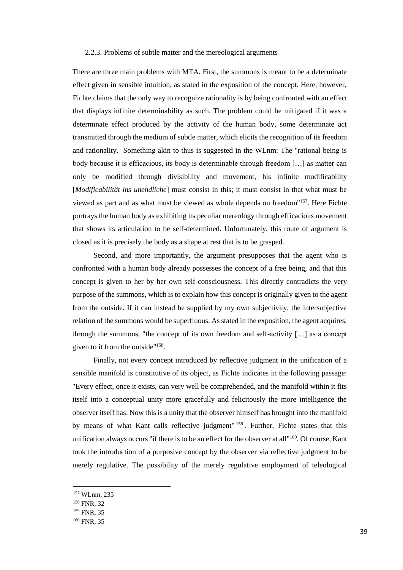# 2.2.3. Problems of subtle matter and the mereological arguments

There are three main problems with MTA. First, the summons is meant to be a determinate effect given in sensible intuition, as stated in the exposition of the concept. Here, however, Fichte claims that the only way to recognize rationality is by being confronted with an effect that displays infinite determinability as such. The problem could be mitigated if it was a determinate effect produced by the activity of the human body, some determinate act transmitted through the medium of subtle matter, which elicits the recognition of its freedom and rationality. Something akin to thus is suggested in the WLnm: The "rational being is body because it is efficacious, its body is determinable through freedom […] as matter can only be modified through divisibility and movement, his infinite modificability [*Modificabilität ins unendliche*] must consist in this; it must consist in that what must be viewed as part and as what must be viewed as whole depends on freedom"<sup>157</sup>. Here Fichte portrays the human body as exhibiting its peculiar mereology through efficacious movement that shows its articulation to be self-determined. Unfortunately, this route of argument is closed as it is precisely the body as a shape at rest that is to be grasped.

Second, and more importantly, the argument presupposes that the agent who is confronted with a human body already possesses the concept of a free being, and that this concept is given to her by her own self-consciousness. This directly contradicts the very purpose of the summons, which is to explain how this concept is originally given to the agent from the outside. If it can instead be supplied by my own subjectivity, the intersubjective relation of the summons would be superfluous. As stated in the exposition, the agent acquires, through the summons, "the concept of its own freedom and self-activity  $[\dots]$  as a concept given to it from the outside"<sup>158</sup> .

Finally, not every concept introduced by reflective judgment in the unification of a sensible manifold is constitutive of its object, as Fichte indicates in the following passage: "Every effect, once it exists, can very well be comprehended, and the manifold within it fits itself into a conceptual unity more gracefully and felicitously the more intelligence the observer itself has. Now this is a unity that the observer himself has brought into the manifold by means of what Kant calls reflective judgment" 159. Further, Fichte states that this unification always occurs "if there is to be an effect for the observer at all"<sup>160</sup>. Of course, Kant took the introduction of a purposive concept by the observer via reflective judgment to be merely regulative. The possibility of the merely regulative employment of teleological

<sup>157</sup> WLnm, 235

<sup>158</sup> FNR, 32

<sup>&</sup>lt;sup>159</sup> FNR, 35

<sup>160</sup> FNR, 35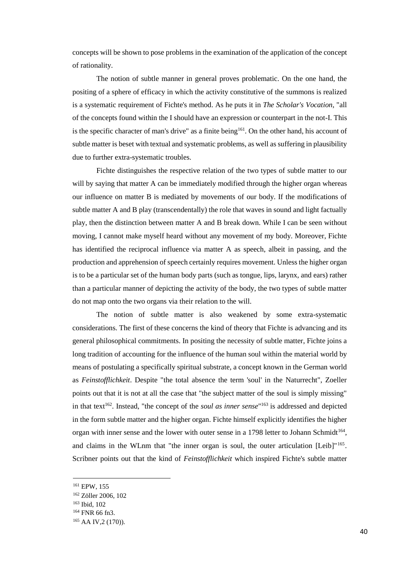concepts will be shown to pose problems in the examination of the application of the concept of rationality.

The notion of subtle manner in general proves problematic. On the one hand, the positing of a sphere of efficacy in which the activity constitutive of the summons is realized is a systematic requirement of Fichte's method. As he puts it in *The Scholar's Vocation*, "all of the concepts found within the I should have an expression or counterpart in the not-I. This is the specific character of man's drive" as a finite being<sup>161</sup>. On the other hand, his account of subtle matter is beset with textual and systematic problems, as well as suffering in plausibility due to further extra-systematic troubles.

Fichte distinguishes the respective relation of the two types of subtle matter to our will by saying that matter A can be immediately modified through the higher organ whereas our influence on matter B is mediated by movements of our body. If the modifications of subtle matter A and B play (transcendentally) the role that waves in sound and light factually play, then the distinction between matter A and B break down. While I can be seen without moving, I cannot make myself heard without any movement of my body. Moreover, Fichte has identified the reciprocal influence via matter A as speech, albeit in passing, and the production and apprehension of speech certainly requires movement. Unless the higher organ is to be a particular set of the human body parts (such as tongue, lips, larynx, and ears) rather than a particular manner of depicting the activity of the body, the two types of subtle matter do not map onto the two organs via their relation to the will.

The notion of subtle matter is also weakened by some extra-systematic considerations. The first of these concerns the kind of theory that Fichte is advancing and its general philosophical commitments. In positing the necessity of subtle matter, Fichte joins a long tradition of accounting for the influence of the human soul within the material world by means of postulating a specifically spiritual substrate, a concept known in the German world as *Feinstofflichkeit*. Despite "the total absence the term 'soul' in the Naturrecht", Zoeller points out that it is not at all the case that "the subject matter of the soul is simply missing" in that text<sup>162</sup>. Instead, "the concept of the *soul as inner sense*"<sup>163</sup> is addressed and depicted in the form subtle matter and the higher organ. Fichte himself explicitly identifies the higher organ with inner sense and the lower with outer sense in a 1798 letter to Johann Schmidt<sup>164</sup>, and claims in the WLnm that "the inner organ is soul, the outer articulation  $[Leib]$ "<sup>165</sup>. Scribner points out that the kind of *Feinstofflichkeit* which inspired Fichte's subtle matter

<sup>161</sup> EPW, 155

<sup>162</sup> Zöller 2006, 102

<sup>163</sup> Ibid, 102

<sup>164</sup> FNR 66 fn3.

<sup>&</sup>lt;sup>165</sup> AA IV, 2 (170)).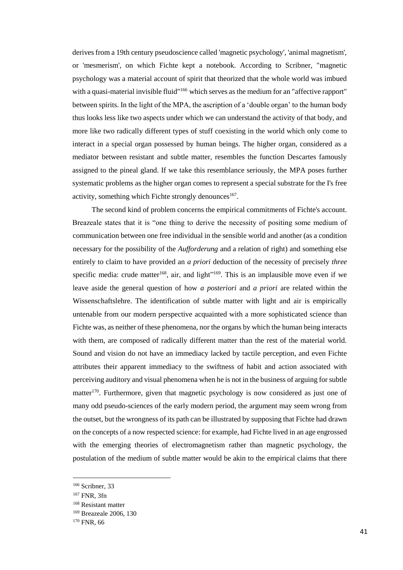derives from a 19th century pseudoscience called 'magnetic psychology', 'animal magnetism', or 'mesmerism', on which Fichte kept a notebook. According to Scribner, "magnetic psychology was a material account of spirit that theorized that the whole world was imbued with a quasi-material invisible fluid"<sup>166</sup> which serves as the medium for an "affective rapport" between spirits. In the light of the MPA, the ascription of a 'double organ' to the human body thus looks less like two aspects under which we can understand the activity of that body, and more like two radically different types of stuff coexisting in the world which only come to interact in a special organ possessed by human beings. The higher organ, considered as a mediator between resistant and subtle matter, resembles the function Descartes famously assigned to the pineal gland. If we take this resemblance seriously, the MPA poses further systematic problems as the higher organ comes to represent a special substrate for the I's free activity, something which Fichte strongly denounces<sup>167</sup>.

The second kind of problem concerns the empirical commitments of Fichte's account. Breazeale states that it is "one thing to derive the necessity of positing some medium of communication between one free individual in the sensible world and another (as a condition necessary for the possibility of the *Aufforderung* and a relation of right) and something else entirely to claim to have provided an *a priori* deduction of the necessity of precisely *three*  specific media: crude matter<sup>168</sup>, air, and light<sup> $169$ </sup>. This is an implausible move even if we leave aside the general question of how *a posteriori* and *a priori* are related within the Wissenschaftslehre. The identification of subtle matter with light and air is empirically untenable from our modern perspective acquainted with a more sophisticated science than Fichte was, as neither of these phenomena, nor the organs by which the human being interacts with them, are composed of radically different matter than the rest of the material world. Sound and vision do not have an immediacy lacked by tactile perception, and even Fichte attributes their apparent immediacy to the swiftness of habit and action associated with perceiving auditory and visual phenomena when he is not in the business of arguing for subtle matter<sup>170</sup>. Furthermore, given that magnetic psychology is now considered as just one of many odd pseudo-sciences of the early modern period, the argument may seem wrong from the outset, but the wrongness of its path can be illustrated by supposing that Fichte had drawn on the concepts of a now respected science: for example, had Fichte lived in an age engrossed with the emerging theories of electromagnetism rather than magnetic psychology, the postulation of the medium of subtle matter would be akin to the empirical claims that there

<sup>&</sup>lt;sup>166</sup> Scribner, 33

<sup>167</sup> FNR, 3fn

<sup>168</sup> Resistant matter

<sup>169</sup> Breazeale 2006, 130

<sup>&</sup>lt;sup>170</sup> FNR, 66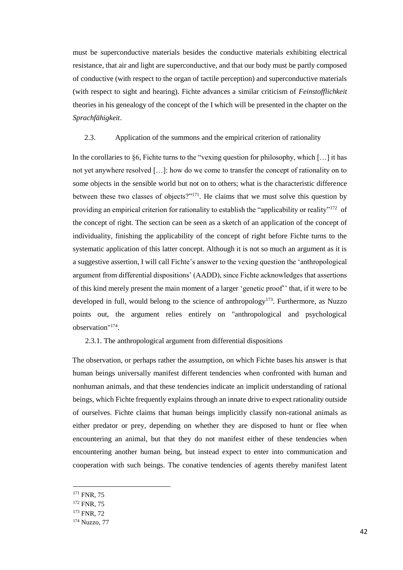must be superconductive materials besides the conductive materials exhibiting electrical resistance, that air and light are superconductive, and that our body must be partly composed of conductive (with respect to the organ of tactile perception) and superconductive materials (with respect to sight and hearing). Fichte advances a similar criticism of *Feinstofflichkeit*  theories in his genealogy of the concept of the I which will be presented in the chapter on the *Sprachfähigkeit*.

# 2.3. Application of the summons and the empirical criterion of rationality

In the corollaries to §6, Fichte turns to the "vexing question for philosophy, which  $[...]$  it has not yet anywhere resolved […]: how do we come to transfer the concept of rationality on to some objects in the sensible world but not on to others; what is the characteristic difference between these two classes of objects?"<sup>171</sup>. He claims that we must solve this question by providing an empirical criterion for rationality to establish the "applicability or reality"<sup>172</sup> of the concept of right. The section can be seen as a sketch of an application of the concept of individuality, finishing the applicability of the concept of right before Fichte turns to the systematic application of this latter concept. Although it is not so much an argument as it is a suggestive assertion, I will call Fichte's answer to the vexing question the 'anthropological argument from differential dispositions' (AADD), since Fichte acknowledges that assertions of this kind merely present the main moment of a larger 'genetic proof'' that, if it were to be developed in full, would belong to the science of anthropology<sup>173</sup>. Furthermore, as Nuzzo points out, the argument relies entirely on "anthropological and psychological observation"<sup>174</sup> .

# 2.3.1. The anthropological argument from differential dispositions

The observation, or perhaps rather the assumption, on which Fichte bases his answer is that human beings universally manifest different tendencies when confronted with human and nonhuman animals, and that these tendencies indicate an implicit understanding of rational beings, which Fichte frequently explains through an innate drive to expect rationality outside of ourselves. Fichte claims that human beings implicitly classify non-rational animals as either predator or prey, depending on whether they are disposed to hunt or flee when encountering an animal, but that they do not manifest either of these tendencies when encountering another human being, but instead expect to enter into communication and cooperation with such beings. The conative tendencies of agents thereby manifest latent

<sup>171</sup> FNR, 75

<sup>172</sup> FNR, 75

<sup>173</sup> FNR, 72

<sup>174</sup> Nuzzo, 77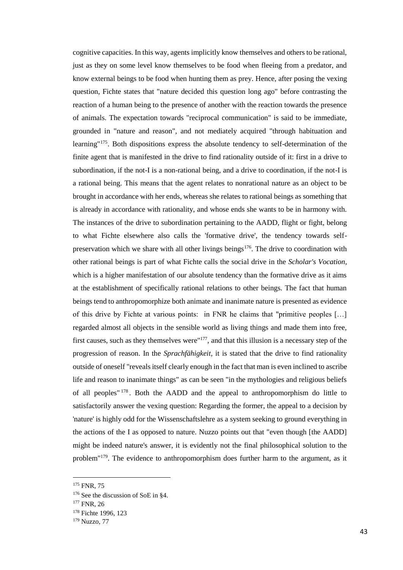cognitive capacities. In this way, agents implicitly know themselves and others to be rational, just as they on some level know themselves to be food when fleeing from a predator, and know external beings to be food when hunting them as prey. Hence, after posing the vexing question, Fichte states that "nature decided this question long ago" before contrasting the reaction of a human being to the presence of another with the reaction towards the presence of animals. The expectation towards "reciprocal communication" is said to be immediate, grounded in "nature and reason", and not mediately acquired "through habituation and learning"<sup>175</sup>. Both dispositions express the absolute tendency to self-determination of the finite agent that is manifested in the drive to find rationality outside of it: first in a drive to subordination, if the not-I is a non-rational being, and a drive to coordination, if the not-I is a rational being. This means that the agent relates to nonrational nature as an object to be brought in accordance with her ends, whereas she relates to rational beings as something that is already in accordance with rationality, and whose ends she wants to be in harmony with. The instances of the drive to subordination pertaining to the AADD, flight or fight, belong to what Fichte elsewhere also calls the 'formative drive', the tendency towards selfpreservation which we share with all other livings beings<sup>176</sup>. The drive to coordination with other rational beings is part of what Fichte calls the social drive in the *Scholar's Vocation*, which is a higher manifestation of our absolute tendency than the formative drive as it aims at the establishment of specifically rational relations to other beings. The fact that human beings tend to anthropomorphize both animate and inanimate nature is presented as evidence of this drive by Fichte at various points: in FNR he claims that "primitive peoples […] regarded almost all objects in the sensible world as living things and made them into free, first causes, such as they themselves were"<sup>177</sup>, and that this illusion is a necessary step of the progression of reason. In the *Sprachfähigkeit,* it is stated that the drive to find rationality outside of oneself "reveals itself clearly enough in the fact that man is even inclined to ascribe life and reason to inanimate things" as can be seen "in the mythologies and religious beliefs of all peoples" <sup>178</sup> . Both the AADD and the appeal to anthropomorphism do little to satisfactorily answer the vexing question: Regarding the former, the appeal to a decision by 'nature' is highly odd for the Wissenschaftslehre as a system seeking to ground everything in the actions of the I as opposed to nature. Nuzzo points out that "even though [the AADD] might be indeed nature's answer, it is evidently not the final philosophical solution to the problem"<sup>179</sup>. The evidence to anthropomorphism does further harm to the argument, as it

<sup>&</sup>lt;sup>175</sup> FNR, 75

<sup>&</sup>lt;sup>176</sup> See the discussion of SoE in §4.

<sup>&</sup>lt;sup>177</sup> FNR, 26

<sup>&</sup>lt;sup>178</sup> Fichte 1996, 123

<sup>179</sup> Nuzzo, 77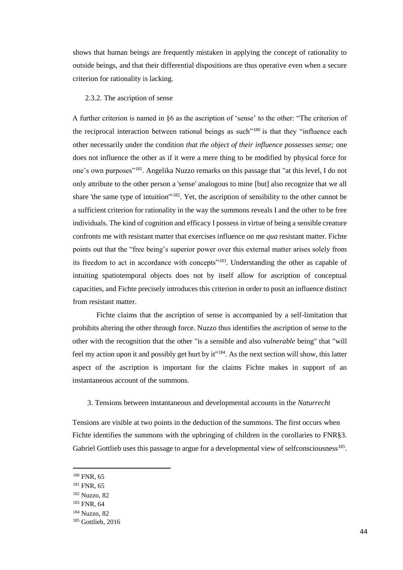shows that human beings are frequently mistaken in applying the concept of rationality to outside beings, and that their differential dispositions are thus operative even when a secure criterion for rationality is lacking.

#### 2.3.2. The ascription of sense

A further criterion is named in §6 as the ascription of 'sense' to the other: "The criterion of the reciprocal interaction between rational beings as such<sup> $180$ </sup> is that they "influence each other necessarily under the condition *that the object of their influence possesses sense;* one does not influence the other as if it were a mere thing to be modified by physical force for one's own purposes"<sup>181</sup>. Angelika Nuzzo remarks on this passage that "at this level, I do not only attribute to the other person a 'sense' analogous to mine [but] also recognize that we all share 'the same type of intuition'"<sup>182</sup>. Yet, the ascription of sensibility to the other cannot be a sufficient criterion for rationality in the way the summons reveals I and the other to be free individuals. The kind of cognition and efficacy I possess in virtue of being a sensible creature confronts me with resistant matter that exercises influence on me *qua* resistant matter. Fichte points out that the "free being's superior power over this external matter arises solely from its freedom to act in accordance with concepts"<sup>183</sup>. Understanding the other as capable of intuiting spatiotemporal objects does not by itself allow for ascription of conceptual capacities, and Fichte precisely introduces this criterion in order to posit an influence distinct from resistant matter.

Fichte claims that the ascription of sense is accompanied by a self-limitation that prohibits altering the other through force. Nuzzo thus identifies the ascription of sense to the other with the recognition that the other "is a sensible and also *vulnerable* being" that "will feel my action upon it and possibly get hurt by it"<sup>184</sup>. As the next section will show, this latter aspect of the ascription is important for the claims Fichte makes in support of an instantaneous account of the summons.

# 3. Tensions between instantaneous and developmental accounts in the *Naturrecht*

Tensions are visible at two points in the deduction of the summons. The first occurs when Fichte identifies the summons with the upbringing of children in the corollaries to FNR§3. Gabriel Gottlieb uses this passage to argue for a developmental view of selfconsciousness<sup>185</sup>.

<sup>&</sup>lt;sup>180</sup> FNR, 65

<sup>&</sup>lt;sup>181</sup> FNR, 65

<sup>182</sup> Nuzzo, 82

<sup>183</sup> FNR, 64

<sup>184</sup> Nuzzo, 82

<sup>&</sup>lt;sup>185</sup> Gottlieb, 2016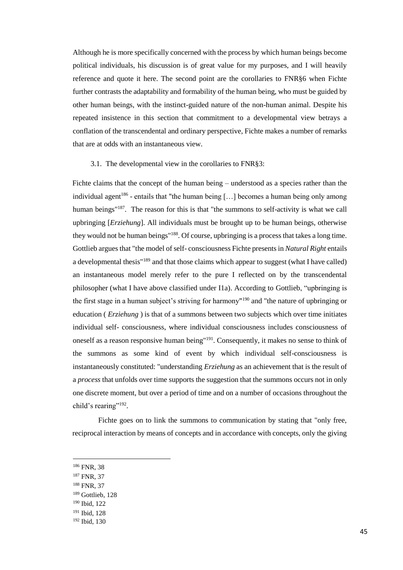Although he is more specifically concerned with the process by which human beings become political individuals, his discussion is of great value for my purposes, and I will heavily reference and quote it here. The second point are the corollaries to FNR§6 when Fichte further contrasts the adaptability and formability of the human being, who must be guided by other human beings, with the instinct-guided nature of the non-human animal. Despite his repeated insistence in this section that commitment to a developmental view betrays a conflation of the transcendental and ordinary perspective, Fichte makes a number of remarks that are at odds with an instantaneous view.

#### 3.1. The developmental view in the corollaries to FNR§3:

Fichte claims that the concept of the human being – understood as a species rather than the individual agent<sup>186</sup> - entails that "the human being  $[...]$  becomes a human being only among human beings<sup>"187</sup>. The reason for this is that "the summons to self-activity is what we call upbringing [*Erziehung*]. All individuals must be brought up to be human beings, otherwise they would not be human beings"<sup>188</sup>. Of course, upbringing is a process that takes a long time. Gottlieb argues that "the model of self- consciousness Fichte presents in *Natural Right* entails a developmental thesis"<sup>189</sup> and that those claims which appear to suggest (what I have called) an instantaneous model merely refer to the pure I reflected on by the transcendental philosopher (what I have above classified under I1a). According to Gottlieb, "upbringing is the first stage in a human subject's striving for harmony"<sup>190</sup> and "the nature of upbringing or education ( *Erziehung* ) is that of a summons between two subjects which over time initiates individual self- consciousness, where individual consciousness includes consciousness of oneself as a reason responsive human being"<sup>191</sup>. Consequently, it makes no sense to think of the summons as some kind of event by which individual self-consciousness is instantaneously constituted: "understanding *Erziehung* as an achievement that is the result of a *process* that unfolds over time supports the suggestion that the summons occurs not in only one discrete moment, but over a period of time and on a number of occasions throughout the child's rearing"<sup>192</sup>.

Fichte goes on to link the summons to communication by stating that "only free, reciprocal interaction by means of concepts and in accordance with concepts, only the giving

- <sup>187</sup> FNR, 37
- <sup>188</sup> FNR, 37
- <sup>189</sup> Gottlieb, 128
- <sup>190</sup> Ibid, 122

<sup>186</sup> FNR, 38

<sup>191</sup> Ibid, 128

<sup>192</sup> Ibid, 130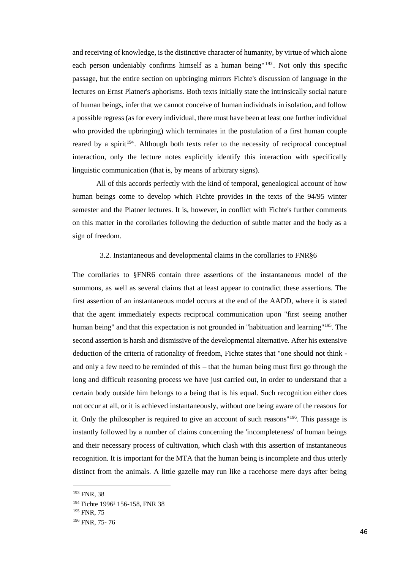and receiving of knowledge, is the distinctive character of humanity, by virtue of which alone each person undeniably confirms himself as a human being  $193$ . Not only this specific passage, but the entire section on upbringing mirrors Fichte's discussion of language in the lectures on Ernst Platner's aphorisms. Both texts initially state the intrinsically social nature of human beings, infer that we cannot conceive of human individuals in isolation, and follow a possible regress (as for every individual, there must have been at least one further individual who provided the upbringing) which terminates in the postulation of a first human couple reared by a spirit<sup>194</sup>. Although both texts refer to the necessity of reciprocal conceptual interaction, only the lecture notes explicitly identify this interaction with specifically linguistic communication (that is, by means of arbitrary signs).

All of this accords perfectly with the kind of temporal, genealogical account of how human beings come to develop which Fichte provides in the texts of the 94/95 winter semester and the Platner lectures. It is, however, in conflict with Fichte's further comments on this matter in the corollaries following the deduction of subtle matter and the body as a sign of freedom.

# 3.2. Instantaneous and developmental claims in the corollaries to FNR§6

The corollaries to §FNR6 contain three assertions of the instantaneous model of the summons, as well as several claims that at least appear to contradict these assertions. The first assertion of an instantaneous model occurs at the end of the AADD, where it is stated that the agent immediately expects reciprocal communication upon "first seeing another human being" and that this expectation is not grounded in "habituation and learning"<sup>195</sup>. The second assertion is harsh and dismissive of the developmental alternative. After his extensive deduction of the criteria of rationality of freedom, Fichte states that "one should not think and only a few need to be reminded of this – that the human being must first go through the long and difficult reasoning process we have just carried out, in order to understand that a certain body outside him belongs to a being that is his equal. Such recognition either does not occur at all, or it is achieved instantaneously, without one being aware of the reasons for it. Only the philosopher is required to give an account of such reasons"<sup>196</sup>. This passage is instantly followed by a number of claims concerning the 'incompleteness' of human beings and their necessary process of cultivation, which clash with this assertion of instantaneous recognition. It is important for the MTA that the human being is incomplete and thus utterly distinct from the animals. A little gazelle may run like a racehorse mere days after being

<sup>&</sup>lt;sup>193</sup> FNR, 38

<sup>194</sup> Fichte 1996² 156-158, FNR 38

<sup>&</sup>lt;sup>195</sup> FNR, 75

<sup>196</sup> FNR, 75- 76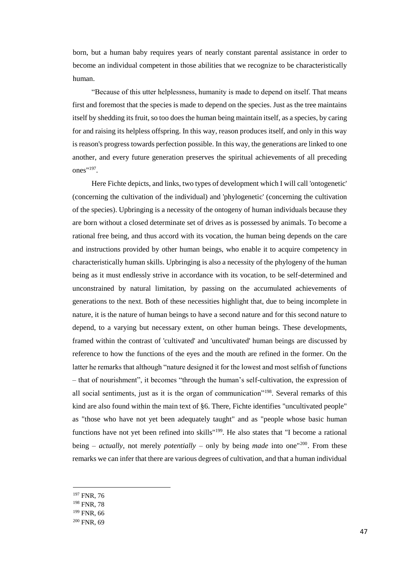born, but a human baby requires years of nearly constant parental assistance in order to become an individual competent in those abilities that we recognize to be characteristically human.

"Because of this utter helplessness, humanity is made to depend on itself. That means first and foremost that the species is made to depend on the species. Just as the tree maintains itself by shedding its fruit, so too does the human being maintain itself, as a species, by caring for and raising its helpless offspring. In this way, reason produces itself, and only in this way is reason's progress towards perfection possible. In this way, the generations are linked to one another, and every future generation preserves the spiritual achievements of all preceding ones" $197$ .

Here Fichte depicts, and links, two types of development which I will call 'ontogenetic' (concerning the cultivation of the individual) and 'phylogenetic' (concerning the cultivation of the species). Upbringing is a necessity of the ontogeny of human individuals because they are born without a closed determinate set of drives as is possessed by animals. To become a rational free being, and thus accord with its vocation, the human being depends on the care and instructions provided by other human beings, who enable it to acquire competency in characteristically human skills. Upbringing is also a necessity of the phylogeny of the human being as it must endlessly strive in accordance with its vocation, to be self-determined and unconstrained by natural limitation, by passing on the accumulated achievements of generations to the next. Both of these necessities highlight that, due to being incomplete in nature, it is the nature of human beings to have a second nature and for this second nature to depend, to a varying but necessary extent, on other human beings. These developments, framed within the contrast of 'cultivated' and 'uncultivated' human beings are discussed by reference to how the functions of the eyes and the mouth are refined in the former. On the latter he remarks that although "nature designed it for the lowest and most selfish of functions – that of nourishment", it becomes "through the human's self-cultivation, the expression of all social sentiments, just as it is the organ of communication"<sup>198</sup>. Several remarks of this kind are also found within the main text of §6. There, Fichte identifies "uncultivated people" as "those who have not yet been adequately taught" and as "people whose basic human functions have not yet been refined into skills"<sup>199</sup>. He also states that "I become a rational being – *actually*, not merely *potentially –* only by being *made* into one"<sup>200</sup>. From these remarks we can infer that there are various degrees of cultivation, and that a human individual

<sup>197</sup> FNR, 76

- <sup>198</sup> FNR, 78
- <sup>199</sup> FNR, 66
- <sup>200</sup> FNR, 69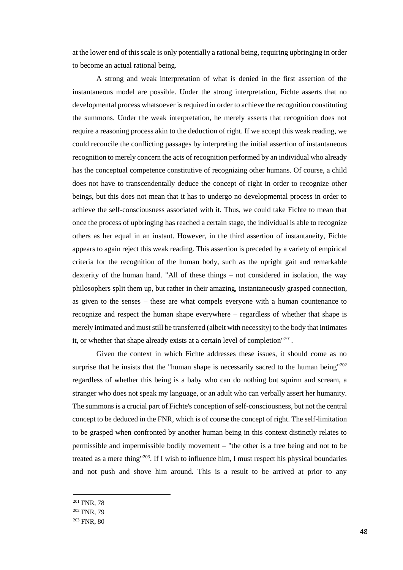at the lower end of this scale is only potentially a rational being, requiring upbringing in order to become an actual rational being.

A strong and weak interpretation of what is denied in the first assertion of the instantaneous model are possible. Under the strong interpretation, Fichte asserts that no developmental process whatsoever is required in order to achieve the recognition constituting the summons. Under the weak interpretation, he merely asserts that recognition does not require a reasoning process akin to the deduction of right. If we accept this weak reading, we could reconcile the conflicting passages by interpreting the initial assertion of instantaneous recognition to merely concern the acts of recognition performed by an individual who already has the conceptual competence constitutive of recognizing other humans. Of course, a child does not have to transcendentally deduce the concept of right in order to recognize other beings, but this does not mean that it has to undergo no developmental process in order to achieve the self-consciousness associated with it. Thus, we could take Fichte to mean that once the process of upbringing has reached a certain stage, the individual is able to recognize others as her equal in an instant. However, in the third assertion of instantaneity, Fichte appears to again reject this weak reading. This assertion is preceded by a variety of empirical criteria for the recognition of the human body, such as the upright gait and remarkable dexterity of the human hand. "All of these things – not considered in isolation, the way philosophers split them up, but rather in their amazing, instantaneously grasped connection, as given to the senses – these are what compels everyone with a human countenance to recognize and respect the human shape everywhere – regardless of whether that shape is merely intimated and must still be transferred (albeit with necessity) to the body that intimates it, or whether that shape already exists at a certain level of completion"<sup>201</sup>.

Given the context in which Fichte addresses these issues, it should come as no surprise that he insists that the "human shape is necessarily sacred to the human being"<sup>202</sup> regardless of whether this being is a baby who can do nothing but squirm and scream, a stranger who does not speak my language, or an adult who can verbally assert her humanity. The summons is a crucial part of Fichte's conception of self-consciousness, but not the central concept to be deduced in the FNR, which is of course the concept of right. The self-limitation to be grasped when confronted by another human being in this context distinctly relates to permissible and impermissible bodily movement – "the other is a free being and not to be treated as a mere thing"<sup>203</sup>. If I wish to influence him, I must respect his physical boundaries and not push and shove him around. This is a result to be arrived at prior to any

<sup>201</sup> FNR, 78

<sup>202</sup> FNR, 79

<sup>203</sup> FNR, 80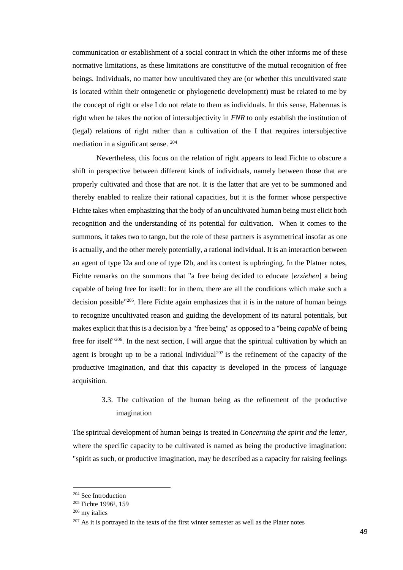communication or establishment of a social contract in which the other informs me of these normative limitations, as these limitations are constitutive of the mutual recognition of free beings. Individuals, no matter how uncultivated they are (or whether this uncultivated state is located within their ontogenetic or phylogenetic development) must be related to me by the concept of right or else I do not relate to them as individuals. In this sense, Habermas is right when he takes the notion of intersubjectivity in *FNR* to only establish the institution of (legal) relations of right rather than a cultivation of the I that requires intersubjective mediation in a significant sense. <sup>204</sup>

Nevertheless, this focus on the relation of right appears to lead Fichte to obscure a shift in perspective between different kinds of individuals, namely between those that are properly cultivated and those that are not. It is the latter that are yet to be summoned and thereby enabled to realize their rational capacities, but it is the former whose perspective Fichte takes when emphasizing that the body of an uncultivated human being must elicit both recognition and the understanding of its potential for cultivation. When it comes to the summons, it takes two to tango, but the role of these partners is asymmetrical insofar as one is actually, and the other merely potentially, a rational individual. It is an interaction between an agent of type I2a and one of type I2b, and its context is upbringing. In the Platner notes, Fichte remarks on the summons that "a free being decided to educate [*erziehen*] a being capable of being free for itself: for in them, there are all the conditions which make such a decision possible<sup>"205</sup>. Here Fichte again emphasizes that it is in the nature of human beings to recognize uncultivated reason and guiding the development of its natural potentials, but makes explicit that this is a decision by a "free being" as opposed to a "being *capable* of being free for itself"<sup>206</sup>. In the next section, I will argue that the spiritual cultivation by which an agent is brought up to be a rational individual<sup>207</sup> is the refinement of the capacity of the productive imagination, and that this capacity is developed in the process of language acquisition.

# 3.3. The cultivation of the human being as the refinement of the productive imagination

The spiritual development of human beings is treated in *Concerning the spirit and the letter*, where the specific capacity to be cultivated is named as being the productive imagination: "spirit as such, or productive imagination, may be described as a capacity for raising feelings

<sup>204</sup> See Introduction

<sup>205</sup> Fichte 1996², 159

<sup>206</sup> my italics

 $207$  As it is portrayed in the texts of the first winter semester as well as the Plater notes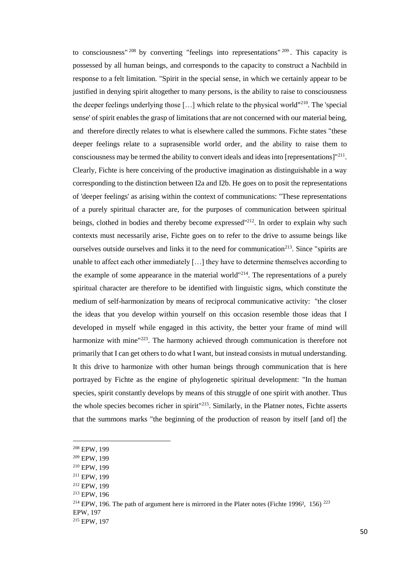to consciousness" <sup>208</sup> by converting "feelings into representations" <sup>209</sup> . This capacity is possessed by all human beings, and corresponds to the capacity to construct a Nachbild in response to a felt limitation. "Spirit in the special sense, in which we certainly appear to be justified in denying spirit altogether to many persons, is the ability to raise to consciousness the deeper feelings underlying those  $[\dots]$  which relate to the physical world"<sup>210</sup>. The 'special sense' of spirit enables the grasp of limitations that are not concerned with our material being, and therefore directly relates to what is elsewhere called the summons. Fichte states "these deeper feelings relate to a suprasensible world order, and the ability to raise them to consciousness may be termed the ability to convert ideals and ideas into [representations] $1211$ . Clearly, Fichte is here conceiving of the productive imagination as distinguishable in a way corresponding to the distinction between I2a and I2b. He goes on to posit the representations of 'deeper feelings' as arising within the context of communications: "These representations of a purely spiritual character are, for the purposes of communication between spiritual beings, clothed in bodies and thereby become expressed<sup>"212</sup>. In order to explain why such contexts must necessarily arise, Fichte goes on to refer to the drive to assume beings like ourselves outside ourselves and links it to the need for communication<sup>213</sup>. Since "spirits are unable to affect each other immediately […] they have to determine themselves according to the example of some appearance in the material world"<sup>214</sup>. The representations of a purely spiritual character are therefore to be identified with linguistic signs, which constitute the medium of self-harmonization by means of reciprocal communicative activity: "the closer the ideas that you develop within yourself on this occasion resemble those ideas that I developed in myself while engaged in this activity, the better your frame of mind will harmonize with mine<sup>"223</sup>. The harmony achieved through communication is therefore not primarily that I can get others to do what I want, but instead consists in mutual understanding. It this drive to harmonize with other human beings through communication that is here portrayed by Fichte as the engine of phylogenetic spiritual development: "In the human species, spirit constantly develops by means of this struggle of one spirit with another. Thus the whole species becomes richer in spirit"<sup>215</sup>. Similarly, in the Platner notes, Fichte asserts that the summons marks "the beginning of the production of reason by itself [and of] the

<sup>208</sup> EPW, 199

<sup>209</sup> EPW, 199

<sup>210</sup> EPW, 199

<sup>211</sup> EPW, 199

<sup>212</sup> EPW, 199

<sup>213</sup> EPW, 196

 $2^{14}$  EPW, 196. The path of argument here is mirrored in the Plater notes (Fichte 1996<sup>2</sup>, 156)  $^{223}$ 

EPW, 197

<sup>215</sup> EPW, 197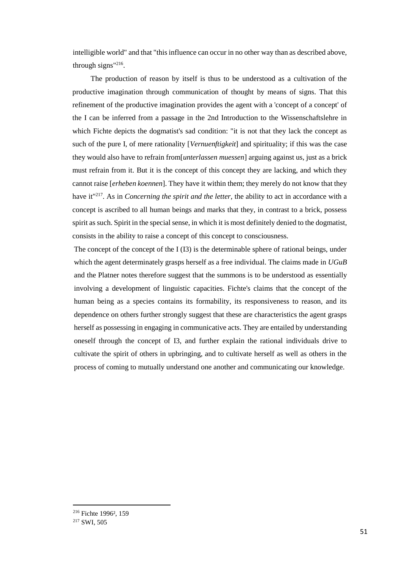intelligible world" and that "this influence can occur in no other way than as described above, through signs"<sup>216</sup>.

The production of reason by itself is thus to be understood as a cultivation of the productive imagination through communication of thought by means of signs. That this refinement of the productive imagination provides the agent with a 'concept of a concept' of the I can be inferred from a passage in the 2nd Introduction to the Wissenschaftslehre in which Fichte depicts the dogmatist's sad condition: "it is not that they lack the concept as such of the pure I, of mere rationality [*Vernuenftigkeit*] and spirituality; if this was the case they would also have to refrain from[*unterlassen muessen*] arguing against us, just as a brick must refrain from it. But it is the concept of this concept they are lacking, and which they cannot raise [*erheben koennen*]. They have it within them; they merely do not know that they have it"<sup>217</sup>. As in *Concerning the spirit and the letter,* the ability to act in accordance with a concept is ascribed to all human beings and marks that they, in contrast to a brick, possess spirit as such. Spirit in the special sense, in which it is most definitely denied to the dogmatist, consists in the ability to raise a concept of this concept to consciousness.

The concept of the concept of the I (I3) is the determinable sphere of rational beings, under which the agent determinately grasps herself as a free individual. The claims made in *UGuB*  and the Platner notes therefore suggest that the summons is to be understood as essentially involving a development of linguistic capacities. Fichte's claims that the concept of the human being as a species contains its formability, its responsiveness to reason, and its dependence on others further strongly suggest that these are characteristics the agent grasps herself as possessing in engaging in communicative acts. They are entailed by understanding oneself through the concept of I3, and further explain the rational individuals drive to cultivate the spirit of others in upbringing, and to cultivate herself as well as others in the process of coming to mutually understand one another and communicating our knowledge.

<sup>216</sup> Fichte 1996², 159

<sup>217</sup> SWI, 505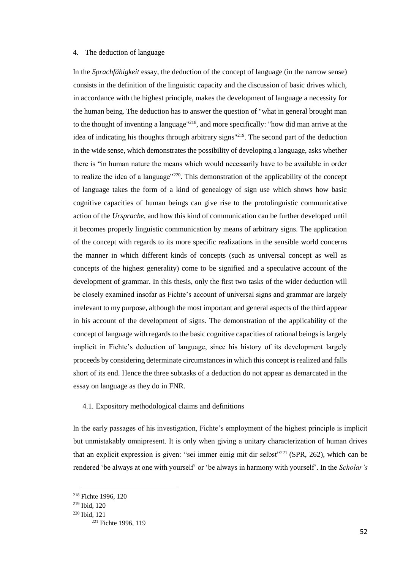# 4. The deduction of language

In the *Sprachfähigkeit* essay, the deduction of the concept of language (in the narrow sense) consists in the definition of the linguistic capacity and the discussion of basic drives which, in accordance with the highest principle, makes the development of language a necessity for the human being. The deduction has to answer the question of "what in general brought man to the thought of inventing a language"<sup>218</sup>, and more specifically: "how did man arrive at the idea of indicating his thoughts through arbitrary signs"<sup>219</sup>. The second part of the deduction in the wide sense, which demonstrates the possibility of developing a language, asks whether there is "in human nature the means which would necessarily have to be available in order to realize the idea of a language"<sup>220</sup>. This demonstration of the applicability of the concept of language takes the form of a kind of genealogy of sign use which shows how basic cognitive capacities of human beings can give rise to the protolinguistic communicative action of the *Ursprache*, and how this kind of communication can be further developed until it becomes properly linguistic communication by means of arbitrary signs. The application of the concept with regards to its more specific realizations in the sensible world concerns the manner in which different kinds of concepts (such as universal concept as well as concepts of the highest generality) come to be signified and a speculative account of the development of grammar. In this thesis, only the first two tasks of the wider deduction will be closely examined insofar as Fichte's account of universal signs and grammar are largely irrelevant to my purpose, although the most important and general aspects of the third appear in his account of the development of signs. The demonstration of the applicability of the concept of language with regards to the basic cognitive capacities of rational beings is largely implicit in Fichte's deduction of language, since his history of its development largely proceeds by considering determinate circumstances in which this concept is realized and falls short of its end. Hence the three subtasks of a deduction do not appear as demarcated in the essay on language as they do in FNR.

# 4.1. Expository methodological claims and definitions

In the early passages of his investigation, Fichte's employment of the highest principle is implicit but unmistakably omnipresent. It is only when giving a unitary characterization of human drives that an explicit expression is given: "sei immer einig mit dir selbst"<sup>221</sup> (SPR, 262), which can be rendered 'be always at one with yourself' or 'be always in harmony with yourself'. In the *Scholar's* 

<sup>218</sup> Fichte 1996, 120

<sup>219</sup> Ibid, 120

<sup>220</sup> Ibid, 121

<sup>&</sup>lt;sup>221</sup> Fichte 1996, 119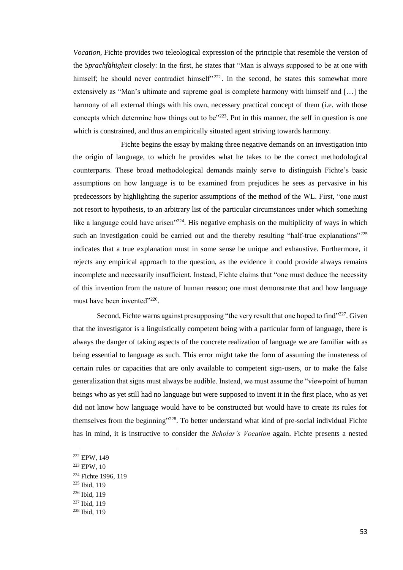*Vocation,* Fichte provides two teleological expression of the principle that resemble the version of the *Sprachfähigkeit* closely: In the first, he states that "Man is always supposed to be at one with himself; he should never contradict himself<sup>" 222</sup>. In the second, he states this somewhat more extensively as "Man's ultimate and supreme goal is complete harmony with himself and […] the harmony of all external things with his own, necessary practical concept of them (i.e. with those concepts which determine how things out to be"<sup>223</sup>. Put in this manner, the self in question is one which is constrained, and thus an empirically situated agent striving towards harmony.

Fichte begins the essay by making three negative demands on an investigation into the origin of language, to which he provides what he takes to be the correct methodological counterparts. These broad methodological demands mainly serve to distinguish Fichte's basic assumptions on how language is to be examined from prejudices he sees as pervasive in his predecessors by highlighting the superior assumptions of the method of the WL. First, "one must not resort to hypothesis, to an arbitrary list of the particular circumstances under which something like a language could have arisen<sup>"224</sup>. His negative emphasis on the multiplicity of ways in which such an investigation could be carried out and the thereby resulting "half-true explanations"<sup>225</sup> indicates that a true explanation must in some sense be unique and exhaustive. Furthermore, it rejects any empirical approach to the question, as the evidence it could provide always remains incomplete and necessarily insufficient. Instead, Fichte claims that "one must deduce the necessity of this invention from the nature of human reason; one must demonstrate that and how language must have been invented"<sup>226</sup>.

Second, Fichte warns against presupposing "the very result that one hoped to find"<sup>227</sup>. Given that the investigator is a linguistically competent being with a particular form of language, there is always the danger of taking aspects of the concrete realization of language we are familiar with as being essential to language as such. This error might take the form of assuming the innateness of certain rules or capacities that are only available to competent sign-users, or to make the false generalization that signs must always be audible. Instead, we must assume the "viewpoint of human beings who as yet still had no language but were supposed to invent it in the first place, who as yet did not know how language would have to be constructed but would have to create its rules for themselves from the beginning"<sup>228</sup>. To better understand what kind of pre-social individual Fichte has in mind, it is instructive to consider the *Scholar's Vocation* again. Fichte presents a nested

 $\overline{a}$ 

<sup>225</sup> Ibid, 119

<sup>222</sup> EPW, 149

<sup>223</sup> EPW, 10

<sup>&</sup>lt;sup>224</sup> Fichte 1996, 119

<sup>226</sup> Ibid, 119

<sup>227</sup> Ibid, 119

<sup>228</sup> Ibid, 119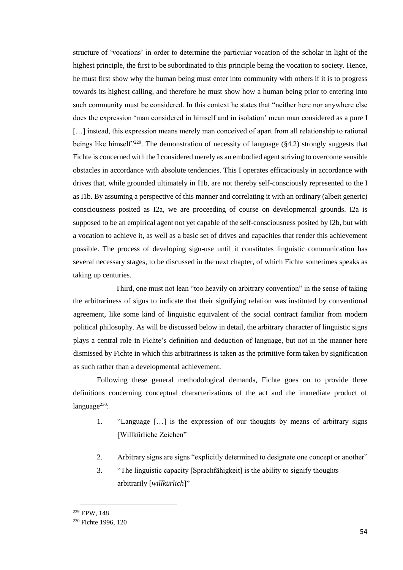structure of 'vocations' in order to determine the particular vocation of the scholar in light of the highest principle, the first to be subordinated to this principle being the vocation to society. Hence, he must first show why the human being must enter into community with others if it is to progress towards its highest calling, and therefore he must show how a human being prior to entering into such community must be considered. In this context he states that "neither here nor anywhere else does the expression 'man considered in himself and in isolation' mean man considered as a pure I [...] instead, this expression means merely man conceived of apart from all relationship to rational beings like himself<sup>3229</sup>. The demonstration of necessity of language (§4.2) strongly suggests that Fichte is concerned with the I considered merely as an embodied agent striving to overcome sensible obstacles in accordance with absolute tendencies. This I operates efficaciously in accordance with drives that, while grounded ultimately in I1b, are not thereby self-consciously represented to the I as I1b. By assuming a perspective of this manner and correlating it with an ordinary (albeit generic) consciousness posited as I2a, we are proceeding of course on developmental grounds. I2a is supposed to be an empirical agent not yet capable of the self-consciousness posited by I2b, but with a vocation to achieve it, as well as a basic set of drives and capacities that render this achievement possible. The process of developing sign-use until it constitutes linguistic communication has several necessary stages, to be discussed in the next chapter, of which Fichte sometimes speaks as taking up centuries.

Third, one must not lean "too heavily on arbitrary convention" in the sense of taking the arbitrariness of signs to indicate that their signifying relation was instituted by conventional agreement, like some kind of linguistic equivalent of the social contract familiar from modern political philosophy. As will be discussed below in detail, the arbitrary character of linguistic signs plays a central role in Fichte's definition and deduction of language, but not in the manner here dismissed by Fichte in which this arbitrariness is taken as the primitive form taken by signification as such rather than a developmental achievement.

Following these general methodological demands, Fichte goes on to provide three definitions concerning conceptual characterizations of the act and the immediate product of language<sup>230</sup>:

- 1. "Language […] is the expression of our thoughts by means of arbitrary signs [Willkürliche Zeichen"
- 2. Arbitrary signs are signs "explicitly determined to designate one concept or another"
- 3. "The linguistic capacity [Sprachfähigkeit] is the ability to signify thoughts arbitrarily [*willkürlich*]"

<sup>229</sup> EPW, 148

<sup>230</sup> Fichte 1996, 120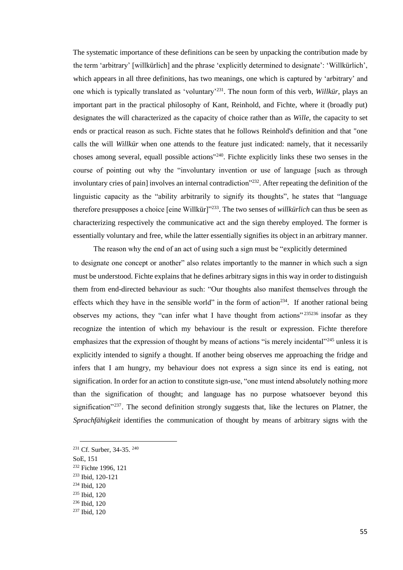The systematic importance of these definitions can be seen by unpacking the contribution made by the term 'arbitrary' [willkürlich] and the phrase 'explicitly determined to designate': 'Willkürlich', which appears in all three definitions, has two meanings, one which is captured by 'arbitrary' and one which is typically translated as 'voluntary'<sup>231</sup>. The noun form of this verb, *Willkür*, plays an important part in the practical philosophy of Kant, Reinhold, and Fichte, where it (broadly put) designates the will characterized as the capacity of choice rather than as *Wille,* the capacity to set ends or practical reason as such. Fichte states that he follows Reinhold's definition and that "one calls the will *Willkür* when one attends to the feature just indicated: namely, that it necessarily choses among several, equall possible actions"<sup>240</sup>. Fichte explicitly links these two senses in the course of pointing out why the "involuntary invention or use of language [such as through involuntary cries of pain] involves an internal contradiction"<sup>232</sup>. After repeating the definition of the linguistic capacity as the "ability arbitrarily to signify its thoughts", he states that "language therefore presupposes a choice [eine Willkür]"<sup>233</sup>. The two senses of *willkürlich* can thus be seen as characterizing respectively the communicative act and the sign thereby employed. The former is essentially voluntary and free, while the latter essentially signifies its object in an arbitrary manner.

The reason why the end of an act of using such a sign must be "explicitly determined to designate one concept or another" also relates importantly to the manner in which such a sign must be understood. Fichte explains that he defines arbitrary signs in this way in order to distinguish them from end-directed behaviour as such: "Our thoughts also manifest themselves through the effects which they have in the sensible world" in the form of action<sup>234</sup>. If another rational being observes my actions, they "can infer what I have thought from actions"  $235236$  insofar as they recognize the intention of which my behaviour is the result or expression. Fichte therefore emphasizes that the expression of thought by means of actions "is merely incidental"<sup>245</sup> unless it is explicitly intended to signify a thought. If another being observes me approaching the fridge and infers that I am hungry, my behaviour does not express a sign since its end is eating, not signification. In order for an action to constitute sign-use, "one must intend absolutely nothing more than the signification of thought; and language has no purpose whatsoever beyond this signification"<sup>237</sup>. The second definition strongly suggests that, like the lectures on Platner, the *Sprachfähigkeit* identifies the communication of thought by means of arbitrary signs with the

SoE, 151

- <sup>232</sup> Fichte 1996, 121
- <sup>233</sup> Ibid, 120-121
- <sup>234</sup> Ibid, 120
- <sup>235</sup> Ibid, 120
- <sup>236</sup> Ibid, 120
- <sup>237</sup> Ibid, 120

<sup>&</sup>lt;sup>231</sup> Cf. Surber, 34-35.<sup>240</sup>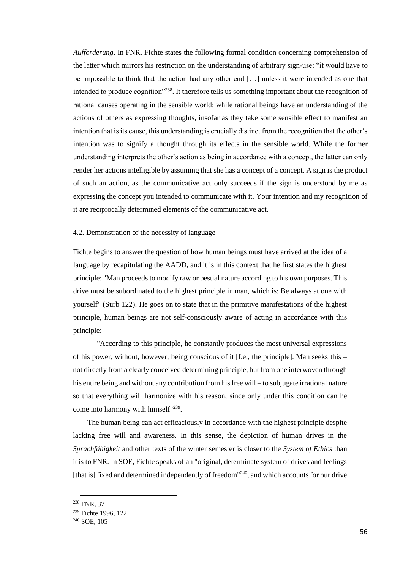*Aufforderung*. In FNR, Fichte states the following formal condition concerning comprehension of the latter which mirrors his restriction on the understanding of arbitrary sign-use: "it would have to be impossible to think that the action had any other end […] unless it were intended as one that intended to produce cognition"<sup>238</sup>. It therefore tells us something important about the recognition of rational causes operating in the sensible world: while rational beings have an understanding of the actions of others as expressing thoughts, insofar as they take some sensible effect to manifest an intention that is its cause, this understanding is crucially distinct from the recognition that the other's intention was to signify a thought through its effects in the sensible world. While the former understanding interprets the other's action as being in accordance with a concept, the latter can only render her actions intelligible by assuming that she has a concept of a concept. A sign is the product of such an action, as the communicative act only succeeds if the sign is understood by me as expressing the concept you intended to communicate with it. Your intention and my recognition of it are reciprocally determined elements of the communicative act.

# 4.2. Demonstration of the necessity of language

Fichte begins to answer the question of how human beings must have arrived at the idea of a language by recapitulating the AADD, and it is in this context that he first states the highest principle: "Man proceeds to modify raw or bestial nature according to his own purposes. This drive must be subordinated to the highest principle in man, which is: Be always at one with yourself" (Surb 122). He goes on to state that in the primitive manifestations of the highest principle, human beings are not self-consciously aware of acting in accordance with this principle:

"According to this principle, he constantly produces the most universal expressions of his power, without, however, being conscious of it [I.e., the principle]. Man seeks this  $$ not directly from a clearly conceived determining principle, but from one interwoven through his entire being and without any contribution from his free will – to subjugate irrational nature so that everything will harmonize with his reason, since only under this condition can he come into harmony with himself<sup>"239</sup>.

The human being can act efficaciously in accordance with the highest principle despite lacking free will and awareness. In this sense, the depiction of human drives in the *Sprachfähigkeit* and other texts of the winter semester is closer to the *System of Ethics* than it is to FNR. In SOE, Fichte speaks of an "original, determinate system of drives and feelings [that is] fixed and determined independently of freedom<sup>"240</sup>, and which accounts for our drive

<sup>238</sup> FNR, 37

<sup>239</sup> Fichte 1996, 122

<sup>240</sup> SOE, 105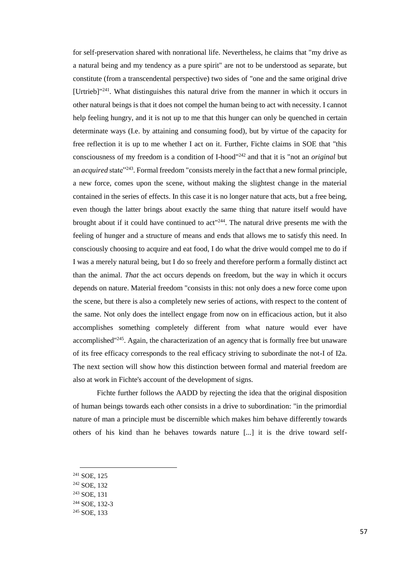for self-preservation shared with nonrational life. Nevertheless, he claims that "my drive as a natural being and my tendency as a pure spirit" are not to be understood as separate, but constitute (from a transcendental perspective) two sides of "one and the same original drive  $[U$ rtrieb]<sup>"241</sup>. What distinguishes this natural drive from the manner in which it occurs in other natural beings is that it does not compel the human being to act with necessity. I cannot help feeling hungry, and it is not up to me that this hunger can only be quenched in certain determinate ways (I.e. by attaining and consuming food), but by virtue of the capacity for free reflection it is up to me whether I act on it. Further, Fichte claims in SOE that "this consciousness of my freedom is a condition of I-hood"<sup>242</sup> and that it is "not an *original* but an *acquired* state"<sup>243</sup>. Formal freedom "consists merely in the fact that a new formal principle, a new force, comes upon the scene, without making the slightest change in the material contained in the series of effects. In this case it is no longer nature that acts, but a free being, even though the latter brings about exactly the same thing that nature itself would have brought about if it could have continued to  $\arctan 244$ . The natural drive presents me with the feeling of hunger and a structure of means and ends that allows me to satisfy this need. In consciously choosing to acquire and eat food, I do what the drive would compel me to do if I was a merely natural being, but I do so freely and therefore perform a formally distinct act than the animal. *That* the act occurs depends on freedom, but the way in which it occurs depends on nature. Material freedom "consists in this: not only does a new force come upon the scene, but there is also a completely new series of actions, with respect to the content of the same. Not only does the intellect engage from now on in efficacious action, but it also accomplishes something completely different from what nature would ever have accomplished"<sup>245</sup>. Again, the characterization of an agency that is formally free but unaware of its free efficacy corresponds to the real efficacy striving to subordinate the not-I of I2a. The next section will show how this distinction between formal and material freedom are also at work in Fichte's account of the development of signs.

Fichte further follows the AADD by rejecting the idea that the original disposition of human beings towards each other consists in a drive to subordination: "in the primordial nature of man a principle must be discernible which makes him behave differently towards others of his kind than he behaves towards nature [...] it is the drive toward self-

<sup>241</sup> SOE, 125

- <sup>242</sup> SOE, 132
- <sup>243</sup> SOE, 131

<sup>244</sup> SOE, 132-3

<sup>245</sup> SOE, 133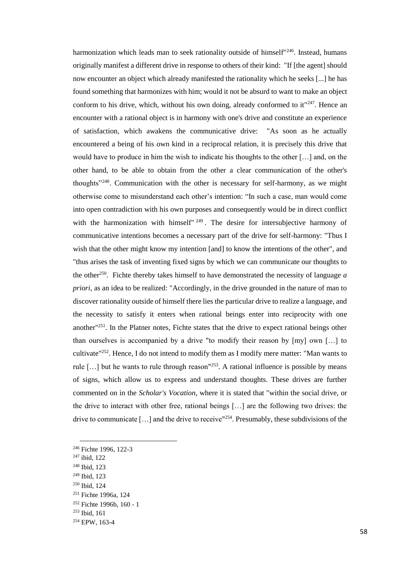harmonization which leads man to seek rationality outside of himself<sup>"246</sup>. Instead, humans originally manifest a different drive in response to others of their kind: "If [the agent] should now encounter an object which already manifested the rationality which he seeks [...] he has found something that harmonizes with him; would it not be absurd to want to make an object conform to his drive, which, without his own doing, already conformed to it<sup>"247</sup>. Hence an encounter with a rational object is in harmony with one's drive and constitute an experience of satisfaction, which awakens the communicative drive: "As soon as he actually encountered a being of his own kind in a reciprocal relation, it is precisely this drive that would have to produce in him the wish to indicate his thoughts to the other […] and, on the other hand, to be able to obtain from the other a clear communication of the other's thoughts"<sup>248</sup>. Communication with the other is necessary for self-harmony, as we might otherwise come to misunderstand each other's intention: "In such a case, man would come into open contradiction with his own purposes and consequently would be in direct conflict with the harmonization with himself" <sup>249</sup>. The desire for intersubjective harmony of communicative intentions becomes a necessary part of the drive for self-harmony: "Thus I wish that the other might know my intention [and] to know the intentions of the other", and "thus arises the task of inventing fixed signs by which we can communicate our thoughts to the other<sup>250</sup>. Fichte thereby takes himself to have demonstrated the necessity of language *a priori*, as an idea to be realized: "Accordingly, in the drive grounded in the nature of man to discover rationality outside of himself there lies the particular drive to realize a language, and the necessity to satisfy it enters when rational beings enter into reciprocity with one another"<sup>251</sup>. In the Platner notes, Fichte states that the drive to expect rational beings other than ourselves is accompanied by a drive "to modify their reason by [my] own […] to cultivate"<sup>252</sup>. Hence, I do not intend to modify them as I modify mere matter: "Man wants to rule  $[\dots]$  but he wants to rule through reason<sup> $1253$ </sup>. A rational influence is possible by means of signs, which allow us to express and understand thoughts. These drives are further commented on in the *Scholar's Vocation*, where it is stated that "within the social drive, or the drive to interact with other free, rational beings […] are the following two drives: the drive to communicate [...] and the drive to receive <sup>254</sup>. Presumably, these subdivisions of the

<sup>247</sup> ibid, 122

- <sup>248</sup> Ibid, 123
- <sup>249</sup> Ibid, 123
- <sup>250</sup> Ibid, 124
- <sup>251</sup> Fichte 1996a, 124
- <sup>252</sup> Fichte 1996b, 160 1
- <sup>253</sup> Ibid, 161
- <sup>254</sup> EPW, 163-4

<sup>246</sup> Fichte 1996, 122-3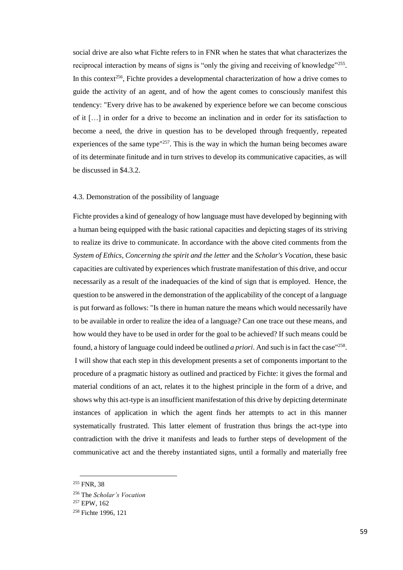social drive are also what Fichte refers to in FNR when he states that what characterizes the reciprocal interaction by means of signs is "only the giving and receiving of knowledge"<sup>255</sup>. In this context<sup>256</sup>, Fichte provides a developmental characterization of how a drive comes to guide the activity of an agent, and of how the agent comes to consciously manifest this tendency: "Every drive has to be awakened by experience before we can become conscious of it […] in order for a drive to become an inclination and in order for its satisfaction to become a need, the drive in question has to be developed through frequently, repeated experiences of the same type"<sup>257</sup>. This is the way in which the human being becomes aware of its determinate finitude and in turn strives to develop its communicative capacities, as will be discussed in \$4.3.2.

# 4.3. Demonstration of the possibility of language

Fichte provides a kind of genealogy of how language must have developed by beginning with a human being equipped with the basic rational capacities and depicting stages of its striving to realize its drive to communicate. In accordance with the above cited comments from the *System of Ethics*, *Concerning the spirit and the letter* and the *Scholar's Vocation*, these basic capacities are cultivated by experiences which frustrate manifestation of this drive, and occur necessarily as a result of the inadequacies of the kind of sign that is employed. Hence, the question to be answered in the demonstration of the applicability of the concept of a language is put forward as follows: "Is there in human nature the means which would necessarily have to be available in order to realize the idea of a language? Can one trace out these means, and how would they have to be used in order for the goal to be achieved? If such means could be found, a history of language could indeed be outlined *a priori*. And such is in fact the case<sup>"258</sup>. I will show that each step in this development presents a set of components important to the procedure of a pragmatic history as outlined and practiced by Fichte: it gives the formal and material conditions of an act, relates it to the highest principle in the form of a drive, and shows why this act-type is an insufficient manifestation of this drive by depicting determinate instances of application in which the agent finds her attempts to act in this manner systematically frustrated. This latter element of frustration thus brings the act-type into contradiction with the drive it manifests and leads to further steps of development of the communicative act and the thereby instantiated signs, until a formally and materially free

<sup>255</sup> FNR, 38

<sup>256</sup> The *Scholar's Vocation*

<sup>257</sup> EPW, 162

<sup>258</sup> Fichte 1996, 121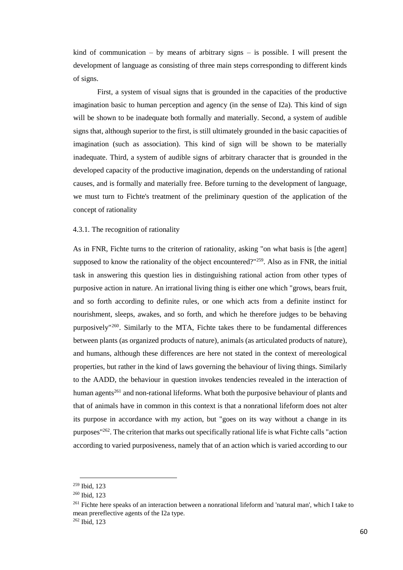kind of communication – by means of arbitrary signs – is possible. I will present the development of language as consisting of three main steps corresponding to different kinds of signs.

First, a system of visual signs that is grounded in the capacities of the productive imagination basic to human perception and agency (in the sense of I2a). This kind of sign will be shown to be inadequate both formally and materially. Second, a system of audible signs that, although superior to the first, is still ultimately grounded in the basic capacities of imagination (such as association). This kind of sign will be shown to be materially inadequate. Third, a system of audible signs of arbitrary character that is grounded in the developed capacity of the productive imagination, depends on the understanding of rational causes, and is formally and materially free. Before turning to the development of language, we must turn to Fichte's treatment of the preliminary question of the application of the concept of rationality

# 4.3.1. The recognition of rationality

As in FNR, Fichte turns to the criterion of rationality, asking "on what basis is [the agent] supposed to know the rationality of the object encountered?"<sup>259</sup>. Also as in FNR, the initial task in answering this question lies in distinguishing rational action from other types of purposive action in nature. An irrational living thing is either one which "grows, bears fruit, and so forth according to definite rules, or one which acts from a definite instinct for nourishment, sleeps, awakes, and so forth, and which he therefore judges to be behaving purposively"<sup>260</sup>. Similarly to the MTA, Fichte takes there to be fundamental differences between plants (as organized products of nature), animals (as articulated products of nature), and humans, although these differences are here not stated in the context of mereological properties, but rather in the kind of laws governing the behaviour of living things. Similarly to the AADD, the behaviour in question invokes tendencies revealed in the interaction of human agents<sup>261</sup> and non-rational lifeforms. What both the purposive behaviour of plants and that of animals have in common in this context is that a nonrational lifeform does not alter its purpose in accordance with my action, but "goes on its way without a change in its purposes"<sup>262</sup>. The criterion that marks out specifically rational life is what Fichte calls "action according to varied purposiveness, namely that of an action which is varied according to our

<sup>259</sup> Ibid, 123

<sup>260</sup> Ibid, 123

<sup>&</sup>lt;sup>261</sup> Fichte here speaks of an interaction between a nonrational lifeform and 'natural man', which I take to mean prereflective agents of the I2a type.

<sup>262</sup> Ibid, 123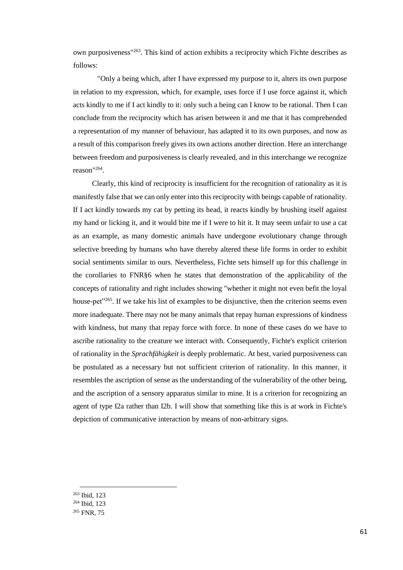own purposiveness"<sup>263</sup>. This kind of action exhibits a reciprocity which Fichte describes as follows:

"Only a being which, after I have expressed my purpose to it, alters its own purpose in relation to my expression, which, for example, uses force if I use force against it, which acts kindly to me if I act kindly to it: only such a being can I know to be rational. Then I can conclude from the reciprocity which has arisen between it and me that it has comprehended a representation of my manner of behaviour, has adapted it to its own purposes, and now as a result of this comparison freely gives its own actions another direction. Here an interchange between freedom and purposiveness is clearly revealed, and in this interchange we recognize reason"<sup>264</sup> .

Clearly, this kind of reciprocity is insufficient for the recognition of rationality as it is manifestly false that we can only enter into this reciprocity with beings capable of rationality. If I act kindly towards my cat by petting its head, it reacts kindly by brushing itself against my hand or licking it, and it would bite me if I were to hit it. It may seem unfair to use a cat as an example, as many domestic animals have undergone evolutionary change through selective breeding by humans who have thereby altered these life forms in order to exhibit social sentiments similar to ours. Nevertheless, Fichte sets himself up for this challenge in the corollaries to FNR§6 when he states that demonstration of the applicability of the concepts of rationality and right includes showing "whether it might not even befit the loyal house-pet $2^{65}$ . If we take his list of examples to be disjunctive, then the criterion seems even more inadequate. There may not be many animals that repay human expressions of kindness with kindness, but many that repay force with force. In none of these cases do we have to ascribe rationality to the creature we interact with. Consequently, Fichte's explicit criterion of rationality in the *Sprachfähigkeit* is deeply problematic. At best, varied purposiveness can be postulated as a necessary but not sufficient criterion of rationality. In this manner, it resembles the ascription of sense as the understanding of the vulnerability of the other being, and the ascription of a sensory apparatus similar to mine. It is a criterion for recognizing an agent of type I2a rather than I2b. I will show that something like this is at work in Fichte's depiction of communicative interaction by means of non-arbitrary signs.

<sup>263</sup> Ibid, 123

<sup>264</sup> Ibid, 123

<sup>265</sup> FNR, 75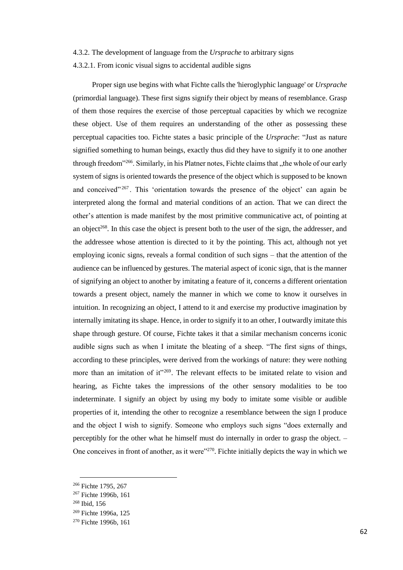#### 4.3.2. The development of language from the *Ursprache* to arbitrary signs

4.3.2.1. From iconic visual signs to accidental audible signs

Proper sign use begins with what Fichte calls the 'hieroglyphic language' or *Ursprache*  (primordial language). These first signs signify their object by means of resemblance. Grasp of them those requires the exercise of those perceptual capacities by which we recognize these object. Use of them requires an understanding of the other as possessing these perceptual capacities too. Fichte states a basic principle of the *Ursprache*: "Just as nature signified something to human beings, exactly thus did they have to signify it to one another through freedom"<sup>266</sup>. Similarly, in his Platner notes, Fichte claims that "the whole of our early system of signs is oriented towards the presence of the object which is supposed to be known and conceived"  $267$ . This 'orientation towards the presence of the object' can again be interpreted along the formal and material conditions of an action. That we can direct the other's attention is made manifest by the most primitive communicative act, of pointing at an object<sup>268</sup>. In this case the object is present both to the user of the sign, the addresser, and the addressee whose attention is directed to it by the pointing. This act, although not yet employing iconic signs, reveals a formal condition of such signs – that the attention of the audience can be influenced by gestures. The material aspect of iconic sign, that is the manner of signifying an object to another by imitating a feature of it, concerns a different orientation towards a present object, namely the manner in which we come to know it ourselves in intuition. In recognizing an object, I attend to it and exercise my productive imagination by internally imitating its shape. Hence, in order to signify it to an other, I outwardly imitate this shape through gesture. Of course, Fichte takes it that a similar mechanism concerns iconic audible signs such as when I imitate the bleating of a sheep. "The first signs of things, according to these principles, were derived from the workings of nature: they were nothing more than an imitation of it"<sup>269</sup>. The relevant effects to be imitated relate to vision and hearing, as Fichte takes the impressions of the other sensory modalities to be too indeterminate. I signify an object by using my body to imitate some visible or audible properties of it, intending the other to recognize a resemblance between the sign I produce and the object I wish to signify. Someone who employs such signs "does externally and perceptibly for the other what he himself must do internally in order to grasp the object. – One conceives in front of another, as it were<sup>"270</sup>. Fichte initially depicts the way in which we

<sup>266</sup> Fichte 1795, 267

<sup>267</sup> Fichte 1996b, 161

<sup>268</sup> Ibid, 156

<sup>269</sup> Fichte 1996a, 125

<sup>270</sup> Fichte 1996b, 161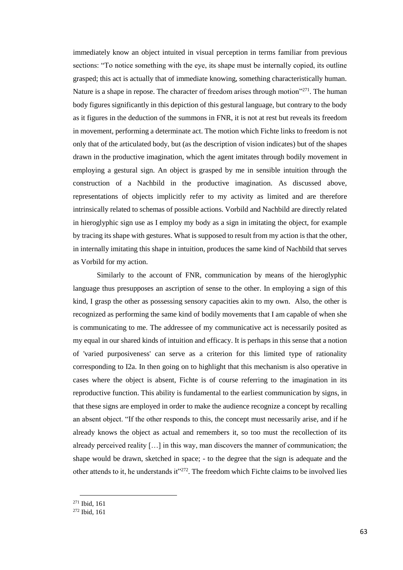immediately know an object intuited in visual perception in terms familiar from previous sections: "To notice something with the eye, its shape must be internally copied, its outline grasped; this act is actually that of immediate knowing, something characteristically human. Nature is a shape in repose. The character of freedom arises through motion"<sup>271</sup>. The human body figures significantly in this depiction of this gestural language, but contrary to the body as it figures in the deduction of the summons in FNR, it is not at rest but reveals its freedom in movement, performing a determinate act. The motion which Fichte links to freedom is not only that of the articulated body, but (as the description of vision indicates) but of the shapes drawn in the productive imagination, which the agent imitates through bodily movement in employing a gestural sign. An object is grasped by me in sensible intuition through the construction of a Nachbild in the productive imagination. As discussed above, representations of objects implicitly refer to my activity as limited and are therefore intrinsically related to schemas of possible actions. Vorbild and Nachbild are directly related in hieroglyphic sign use as I employ my body as a sign in imitating the object, for example by tracing its shape with gestures. What is supposed to result from my action is that the other, in internally imitating this shape in intuition, produces the same kind of Nachbild that serves as Vorbild for my action.

Similarly to the account of FNR, communication by means of the hieroglyphic language thus presupposes an ascription of sense to the other. In employing a sign of this kind, I grasp the other as possessing sensory capacities akin to my own. Also, the other is recognized as performing the same kind of bodily movements that I am capable of when she is communicating to me. The addressee of my communicative act is necessarily posited as my equal in our shared kinds of intuition and efficacy. It is perhaps in this sense that a notion of 'varied purposiveness' can serve as a criterion for this limited type of rationality corresponding to I2a. In then going on to highlight that this mechanism is also operative in cases where the object is absent, Fichte is of course referring to the imagination in its reproductive function. This ability is fundamental to the earliest communication by signs, in that these signs are employed in order to make the audience recognize a concept by recalling an absent object. "If the other responds to this, the concept must necessarily arise, and if he already knows the object as actual and remembers it, so too must the recollection of its already perceived reality […] in this way, man discovers the manner of communication; the shape would be drawn, sketched in space; - to the degree that the sign is adequate and the other attends to it, he understands it"<sup>272</sup>. The freedom which Fichte claims to be involved lies

<sup>271</sup> Ibid, 161

<sup>272</sup> Ibid, 161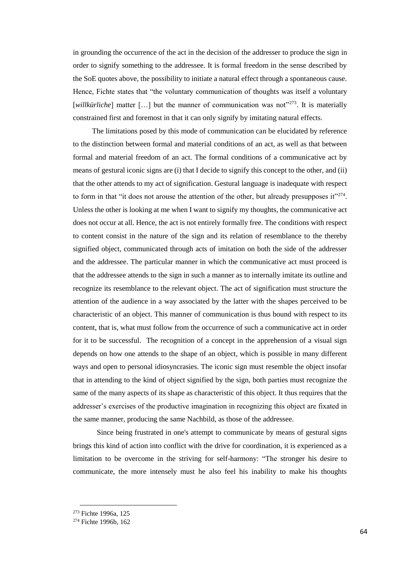in grounding the occurrence of the act in the decision of the addresser to produce the sign in order to signify something to the addressee. It is formal freedom in the sense described by the SoE quotes above, the possibility to initiate a natural effect through a spontaneous cause. Hence, Fichte states that "the voluntary communication of thoughts was itself a voluntary [*willkürliche*] matter [...] but the manner of communication was not<sup>2273</sup>. It is materially constrained first and foremost in that it can only signify by imitating natural effects.

The limitations posed by this mode of communication can be elucidated by reference to the distinction between formal and material conditions of an act, as well as that between formal and material freedom of an act. The formal conditions of a communicative act by means of gestural iconic signs are (i) that I decide to signify this concept to the other, and (ii) that the other attends to my act of signification. Gestural language is inadequate with respect to form in that "it does not arouse the attention of the other, but already presupposes it" $^{274}$ . Unless the other is looking at me when I want to signify my thoughts, the communicative act does not occur at all. Hence, the act is not entirely formally free. The conditions with respect to content consist in the nature of the sign and its relation of resemblance to the thereby signified object, communicated through acts of imitation on both the side of the addresser and the addressee. The particular manner in which the communicative act must proceed is that the addressee attends to the sign in such a manner as to internally imitate its outline and recognize its resemblance to the relevant object. The act of signification must structure the attention of the audience in a way associated by the latter with the shapes perceived to be characteristic of an object. This manner of communication is thus bound with respect to its content, that is, what must follow from the occurrence of such a communicative act in order for it to be successful. The recognition of a concept in the apprehension of a visual sign depends on how one attends to the shape of an object, which is possible in many different ways and open to personal idiosyncrasies. The iconic sign must resemble the object insofar that in attending to the kind of object signified by the sign, both parties must recognize the same of the many aspects of its shape as characteristic of this object. It thus requires that the addresser's exercises of the productive imagination in recognizing this object are fixated in the same manner, producing the same Nachbild, as those of the addressee.

Since being frustrated in one's attempt to communicate by means of gestural signs brings this kind of action into conflict with the drive for coordination, it is experienced as a limitation to be overcome in the striving for self-harmony: "The stronger his desire to communicate, the more intensely must he also feel his inability to make his thoughts

<sup>273</sup> Fichte 1996a, 125

<sup>274</sup> Fichte 1996b, 162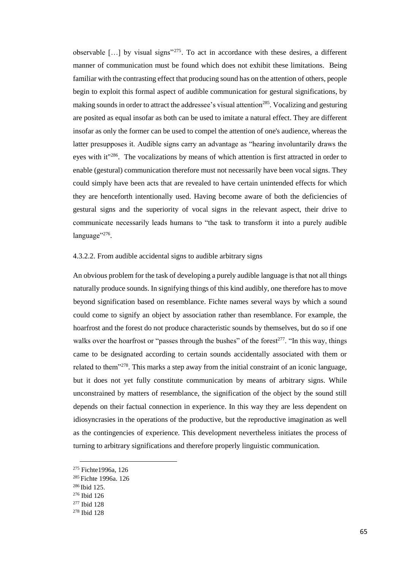observable  $[\dots]$  by visual signs"<sup>275</sup>. To act in accordance with these desires, a different manner of communication must be found which does not exhibit these limitations. Being familiar with the contrasting effect that producing sound has on the attention of others, people begin to exploit this formal aspect of audible communication for gestural significations, by making sounds in order to attract the addressee's visual attention<sup>285</sup>. Vocalizing and gesturing are posited as equal insofar as both can be used to imitate a natural effect. They are different insofar as only the former can be used to compel the attention of one's audience, whereas the latter presupposes it. Audible signs carry an advantage as "hearing involuntarily draws the eyes with it"<sup>286</sup>. The vocalizations by means of which attention is first attracted in order to enable (gestural) communication therefore must not necessarily have been vocal signs. They could simply have been acts that are revealed to have certain unintended effects for which they are henceforth intentionally used. Having become aware of both the deficiencies of gestural signs and the superiority of vocal signs in the relevant aspect, their drive to communicate necessarily leads humans to "the task to transform it into a purely audible language"<sup>276</sup>.

#### 4.3.2.2. From audible accidental signs to audible arbitrary signs

An obvious problem for the task of developing a purely audible language is that not all things naturally produce sounds. In signifying things of this kind audibly, one therefore has to move beyond signification based on resemblance. Fichte names several ways by which a sound could come to signify an object by association rather than resemblance. For example, the hoarfrost and the forest do not produce characteristic sounds by themselves, but do so if one walks over the hoarfrost or "passes through the bushes" of the forest<sup>277</sup>. "In this way, things came to be designated according to certain sounds accidentally associated with them or related to them"<sup>278</sup>. This marks a step away from the initial constraint of an iconic language, but it does not yet fully constitute communication by means of arbitrary signs. While unconstrained by matters of resemblance, the signification of the object by the sound still depends on their factual connection in experience. In this way they are less dependent on idiosyncrasies in the operations of the productive, but the reproductive imagination as well as the contingencies of experience. This development nevertheless initiates the process of turning to arbitrary significations and therefore properly linguistic communication.

<sup>275</sup> Fichte1996a, 126

<sup>&</sup>lt;sup>285</sup> Fichte 1996a, 126

<sup>&</sup>lt;sup>286</sup> Ibid 125.

<sup>276</sup> Ibid 126

<sup>277</sup> Ibid 128

<sup>278</sup> Ibid 128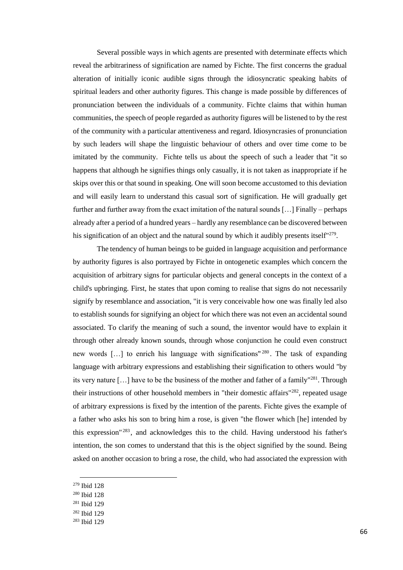Several possible ways in which agents are presented with determinate effects which reveal the arbitrariness of signification are named by Fichte. The first concerns the gradual alteration of initially iconic audible signs through the idiosyncratic speaking habits of spiritual leaders and other authority figures. This change is made possible by differences of pronunciation between the individuals of a community. Fichte claims that within human communities, the speech of people regarded as authority figures will be listened to by the rest of the community with a particular attentiveness and regard. Idiosyncrasies of pronunciation by such leaders will shape the linguistic behaviour of others and over time come to be imitated by the community. Fichte tells us about the speech of such a leader that "it so happens that although he signifies things only casually, it is not taken as inappropriate if he skips over this or that sound in speaking. One will soon become accustomed to this deviation and will easily learn to understand this casual sort of signification. He will gradually get further and further away from the exact imitation of the natural sounds […] Finally – perhaps already after a period of a hundred years – hardly any resemblance can be discovered between his signification of an object and the natural sound by which it audibly presents itself"<sup>279</sup>.

The tendency of human beings to be guided in language acquisition and performance by authority figures is also portrayed by Fichte in ontogenetic examples which concern the acquisition of arbitrary signs for particular objects and general concepts in the context of a child's upbringing. First, he states that upon coming to realise that signs do not necessarily signify by resemblance and association, "it is very conceivable how one was finally led also to establish sounds for signifying an object for which there was not even an accidental sound associated. To clarify the meaning of such a sound, the inventor would have to explain it through other already known sounds, through whose conjunction he could even construct new words […] to enrich his language with significations" <sup>280</sup> . The task of expanding language with arbitrary expressions and establishing their signification to others would "by its very nature […] have to be the business of the mother and father of a family"<sup>281</sup>. Through their instructions of other household members in "their domestic affairs"<sup>282</sup>, repeated usage of arbitrary expressions is fixed by the intention of the parents. Fichte gives the example of a father who asks his son to bring him a rose, is given "the flower which [he] intended by this expression" <sup>283</sup> , and acknowledges this to the child. Having understood his father's intention, the son comes to understand that this is the object signified by the sound. Being asked on another occasion to bring a rose, the child, who had associated the expression with

<sup>279</sup> Ibid 128

- <sup>280</sup> Ibid 128
- <sup>281</sup> Ibid 129
- <sup>282</sup> Ibid 129
- <sup>283</sup> Ibid 129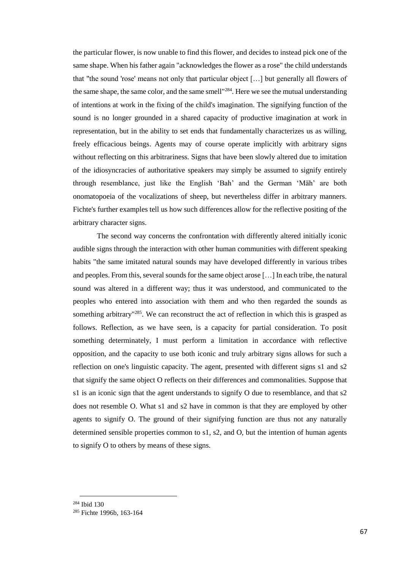the particular flower, is now unable to find this flower, and decides to instead pick one of the same shape. When his father again "acknowledges the flower as a rose" the child understands that "the sound 'rose' means not only that particular object […] but generally all flowers of the same shape, the same color, and the same smell"<sup>284</sup>. Here we see the mutual understanding of intentions at work in the fixing of the child's imagination. The signifying function of the sound is no longer grounded in a shared capacity of productive imagination at work in representation, but in the ability to set ends that fundamentally characterizes us as willing, freely efficacious beings. Agents may of course operate implicitly with arbitrary signs without reflecting on this arbitrariness. Signs that have been slowly altered due to imitation of the idiosyncracies of authoritative speakers may simply be assumed to signify entirely through resemblance, just like the English 'Bah' and the German 'Mäh' are both onomatopoeia of the vocalizations of sheep, but nevertheless differ in arbitrary manners. Fichte's further examples tell us how such differences allow for the reflective positing of the arbitrary character signs.

The second way concerns the confrontation with differently altered initially iconic audible signs through the interaction with other human communities with different speaking habits "the same imitated natural sounds may have developed differently in various tribes and peoples. From this, several sounds for the same object arose […] In each tribe, the natural sound was altered in a different way; thus it was understood, and communicated to the peoples who entered into association with them and who then regarded the sounds as something arbitrary"<sup>285</sup>. We can reconstruct the act of reflection in which this is grasped as follows. Reflection, as we have seen, is a capacity for partial consideration. To posit something determinately, I must perform a limitation in accordance with reflective opposition, and the capacity to use both iconic and truly arbitrary signs allows for such a reflection on one's linguistic capacity. The agent, presented with different signs s1 and s2 that signify the same object O reflects on their differences and commonalities. Suppose that s1 is an iconic sign that the agent understands to signify O due to resemblance, and that s2 does not resemble O. What s1 and s2 have in common is that they are employed by other agents to signify O. The ground of their signifying function are thus not any naturally determined sensible properties common to s1, s2, and O, but the intention of human agents to signify O to others by means of these signs.

<sup>284</sup> Ibid 130

<sup>285</sup> Fichte 1996b, 163-164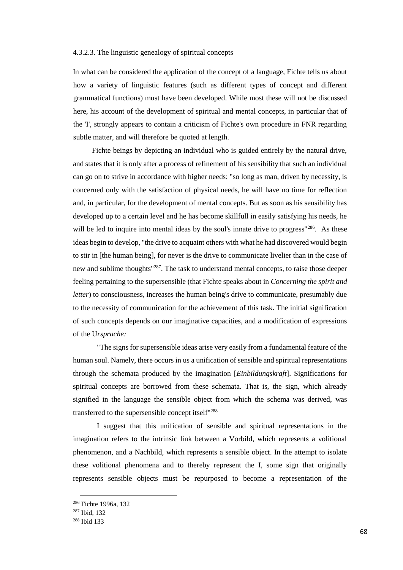# 4.3.2.3. The linguistic genealogy of spiritual concepts

In what can be considered the application of the concept of a language, Fichte tells us about how a variety of linguistic features (such as different types of concept and different grammatical functions) must have been developed. While most these will not be discussed here, his account of the development of spiritual and mental concepts, in particular that of the 'I', strongly appears to contain a criticism of Fichte's own procedure in FNR regarding subtle matter, and will therefore be quoted at length.

Fichte beings by depicting an individual who is guided entirely by the natural drive, and states that it is only after a process of refinement of his sensibility that such an individual can go on to strive in accordance with higher needs: "so long as man, driven by necessity, is concerned only with the satisfaction of physical needs, he will have no time for reflection and, in particular, for the development of mental concepts. But as soon as his sensibility has developed up to a certain level and he has become skillfull in easily satisfying his needs, he will be led to inquire into mental ideas by the soul's innate drive to progress"<sup>286</sup>. As these ideas begin to develop, "the drive to acquaint others with what he had discovered would begin to stir in [the human being], for never is the drive to communicate livelier than in the case of new and sublime thoughts"<sup>287</sup>. The task to understand mental concepts, to raise those deeper feeling pertaining to the supersensible (that Fichte speaks about in *Concerning the spirit and letter*) to consciousness, increases the human being's drive to communicate, presumably due to the necessity of communication for the achievement of this task. The initial signification of such concepts depends on our imaginative capacities, and a modification of expressions of the U*rsprache:*

"The signs for supersensible ideas arise very easily from a fundamental feature of the human soul. Namely, there occurs in us a unification of sensible and spiritual representations through the schemata produced by the imagination [*Einbildungskraft*]. Significations for spiritual concepts are borrowed from these schemata. That is, the sign, which already signified in the language the sensible object from which the schema was derived, was transferred to the supersensible concept itself"<sup>288</sup>

I suggest that this unification of sensible and spiritual representations in the imagination refers to the intrinsic link between a Vorbild, which represents a volitional phenomenon, and a Nachbild, which represents a sensible object. In the attempt to isolate these volitional phenomena and to thereby represent the I, some sign that originally represents sensible objects must be repurposed to become a representation of the

<sup>286</sup> Fichte 1996a, 132

<sup>287</sup> Ibid, 132

<sup>288</sup> Ibid 133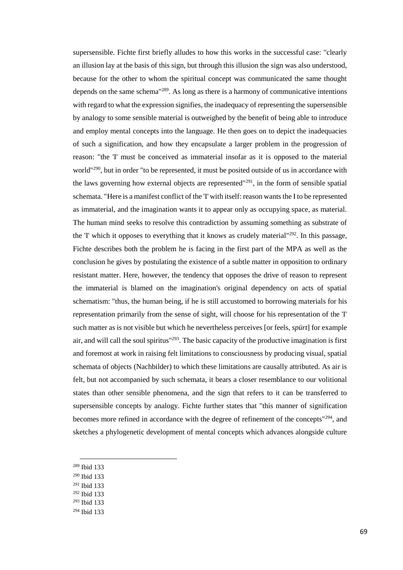supersensible. Fichte first briefly alludes to how this works in the successful case: "clearly an illusion lay at the basis of this sign, but through this illusion the sign was also understood, because for the other to whom the spiritual concept was communicated the same thought depends on the same schema"<sup>289</sup>. As long as there is a harmony of communicative intentions with regard to what the expression signifies, the inadequacy of representing the supersensible by analogy to some sensible material is outweighed by the benefit of being able to introduce and employ mental concepts into the language. He then goes on to depict the inadequacies of such a signification, and how they encapsulate a larger problem in the progression of reason: "the 'I' must be conceived as immaterial insofar as it is opposed to the material world"<sup>290</sup>, but in order "to be represented, it must be posited outside of us in accordance with the laws governing how external objects are represented"<sup>291</sup>, in the form of sensible spatial schemata. "Here is a manifest conflict of the 'I' with itself: reason wants the I to be represented as immaterial, and the imagination wants it to appear only as occupying space, as material. The human mind seeks to resolve this contradiction by assuming something as substrate of the 'I' which it opposes to everything that it knows as crudely material"<sup>292</sup>. In this passage, Fichte describes both the problem he is facing in the first part of the MPA as well as the conclusion he gives by postulating the existence of a subtle matter in opposition to ordinary resistant matter. Here, however, the tendency that opposes the drive of reason to represent the immaterial is blamed on the imagination's original dependency on acts of spatial schematism: "thus, the human being, if he is still accustomed to borrowing materials for his representation primarily from the sense of sight, will choose for his representation of the 'I' such matter as is not visible but which he nevertheless perceives [or feels, *spürt*] for example air, and will call the soul spiritus"<sup>293</sup>. The basic capacity of the productive imagination is first and foremost at work in raising felt limitations to consciousness by producing visual, spatial schemata of objects (Nachbilder) to which these limitations are causally attributed. As air is felt, but not accompanied by such schemata, it bears a closer resemblance to our volitional states than other sensible phenomena, and the sign that refers to it can be transferred to supersensible concepts by analogy. Fichte further states that "this manner of signification becomes more refined in accordance with the degree of refinement of the concepts"<sup>294</sup>, and sketches a phylogenetic development of mental concepts which advances alongside culture

- <sup>290</sup> Ibid 133
- <sup>291</sup> Ibid 133
- <sup>292</sup> Ibid 133
- <sup>293</sup> Ibid 133

<sup>289</sup> Ibid 133

<sup>294</sup> Ibid 133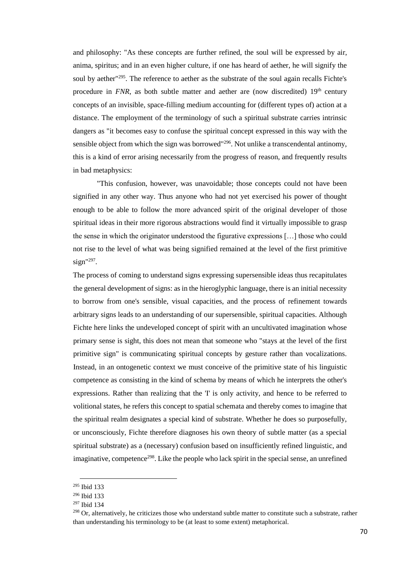and philosophy: "As these concepts are further refined, the soul will be expressed by air, anima, spiritus; and in an even higher culture, if one has heard of aether, he will signify the soul by aether<sup>"295</sup>. The reference to aether as the substrate of the soul again recalls Fichte's procedure in  $FNR$ , as both subtle matter and aether are (now discredited)  $19<sup>th</sup>$  century concepts of an invisible, space-filling medium accounting for (different types of) action at a distance. The employment of the terminology of such a spiritual substrate carries intrinsic dangers as "it becomes easy to confuse the spiritual concept expressed in this way with the sensible object from which the sign was borrowed"<sup>296</sup>. Not unlike a transcendental antinomy, this is a kind of error arising necessarily from the progress of reason, and frequently results in bad metaphysics:

"This confusion, however, was unavoidable; those concepts could not have been signified in any other way. Thus anyone who had not yet exercised his power of thought enough to be able to follow the more advanced spirit of the original developer of those spiritual ideas in their more rigorous abstractions would find it virtually impossible to grasp the sense in which the originator understood the figurative expressions […] those who could not rise to the level of what was being signified remained at the level of the first primitive  $sign$ "<sup>297</sup>.

The process of coming to understand signs expressing supersensible ideas thus recapitulates the general development of signs: as in the hieroglyphic language, there is an initial necessity to borrow from one's sensible, visual capacities, and the process of refinement towards arbitrary signs leads to an understanding of our supersensible, spiritual capacities. Although Fichte here links the undeveloped concept of spirit with an uncultivated imagination whose primary sense is sight, this does not mean that someone who "stays at the level of the first primitive sign" is communicating spiritual concepts by gesture rather than vocalizations. Instead, in an ontogenetic context we must conceive of the primitive state of his linguistic competence as consisting in the kind of schema by means of which he interprets the other's expressions. Rather than realizing that the 'I' is only activity, and hence to be referred to volitional states, he refers this concept to spatial schemata and thereby comes to imagine that the spiritual realm designates a special kind of substrate. Whether he does so purposefully, or unconsciously, Fichte therefore diagnoses his own theory of subtle matter (as a special spiritual substrate) as a (necessary) confusion based on insufficiently refined linguistic, and imaginative, competence<sup>298</sup>. Like the people who lack spirit in the special sense, an unrefined

<sup>295</sup> Ibid 133

<sup>296</sup> Ibid 133

<sup>297</sup> Ibid 134

<sup>&</sup>lt;sup>298</sup> Or, alternatively, he criticizes those who understand subtle matter to constitute such a substrate, rather than understanding his terminology to be (at least to some extent) metaphorical.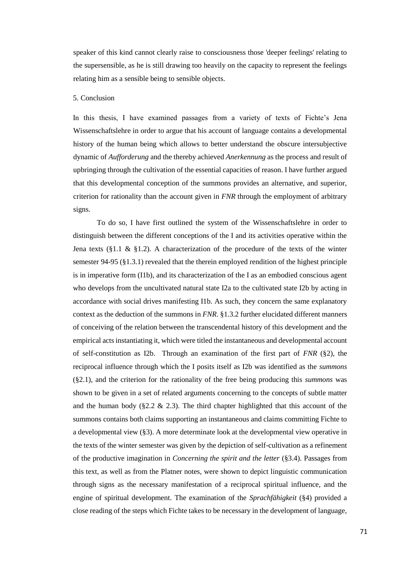speaker of this kind cannot clearly raise to consciousness those 'deeper feelings' relating to the supersensible, as he is still drawing too heavily on the capacity to represent the feelings relating him as a sensible being to sensible objects.

## 5. Conclusion

In this thesis, I have examined passages from a variety of texts of Fichte's Jena Wissenschaftslehre in order to argue that his account of language contains a developmental history of the human being which allows to better understand the obscure intersubjective dynamic of *Aufforderung* and the thereby achieved *Anerkennung* as the process and result of upbringing through the cultivation of the essential capacities of reason. I have further argued that this developmental conception of the summons provides an alternative, and superior, criterion for rationality than the account given in *FNR* through the employment of arbitrary signs.

To do so, I have first outlined the system of the Wissenschaftslehre in order to distinguish between the different conceptions of the I and its activities operative within the Jena texts (§1.1 & §1.2). A characterization of the procedure of the texts of the winter semester 94-95 (§1.3.1) revealed that the therein employed rendition of the highest principle is in imperative form (I1b), and its characterization of the I as an embodied conscious agent who develops from the uncultivated natural state I2a to the cultivated state I2b by acting in accordance with social drives manifesting I1b. As such, they concern the same explanatory context as the deduction of the summons in *FNR*. §1.3.2 further elucidated different manners of conceiving of the relation between the transcendental history of this development and the empirical acts instantiating it, which were titled the instantaneous and developmental account of self-constitution as I2b. Through an examination of the first part of *FNR* (§2), the reciprocal influence through which the I posits itself as I2b was identified as the *summons*  (§2.1), and the criterion for the rationality of the free being producing this *summons* was shown to be given in a set of related arguments concerning to the concepts of subtle matter and the human body ( $\S2.2 \& 2.3$ ). The third chapter highlighted that this account of the summons contains both claims supporting an instantaneous and claims committing Fichte to a developmental view (§3). A more determinate look at the developmental view operative in the texts of the winter semester was given by the depiction of self-cultivation as a refinement of the productive imagination in *Concerning the spirit and the letter* (§3.4). Passages from this text, as well as from the Platner notes, were shown to depict linguistic communication through signs as the necessary manifestation of a reciprocal spiritual influence, and the engine of spiritual development. The examination of the *Sprachfähigkeit* (§4) provided a close reading of the steps which Fichte takes to be necessary in the development of language,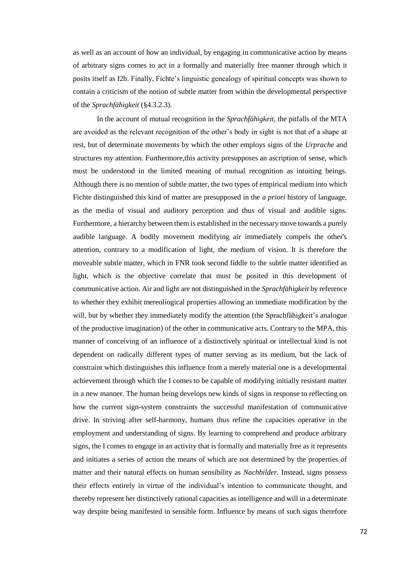as well as an account of how an individual, by engaging in communicative action by means of arbitrary signs comes to act in a formally and materially free manner through which it posits itself as I2b. Finally, Fichte's linguistic genealogy of spiritual concepts was shown to contain a criticism of the notion of subtle matter from within the developmental perspective of the *Sprachfähigkeit* (§4.3.2.3).

In the account of mutual recognition in the *Sprachfähigkeit,* the pitfalls of the MTA are avoided as the relevant recognition of the other's body in sight is not that of a shape at rest, but of determinate movements by which the other employs signs of the *Urprache* and structures my attention. Furthermore,this activity presupposes an ascription of sense, which must be understood in the limited meaning of mutual recognition as intuiting beings. Although there is no mention of subtle matter, the two types of empirical medium into which Fichte distinguished this kind of matter are presupposed in the *a priori* history of language, as the media of visual and auditory perception and thus of visual and audible signs. Furthermore, a hierarchy between them is established in the necessary move towards a purely audible language. A bodily movement modifying air immediately compels the other's attention, contrary to a modification of light, the medium of vision. It is therefore the moveable subtle matter, which in FNR took second fiddle to the subtle matter identified as light, which is the objective correlate that must be posited in this development of communicative action. Air and light are not distinguished in the *Sprachfähigkeit* by reference to whether they exhibit mereoliogical properties allowing an immediate modification by the will, but by whether they immediately modify the attention (the Sprachfähigkeit's analogue of the productive imagination) of the other in communicative acts. Contrary to the MPA, this manner of conceiving of an influence of a distinctively spiritual or intellectual kind is not dependent on radically different types of matter serving as its medium, but the lack of constraint which distinguishes this influence from a merely material one is a developmental achievement through which the I comes to be capable of modifying initially resistant matter in a new manner. The human being develops new kinds of signs in response to reflecting on how the current sign-system constraints the successful manifestation of communicative drive. In striving after self-harmony, humans thus refine the capacities operative in the employment and understanding of signs. By learning to comprehend and produce arbitrary signs, the I comes to engage in an activity that is formally and materially free as it represents and initiates a series of action the means of which are not determined by the properties of matter and their natural effects on human sensibility as *Nachbilder*. Instead, signs possess their effects entirely in virtue of the individual's intention to communicate thought, and thereby represent her distinctively rational capacities as intelligence and will in a determinate way despite being manifested in sensible form. Influence by means of such signs therefore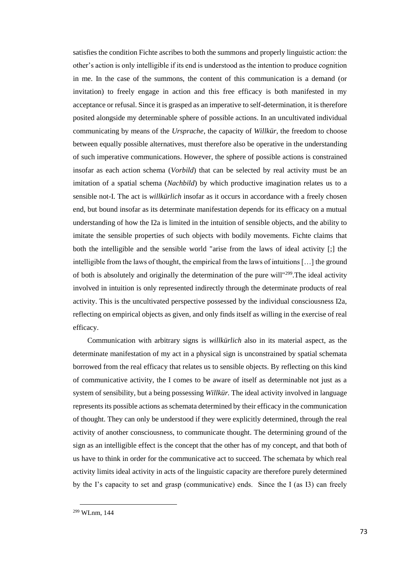satisfies the condition Fichte ascribes to both the summons and properly linguistic action: the other's action is only intelligible if its end is understood as the intention to produce cognition in me. In the case of the summons, the content of this communication is a demand (or invitation) to freely engage in action and this free efficacy is both manifested in my acceptance or refusal. Since it is grasped as an imperative to self-determination, it is therefore posited alongside my determinable sphere of possible actions. In an uncultivated individual communicating by means of the *Ursprache*, the capacity of *Willkür*, the freedom to choose between equally possible alternatives, must therefore also be operative in the understanding of such imperative communications. However, the sphere of possible actions is constrained insofar as each action schema (*Vorbild*) that can be selected by real activity must be an imitation of a spatial schema (*Nachbild*) by which productive imagination relates us to a sensible not-I. The act is *willkürlich* insofar as it occurs in accordance with a freely chosen end, but bound insofar as its determinate manifestation depends for its efficacy on a mutual understanding of how the I2a is limited in the intuition of sensible objects, and the ability to imitate the sensible properties of such objects with bodily movements. Fichte claims that both the intelligible and the sensible world "arise from the laws of ideal activity [;] the intelligible from the laws of thought, the empirical from the laws of intuitions […] the ground of both is absolutely and originally the determination of the pure will"<sup>299</sup>.The ideal activity involved in intuition is only represented indirectly through the determinate products of real activity. This is the uncultivated perspective possessed by the individual consciousness I2a, reflecting on empirical objects as given, and only finds itself as willing in the exercise of real efficacy.

Communication with arbitrary signs is *willkürlich* also in its material aspect, as the determinate manifestation of my act in a physical sign is unconstrained by spatial schemata borrowed from the real efficacy that relates us to sensible objects. By reflecting on this kind of communicative activity, the I comes to be aware of itself as determinable not just as a system of sensibility, but a being possessing *Willkür.* The ideal activity involved in language represents its possible actions as schemata determined by their efficacy in the communication of thought. They can only be understood if they were explicitly determined, through the real activity of another consciousness, to communicate thought. The determining ground of the sign as an intelligible effect is the concept that the other has of my concept, and that both of us have to think in order for the communicative act to succeed. The schemata by which real activity limits ideal activity in acts of the linguistic capacity are therefore purely determined by the I's capacity to set and grasp (communicative) ends. Since the I (as I3) can freely

l

<sup>299</sup> WLnm, 144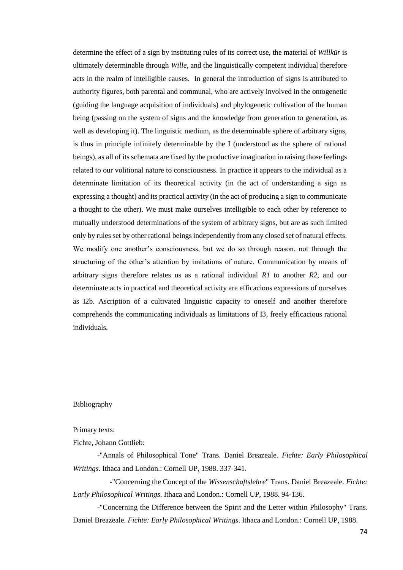determine the effect of a sign by instituting rules of its correct use, the material of *Willkür* is ultimately determinable through *Wille*, and the linguistically competent individual therefore acts in the realm of intelligible causes. In general the introduction of signs is attributed to authority figures, both parental and communal, who are actively involved in the ontogenetic (guiding the language acquisition of individuals) and phylogenetic cultivation of the human being (passing on the system of signs and the knowledge from generation to generation, as well as developing it). The linguistic medium, as the determinable sphere of arbitrary signs, is thus in principle infinitely determinable by the I (understood as the sphere of rational beings), as all of its schemata are fixed by the productive imagination in raising those feelings related to our volitional nature to consciousness. In practice it appears to the individual as a determinate limitation of its theoretical activity (in the act of understanding a sign as expressing a thought) and its practical activity (in the act of producing a sign to communicate a thought to the other). We must make ourselves intelligible to each other by reference to mutually understood determinations of the system of arbitrary signs, but are as such limited only by rules set by other rational beings independently from any closed set of natural effects. We modify one another's consciousness, but we do so through reason, not through the structuring of the other's attention by imitations of nature. Communication by means of arbitrary signs therefore relates us as a rational individual *R1* to another *R2*, and our determinate acts in practical and theoretical activity are efficacious expressions of ourselves as I2b. Ascription of a cultivated linguistic capacity to oneself and another therefore comprehends the communicating individuals as limitations of I3, freely efficacious rational individuals.

## Bibliography

## Primary texts:

Fichte, Johann Gottlieb:

-"Annals of Philosophical Tone" Trans. Daniel Breazeale. *Fichte: Early Philosophical Writings*. Ithaca and London.: Cornell UP, 1988. 337-341.

-"Concerning the Concept of the *Wissenschaftslehre*" Trans. Daniel Breazeale. *Fichte: Early Philosophical Writings*. Ithaca and London.: Cornell UP, 1988. 94-136.

-"Concerning the Difference between the Spirit and the Letter within Philosophy" Trans. Daniel Breazeale. *Fichte: Early Philosophical Writings*. Ithaca and London.: Cornell UP, 1988.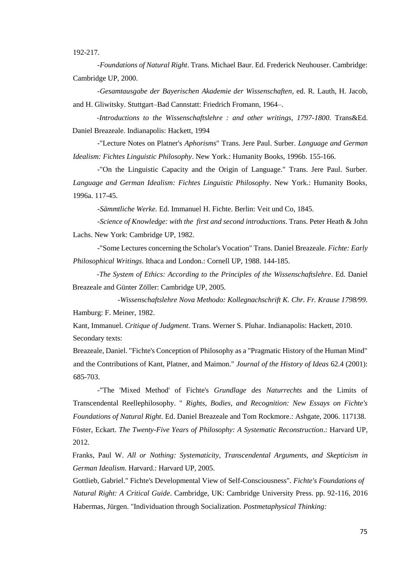192-217.

*-Foundations of Natural Right*. Trans. Michael Baur. Ed. Frederick Neuhouser. Cambridge: Cambridge UP, 2000.

*-Gesamtausgabe der Bayerischen Akademie der Wissenschaften*, ed. R. Lauth, H. Jacob, and H. Gliwitsky. Stuttgart–Bad Cannstatt: Friedrich Fromann, 1964–.

*-Introductions to the Wissenschaftslehre : and other writings, 1797-1800.* Trans&Ed. Daniel Breazeale. Indianapolis: Hackett, 1994

-"Lecture Notes on Platner's *Aphorisms*" Trans. Jere Paul. Surber. *Language and German Idealism: Fichtes Linguistic Philosophy*. New York.: Humanity Books, 1996b. 155-166.

-"On the Linguistic Capacity and the Origin of Language." Trans. Jere Paul. Surber. *Language and German Idealism: Fichtes Linguistic Philosophy*. New York.: Humanity Books, 1996a. 117-45.

*-Sämmtliche Werke.* Ed. Immanuel H. Fichte. Berlin: Veit und Co, 1845.

*-Science of Knowledge: with the first and second introductions*. Trans. Peter Heath & John Lachs. New York: Cambridge UP, 1982.

-"Some Lectures concerning the Scholar's Vocation" Trans. Daniel Breazeale. *Fichte: Early Philosophical Writings*. Ithaca and London.: Cornell UP, 1988. 144-185.

*-The System of Ethics: According to the Principles of the Wissenschaftslehre*. Ed. Daniel Breazeale and Günter Zöller: Cambridge UP, 2005.

*-Wissenschaftslehre Nova Methodo: Kollegnachschrift K. Chr. Fr. Krause 1798/99*. Hamburg: F. Meiner, 1982.

Kant, Immanuel. *Critique of Judgment*. Trans. Werner S. Pluhar. Indianapolis: Hackett, 2010. Secondary texts:

Breazeale, Daniel. "Fichte's Conception of Philosophy as a "Pragmatic History of the Human Mind" and the Contributions of Kant, Platner, and Maimon." *Journal of the History of Ideas* 62.4 (2001): 685-703.

-"The 'Mixed Method' of Fichte's *Grundlage des Naturrechts* and the Limits of Transcendental Reellephilosophy. " *Rights, Bodies, and Recognition: New Essays on Fichte's Foundations of Natural Right*. Ed. Daniel Breazeale and Tom Rockmore.: Ashgate, 2006. 117138. Föster, Eckart. *The Twenty-Five Years of Philosophy: A Systematic Reconstruction*.: Harvard UP, 2012.

Franks, Paul W. *All or Nothing: Systematicity, Transcendental Arguments, and Skepticism in German Idealism*. Harvard.: Harvard UP, 2005.

Gottlieb, Gabriel." Fichte's Developmental View of Self-Consciousness". *Fichte's Foundations of Natural Right: A Critical Guide*. Cambridge, UK: Cambridge University Press. pp. 92-116, 2016 Habermas, Jürgen. "Individuation through Socialization. *Postmetaphysical Thinking:*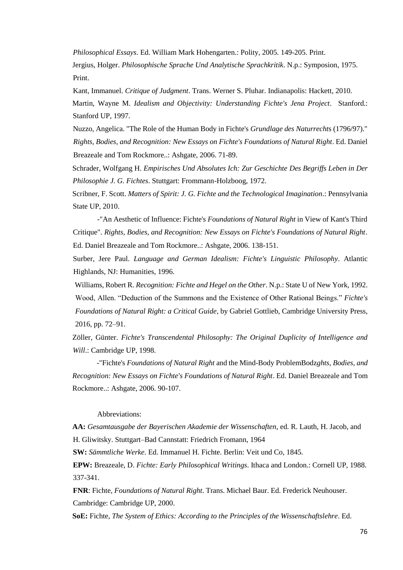*Philosophical Essays*. Ed. William Mark Hohengarten.: Polity, 2005. 149-205. Print.

Jergius, Holger. *Philosophische Sprache Und Analytische Sprachkritik*. N.p.: Symposion, 1975. Print.

Kant, Immanuel. *Critique of Judgment*. Trans. Werner S. Pluhar. Indianapolis: Hackett, 2010. Martin, Wayne M. *Idealism and Objectivity: Understanding Fichte's Jena Project*. Stanford.: Stanford UP, 1997.

Nuzzo, Angelica. "The Role of the Human Body in Fichte's *Grundlage des Naturrecht*s (1796/97)." *Rights, Bodies, and Recognition: New Essays on Fichte's Foundations of Natural Right*. Ed. Daniel Breazeale and Tom Rockmore..: Ashgate, 2006. 71-89.

Schrader, Wolfgang H. *Empirisches Und Absolutes Ich: Zur Geschichte Des Begriffs Leben in Der Philosophie J. G. Fichtes*. Stuttgart: Frommann-Holzboog, 1972.

Scribner, F. Scott. *Matters of Spirit: J. G. Fichte and the Technological Imagination*.: Pennsylvania State UP, 2010.

-"An Aesthetic of Influence: Fichte's *Foundations of Natural Right* in View of Kant's Third Critique". *Rights, Bodies, and Recognition: New Essays on Fichte's Foundations of Natural Right*. Ed. Daniel Breazeale and Tom Rockmore..: Ashgate, 2006. 138-151.

Surber, Jere Paul. *Language and German Idealism: Fichte's Linguistic Philosophy*. Atlantic Highlands, NJ: Humanities, 1996.

Williams, Robert R. *Recognition: Fichte and Hegel on the Other*. N.p.: State U of New York, 1992. Wood, Allen. "Deduction of the Summons and the Existence of Other Rational Beings." *Fichte's Foundations of Natural Right: a Critical Guide*, by Gabriel Gottlieb, Cambridge University Press, 2016, pp. 72–91.

Zöller, Günter. *Fichte's Transcendental Philosophy: The Original Duplicity of Intelligence and Will*.: Cambridge UP, 1998.

-"Fichte's *Foundations of Natural Right* and the Mind-Body ProblemBodz*ghts, Bodies, and Recognition: New Essays on Fichte's Foundations of Natural Right*. Ed. Daniel Breazeale and Tom Rockmore..: Ashgate, 2006. 90-107.

## Abbreviations:

**AA:** *Gesamtausgabe der Bayerischen Akademie der Wissenschaften*, ed. R. Lauth, H. Jacob, and H. Gliwitsky. Stuttgart–Bad Cannstatt: Friedrich Fromann, 1964

**SW:** *Sämmtliche Werke.* Ed. Immanuel H. Fichte. Berlin: Veit und Co, 1845.

**EPW:** Breazeale, D. *Fichte: Early Philosophical Writings*. Ithaca and London.: Cornell UP, 1988. 337-341.

**FNR**: Fichte, *Foundations of Natural Right*. Trans. Michael Baur. Ed. Frederick Neuhouser. Cambridge: Cambridge UP, 2000.

**SoE:** Fichte, *The System of Ethics: According to the Principles of the Wissenschaftslehre*. Ed.